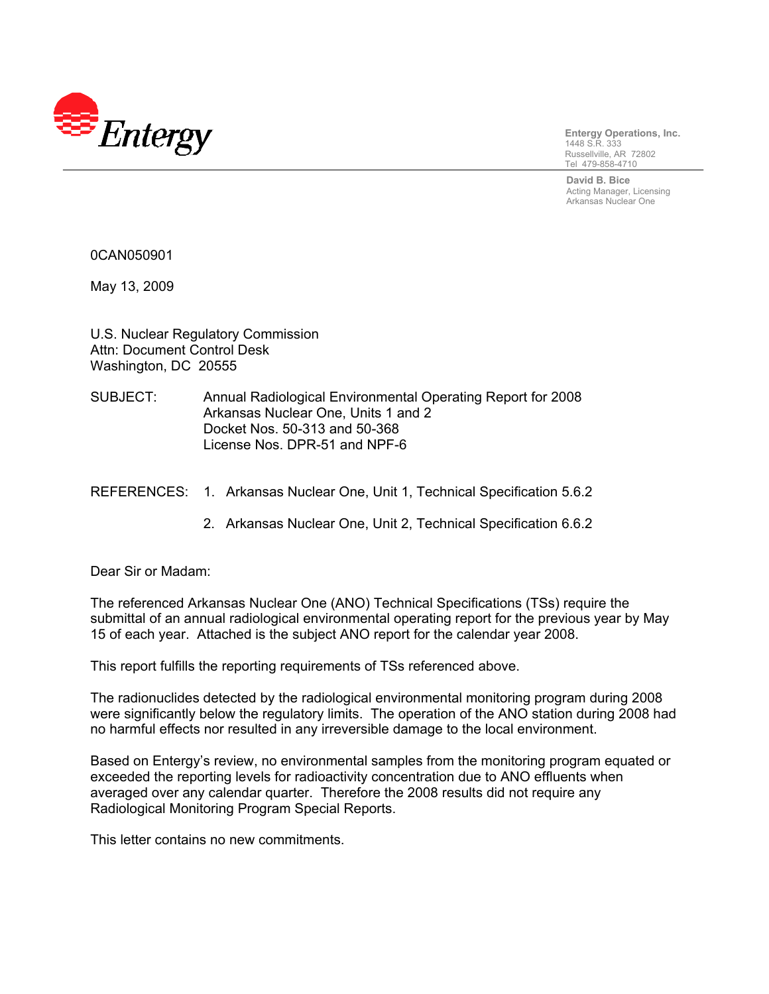

**Entergy Operations, Inc.**  1448 S.R. 333 Russellville, AR 72802 Tel 479-858-4710

**David B. Bice**  Acting Manager, Licensing Arkansas Nuclear One

0CAN050901

May 13, 2009

U.S. Nuclear Regulatory Commission Attn: Document Control Desk Washington, DC 20555

SUBJECT: Annual Radiological Environmental Operating Report for 2008 Arkansas Nuclear One, Units 1 and 2 Docket Nos. 50-313 and 50-368 License Nos. DPR-51 and NPF-6

- REFERENCES: 1. Arkansas Nuclear One, Unit 1, Technical Specification 5.6.2
	- 2. Arkansas Nuclear One, Unit 2, Technical Specification 6.6.2

Dear Sir or Madam:

The referenced Arkansas Nuclear One (ANO) Technical Specifications (TSs) require the submittal of an annual radiological environmental operating report for the previous year by May 15 of each year. Attached is the subject ANO report for the calendar year 2008.

This report fulfills the reporting requirements of TSs referenced above.

The radionuclides detected by the radiological environmental monitoring program during 2008 were significantly below the regulatory limits. The operation of the ANO station during 2008 had no harmful effects nor resulted in any irreversible damage to the local environment.

Based on Entergy's review, no environmental samples from the monitoring program equated or exceeded the reporting levels for radioactivity concentration due to ANO effluents when averaged over any calendar quarter. Therefore the 2008 results did not require any Radiological Monitoring Program Special Reports.

This letter contains no new commitments.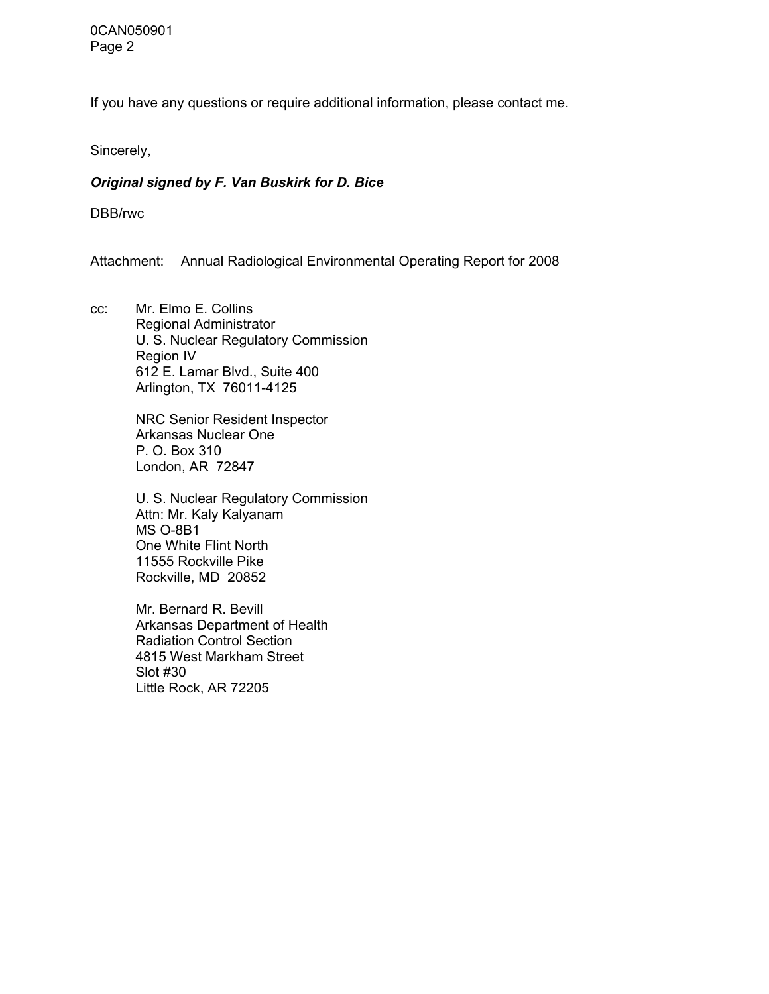0CAN050901 Page 2

If you have any questions or require additional information, please contact me.

Sincerely,

### *Original signed by F. Van Buskirk for D. Bice*

DBB/rwc

Attachment: Annual Radiological Environmental Operating Report for 2008

cc: Mr. Elmo E. Collins Regional Administrator U. S. Nuclear Regulatory Commission Region IV 612 E. Lamar Blvd., Suite 400 Arlington, TX 76011-4125

> NRC Senior Resident Inspector Arkansas Nuclear One P. O. Box 310 London, AR 72847

U. S. Nuclear Regulatory Commission Attn: Mr. Kaly Kalyanam MS O-8B1 One White Flint North 11555 Rockville Pike Rockville, MD 20852

Mr. Bernard R. Bevill Arkansas Department of Health Radiation Control Section 4815 West Markham Street Slot #30 Little Rock, AR 72205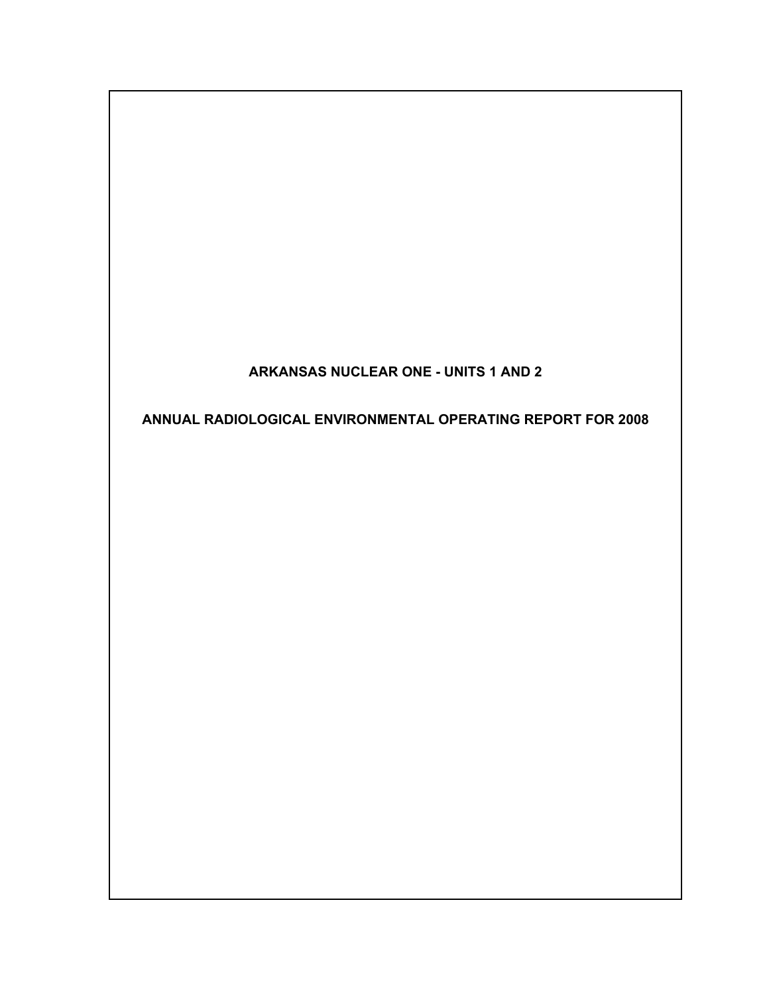# **ARKANSAS NUCLEAR ONE - UNITS 1 AND 2**

**ANNUAL RADIOLOGICAL ENVIRONMENTAL OPERATING REPORT FOR 2008**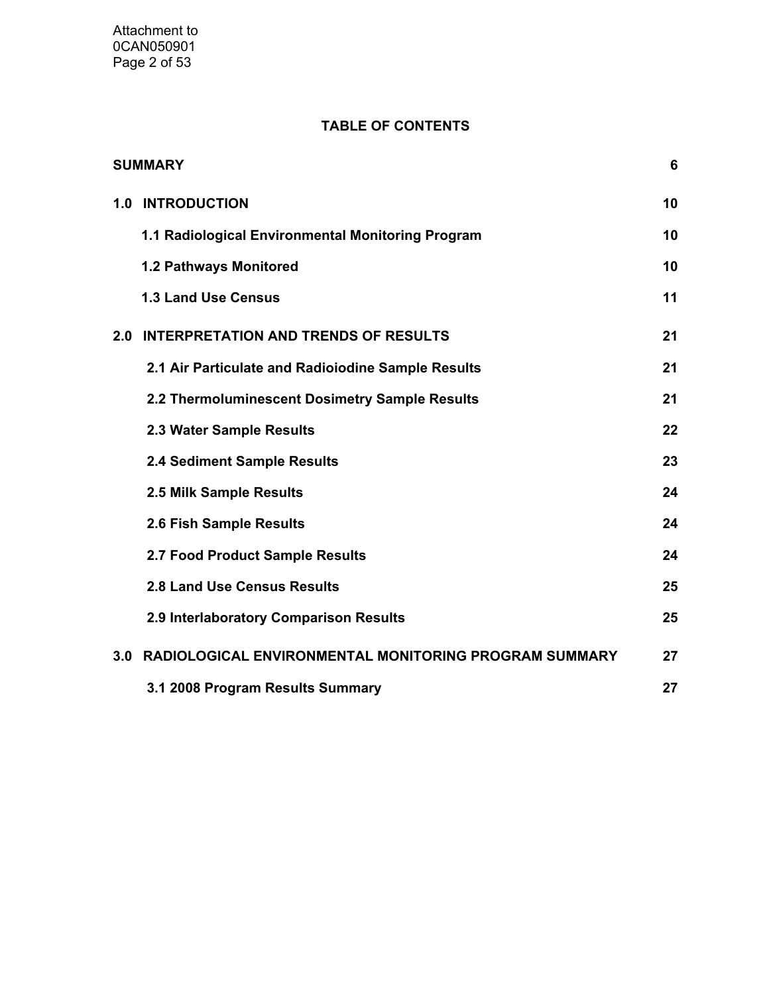# **TABLE OF CONTENTS**

|     | <b>SUMMARY</b>                                        | 6  |
|-----|-------------------------------------------------------|----|
|     | <b>1.0 INTRODUCTION</b>                               | 10 |
|     | 1.1 Radiological Environmental Monitoring Program     | 10 |
|     | 1.2 Pathways Monitored                                | 10 |
|     | <b>1.3 Land Use Census</b>                            | 11 |
| 2.0 | <b>INTERPRETATION AND TRENDS OF RESULTS</b>           | 21 |
|     | 2.1 Air Particulate and Radioiodine Sample Results    | 21 |
|     | 2.2 Thermoluminescent Dosimetry Sample Results        | 21 |
|     | 2.3 Water Sample Results                              | 22 |
|     | 2.4 Sediment Sample Results                           | 23 |
|     | 2.5 Milk Sample Results                               | 24 |
|     | 2.6 Fish Sample Results                               | 24 |
|     | 2.7 Food Product Sample Results                       | 24 |
|     | <b>2.8 Land Use Census Results</b>                    | 25 |
|     | 2.9 Interlaboratory Comparison Results                | 25 |
| 3.0 | RADIOLOGICAL ENVIRONMENTAL MONITORING PROGRAM SUMMARY | 27 |
|     | 3.1 2008 Program Results Summary                      | 27 |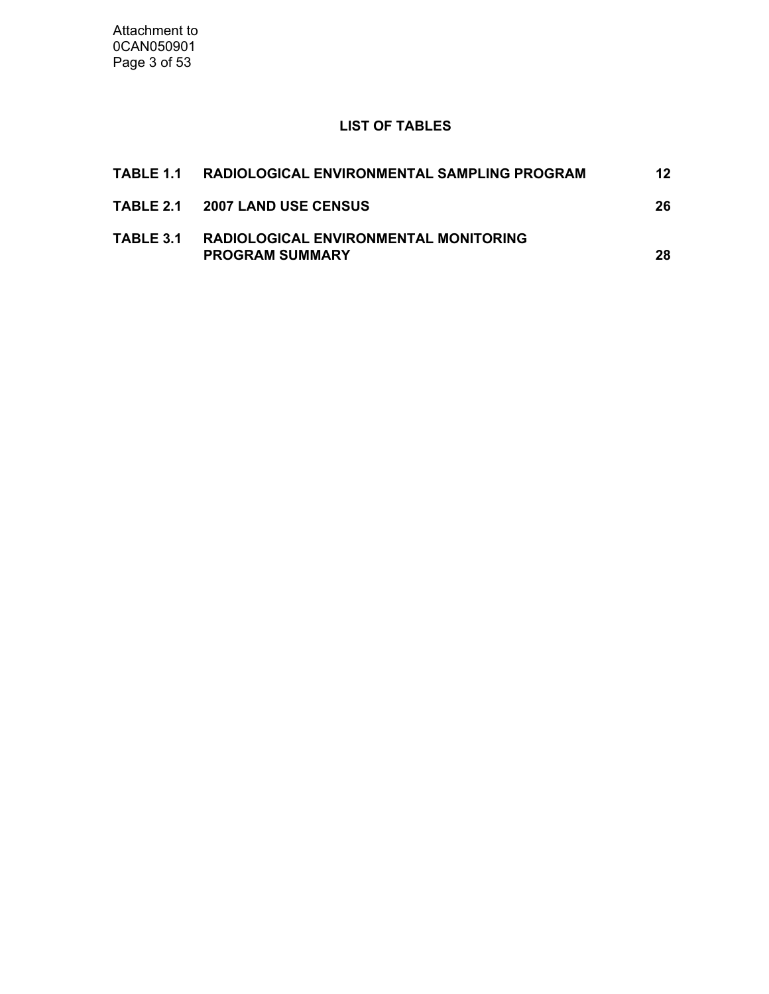Attachment to 0CAN050901 Page 3 of 53

### **LIST OF TABLES**

|           | TABLE 1.1 RADIOLOGICAL ENVIRONMENTAL SAMPLING PROGRAM           | 12  |
|-----------|-----------------------------------------------------------------|-----|
|           | TABLE 2.1 2007 LAND USE CENSUS                                  | 26  |
| TABLE 3.1 | RADIOLOGICAL ENVIRONMENTAL MONITORING<br><b>PROGRAM SUMMARY</b> | 28. |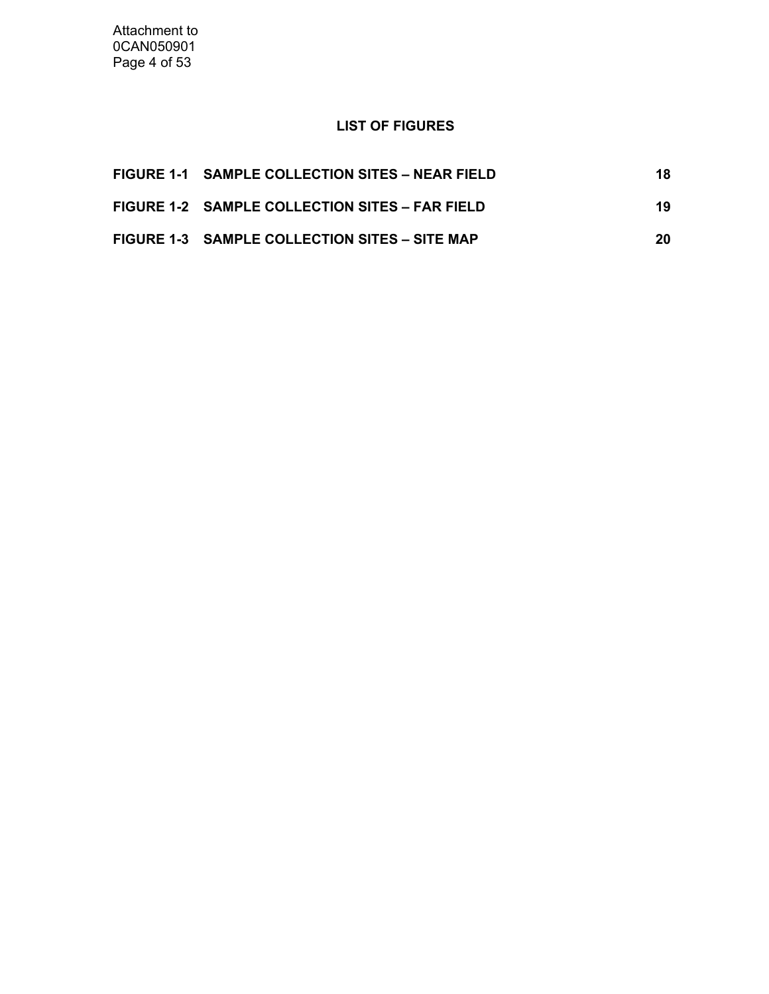Attachment to 0CAN050901 Page 4 of 53

### **LIST OF FIGURES**

| FIGURE 1-1 SAMPLE COLLECTION SITES – NEAR FIELD | 18. |
|-------------------------------------------------|-----|
| FIGURE 1-2 SAMPLE COLLECTION SITES – FAR FIELD  | 19. |
| FIGURE 1-3 SAMPLE COLLECTION SITES - SITE MAP   | 20  |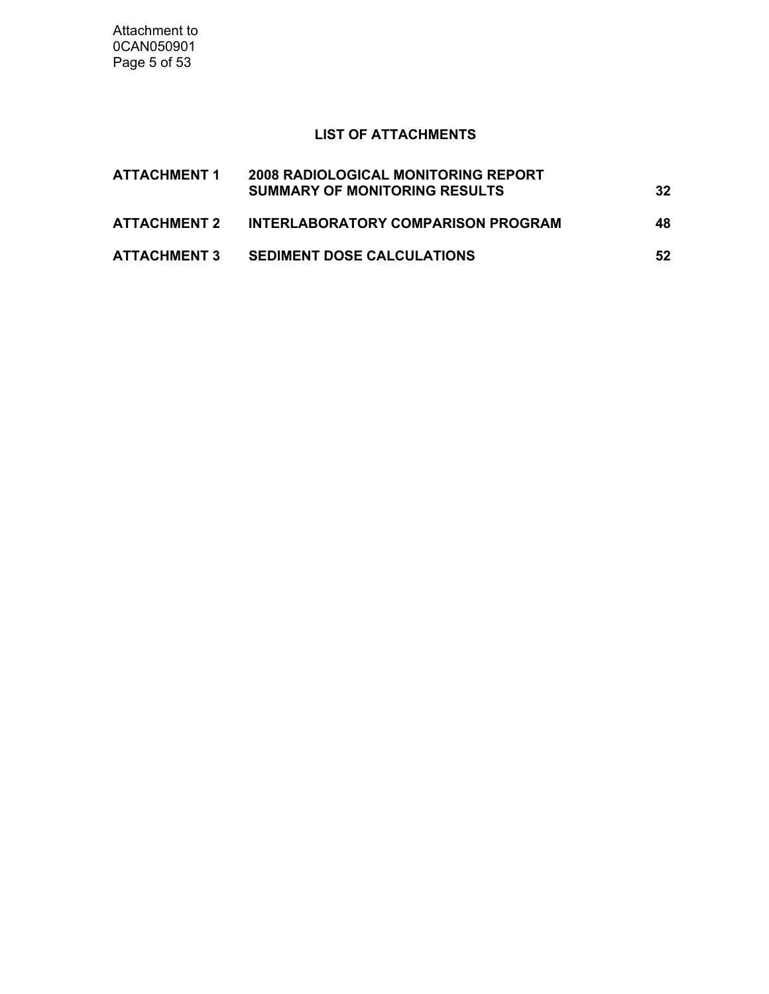Attachment to 0CAN050901 Page 5 of 53

## **LIST OF ATTACHMENTS**

| <b>ATTACHMENT 1</b> | <b>2008 RADIOLOGICAL MONITORING REPORT</b><br><b>SUMMARY OF MONITORING RESULTS</b> | 32  |
|---------------------|------------------------------------------------------------------------------------|-----|
| <b>ATTACHMENT 2</b> | INTERLABORATORY COMPARISON PROGRAM                                                 | 48  |
| <b>ATTACHMENT 3</b> | <b>SEDIMENT DOSE CALCULATIONS</b>                                                  | 52. |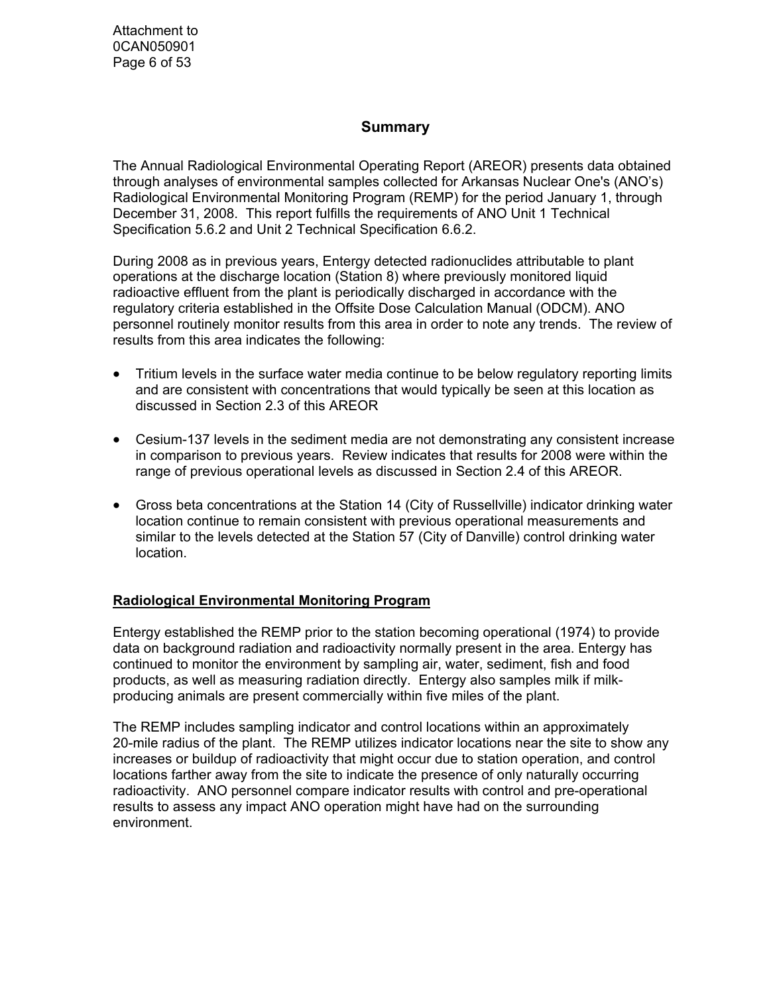Attachment to 0CAN050901 Page 6 of 53

### **Summary**

The Annual Radiological Environmental Operating Report (AREOR) presents data obtained through analyses of environmental samples collected for Arkansas Nuclear One's (ANO's) Radiological Environmental Monitoring Program (REMP) for the period January 1, through December 31, 2008. This report fulfills the requirements of ANO Unit 1 Technical Specification 5.6.2 and Unit 2 Technical Specification 6.6.2.

During 2008 as in previous years, Entergy detected radionuclides attributable to plant operations at the discharge location (Station 8) where previously monitored liquid radioactive effluent from the plant is periodically discharged in accordance with the regulatory criteria established in the Offsite Dose Calculation Manual (ODCM). ANO personnel routinely monitor results from this area in order to note any trends. The review of results from this area indicates the following:

- Tritium levels in the surface water media continue to be below regulatory reporting limits and are consistent with concentrations that would typically be seen at this location as discussed in Section 2.3 of this AREOR
- Cesium-137 levels in the sediment media are not demonstrating any consistent increase in comparison to previous years. Review indicates that results for 2008 were within the range of previous operational levels as discussed in Section 2.4 of this AREOR.
- Gross beta concentrations at the Station 14 (City of Russellville) indicator drinking water location continue to remain consistent with previous operational measurements and similar to the levels detected at the Station 57 (City of Danville) control drinking water location.

### **Radiological Environmental Monitoring Program**

Entergy established the REMP prior to the station becoming operational (1974) to provide data on background radiation and radioactivity normally present in the area. Entergy has continued to monitor the environment by sampling air, water, sediment, fish and food products, as well as measuring radiation directly. Entergy also samples milk if milkproducing animals are present commercially within five miles of the plant.

The REMP includes sampling indicator and control locations within an approximately 20-mile radius of the plant. The REMP utilizes indicator locations near the site to show any increases or buildup of radioactivity that might occur due to station operation, and control locations farther away from the site to indicate the presence of only naturally occurring radioactivity. ANO personnel compare indicator results with control and pre-operational results to assess any impact ANO operation might have had on the surrounding environment.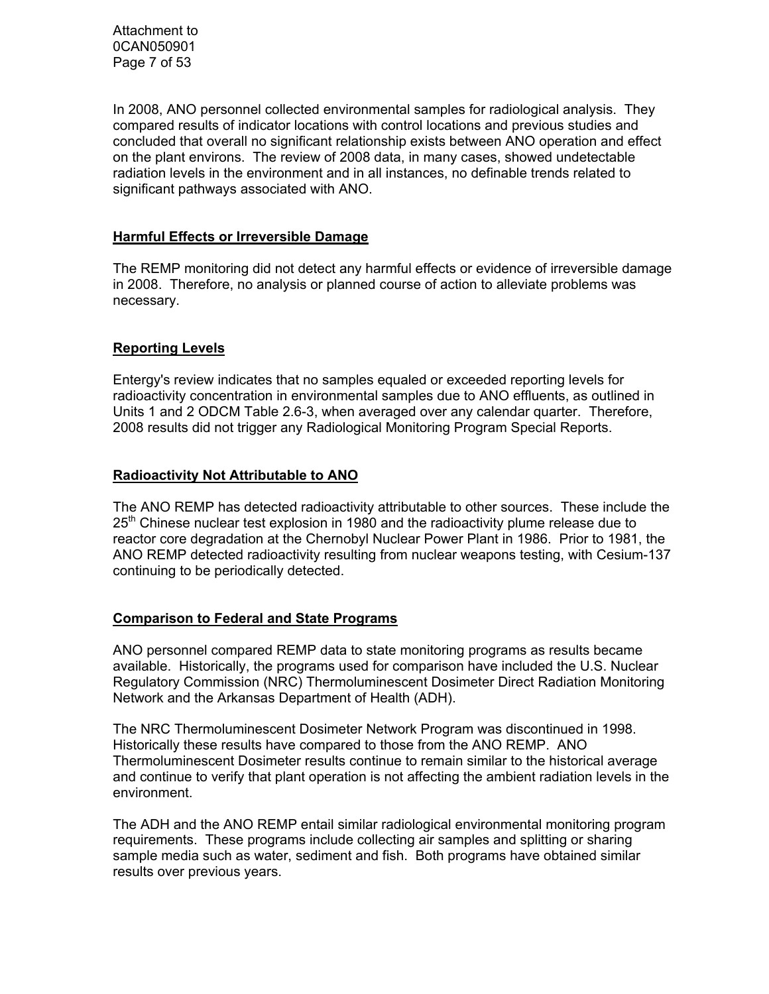Attachment to 0CAN050901 Page 7 of 53

In 2008, ANO personnel collected environmental samples for radiological analysis. They compared results of indicator locations with control locations and previous studies and concluded that overall no significant relationship exists between ANO operation and effect on the plant environs. The review of 2008 data, in many cases, showed undetectable radiation levels in the environment and in all instances, no definable trends related to significant pathways associated with ANO.

### **Harmful Effects or Irreversible Damage**

The REMP monitoring did not detect any harmful effects or evidence of irreversible damage in 2008. Therefore, no analysis or planned course of action to alleviate problems was necessary.

### **Reporting Levels**

Entergy's review indicates that no samples equaled or exceeded reporting levels for radioactivity concentration in environmental samples due to ANO effluents, as outlined in Units 1 and 2 ODCM Table 2.6-3, when averaged over any calendar quarter. Therefore, 2008 results did not trigger any Radiological Monitoring Program Special Reports.

#### **Radioactivity Not Attributable to ANO**

The ANO REMP has detected radioactivity attributable to other sources. These include the 25<sup>th</sup> Chinese nuclear test explosion in 1980 and the radioactivity plume release due to reactor core degradation at the Chernobyl Nuclear Power Plant in 1986. Prior to 1981, the ANO REMP detected radioactivity resulting from nuclear weapons testing, with Cesium-137 continuing to be periodically detected.

### **Comparison to Federal and State Programs**

ANO personnel compared REMP data to state monitoring programs as results became available. Historically, the programs used for comparison have included the U.S. Nuclear Regulatory Commission (NRC) Thermoluminescent Dosimeter Direct Radiation Monitoring Network and the Arkansas Department of Health (ADH).

The NRC Thermoluminescent Dosimeter Network Program was discontinued in 1998. Historically these results have compared to those from the ANO REMP. ANO Thermoluminescent Dosimeter results continue to remain similar to the historical average and continue to verify that plant operation is not affecting the ambient radiation levels in the environment.

The ADH and the ANO REMP entail similar radiological environmental monitoring program requirements. These programs include collecting air samples and splitting or sharing sample media such as water, sediment and fish. Both programs have obtained similar results over previous years.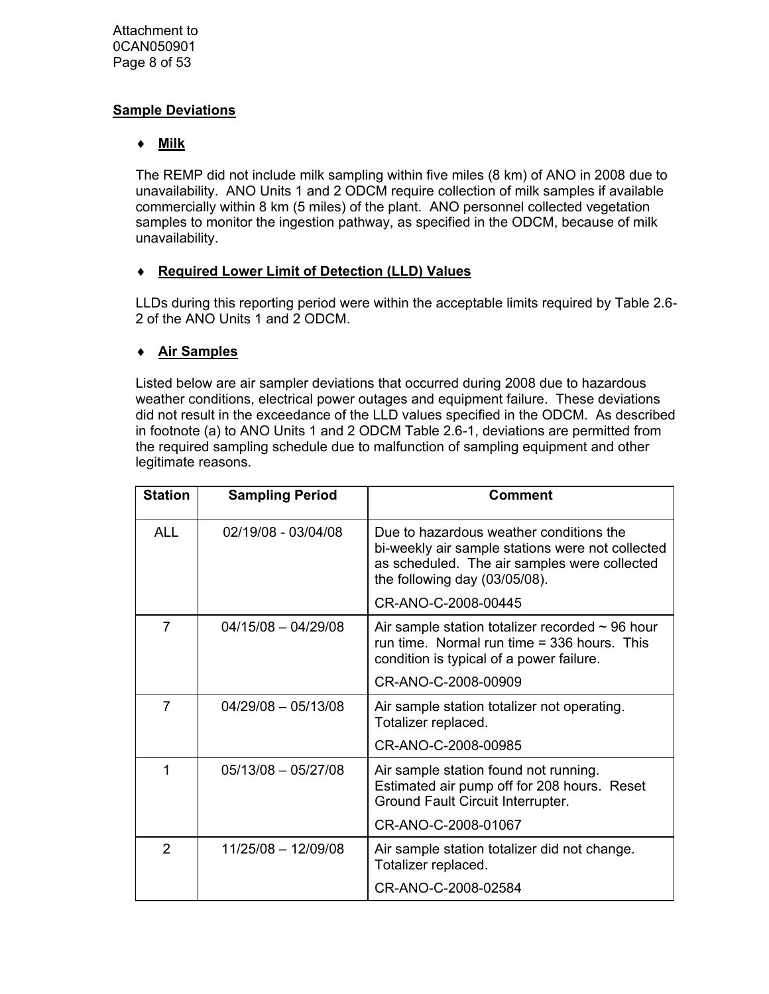Attachment to 0CAN050901 Page 8 of 53

### **Sample Deviations**

### ♦ **Milk**

The REMP did not include milk sampling within five miles (8 km) of ANO in 2008 due to unavailability. ANO Units 1 and 2 ODCM require collection of milk samples if available commercially within 8 km (5 miles) of the plant. ANO personnel collected vegetation samples to monitor the ingestion pathway, as specified in the ODCM, because of milk unavailability.

### ♦ **Required Lower Limit of Detection (LLD) Values**

LLDs during this reporting period were within the acceptable limits required by Table 2.6- 2 of the ANO Units 1 and 2 ODCM.

### ♦ **Air Samples**

Listed below are air sampler deviations that occurred during 2008 due to hazardous weather conditions, electrical power outages and equipment failure. These deviations did not result in the exceedance of the LLD values specified in the ODCM. As described in footnote (a) to ANO Units 1 and 2 ODCM Table 2.6-1, deviations are permitted from the required sampling schedule due to malfunction of sampling equipment and other legitimate reasons.

| <b>Station</b> | <b>Sampling Period</b> | <b>Comment</b>                                                                                                                                                               |
|----------------|------------------------|------------------------------------------------------------------------------------------------------------------------------------------------------------------------------|
| ALL.           | 02/19/08 - 03/04/08    | Due to hazardous weather conditions the<br>bi-weekly air sample stations were not collected<br>as scheduled. The air samples were collected<br>the following day (03/05/08). |
|                |                        | CR-ANO-C-2008-00445                                                                                                                                                          |
| 7              | $04/15/08 - 04/29/08$  | Air sample station totalizer recorded $\sim$ 96 hour<br>run time. Normal run time = 336 hours. This<br>condition is typical of a power failure.                              |
|                |                        | CR-ANO-C-2008-00909                                                                                                                                                          |
| $\overline{7}$ | $04/29/08 - 05/13/08$  | Air sample station totalizer not operating.<br>Totalizer replaced.                                                                                                           |
|                |                        | CR-ANO-C-2008-00985                                                                                                                                                          |
| 1              | $05/13/08 - 05/27/08$  | Air sample station found not running.<br>Estimated air pump off for 208 hours. Reset<br>Ground Fault Circuit Interrupter.                                                    |
|                |                        | CR-ANO-C-2008-01067                                                                                                                                                          |
| 2              | 11/25/08 - 12/09/08    | Air sample station totalizer did not change.<br>Totalizer replaced.                                                                                                          |
|                |                        | CR-ANO-C-2008-02584                                                                                                                                                          |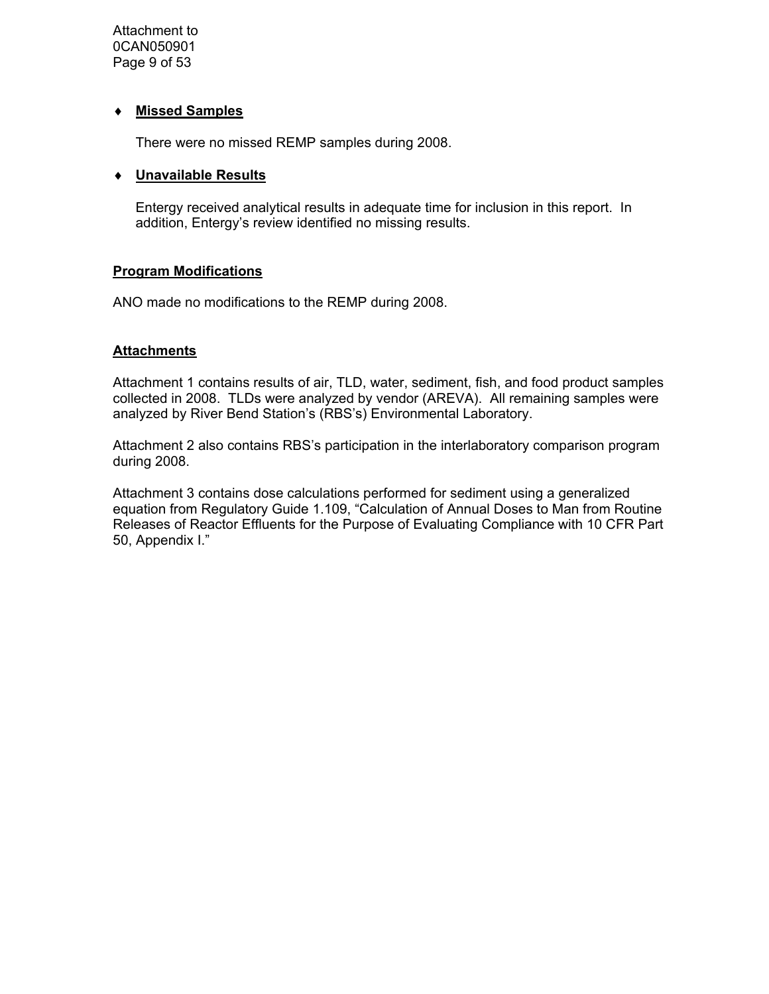Attachment to 0CAN050901 Page 9 of 53

#### ♦ **Missed Samples**

There were no missed REMP samples during 2008.

#### ♦ **Unavailable Results**

Entergy received analytical results in adequate time for inclusion in this report. In addition, Entergy's review identified no missing results.

#### **Program Modifications**

ANO made no modifications to the REMP during 2008.

#### **Attachments**

Attachment 1 contains results of air, TLD, water, sediment, fish, and food product samples collected in 2008. TLDs were analyzed by vendor (AREVA). All remaining samples were analyzed by River Bend Station's (RBS's) Environmental Laboratory.

Attachment 2 also contains RBS's participation in the interlaboratory comparison program during 2008.

Attachment 3 contains dose calculations performed for sediment using a generalized equation from Regulatory Guide 1.109, "Calculation of Annual Doses to Man from Routine Releases of Reactor Effluents for the Purpose of Evaluating Compliance with 10 CFR Part 50, Appendix I."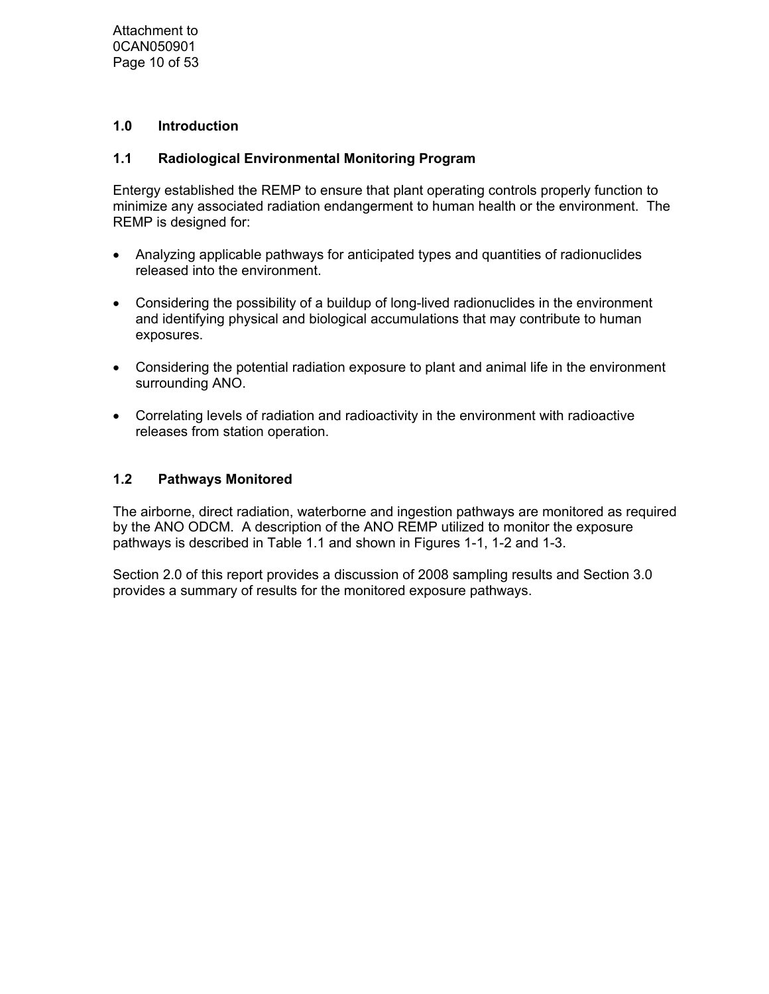Attachment to 0CAN050901 Page 10 of 53

### **1.0 Introduction**

#### **1.1 Radiological Environmental Monitoring Program**

Entergy established the REMP to ensure that plant operating controls properly function to minimize any associated radiation endangerment to human health or the environment. The REMP is designed for:

- Analyzing applicable pathways for anticipated types and quantities of radionuclides released into the environment.
- Considering the possibility of a buildup of long-lived radionuclides in the environment and identifying physical and biological accumulations that may contribute to human exposures.
- Considering the potential radiation exposure to plant and animal life in the environment surrounding ANO.
- Correlating levels of radiation and radioactivity in the environment with radioactive releases from station operation.

### **1.2 Pathways Monitored**

The airborne, direct radiation, waterborne and ingestion pathways are monitored as required by the ANO ODCM. A description of the ANO REMP utilized to monitor the exposure pathways is described in Table 1.1 and shown in Figures 1-1, 1-2 and 1-3.

Section 2.0 of this report provides a discussion of 2008 sampling results and Section 3.0 provides a summary of results for the monitored exposure pathways.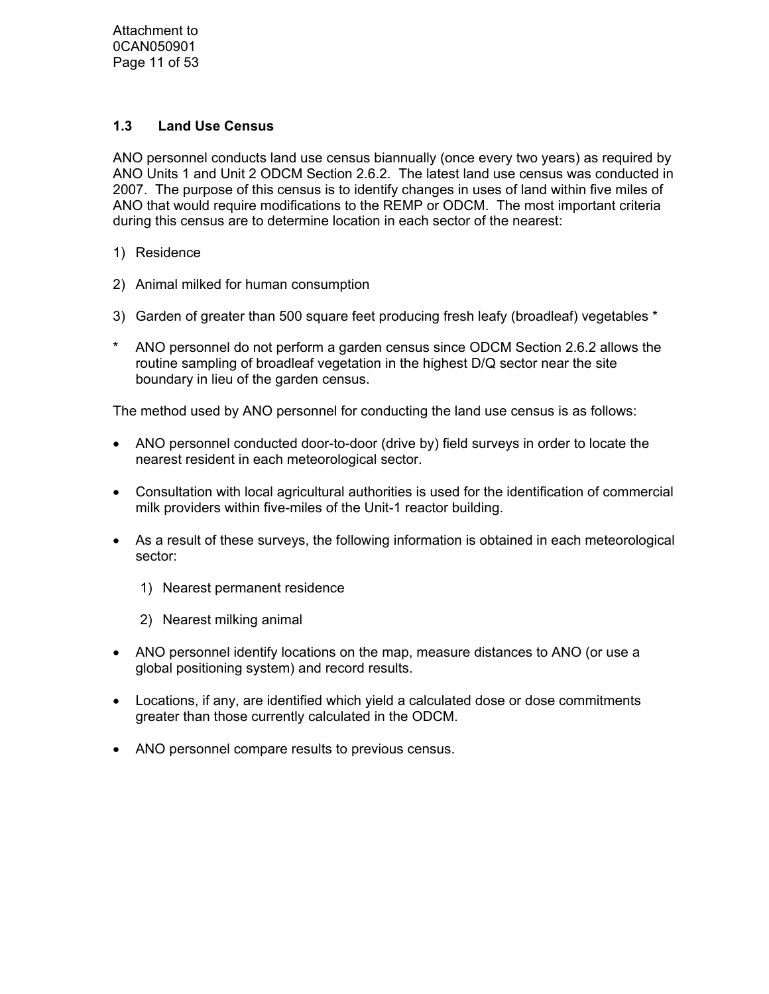Attachment to 0CAN050901 Page 11 of 53

### **1.3 Land Use Census**

ANO personnel conducts land use census biannually (once every two years) as required by ANO Units 1 and Unit 2 ODCM Section 2.6.2. The latest land use census was conducted in 2007. The purpose of this census is to identify changes in uses of land within five miles of ANO that would require modifications to the REMP or ODCM. The most important criteria during this census are to determine location in each sector of the nearest:

- 1) Residence
- 2) Animal milked for human consumption
- 3) Garden of greater than 500 square feet producing fresh leafy (broadleaf) vegetables \*
- \* ANO personnel do not perform a garden census since ODCM Section 2.6.2 allows the routine sampling of broadleaf vegetation in the highest D/Q sector near the site boundary in lieu of the garden census.

The method used by ANO personnel for conducting the land use census is as follows:

- ANO personnel conducted door-to-door (drive by) field surveys in order to locate the nearest resident in each meteorological sector.
- Consultation with local agricultural authorities is used for the identification of commercial milk providers within five-miles of the Unit-1 reactor building.
- As a result of these surveys, the following information is obtained in each meteorological sector:
	- 1) Nearest permanent residence
	- 2) Nearest milking animal
- ANO personnel identify locations on the map, measure distances to ANO (or use a global positioning system) and record results.
- Locations, if any, are identified which yield a calculated dose or dose commitments greater than those currently calculated in the ODCM.
- ANO personnel compare results to previous census.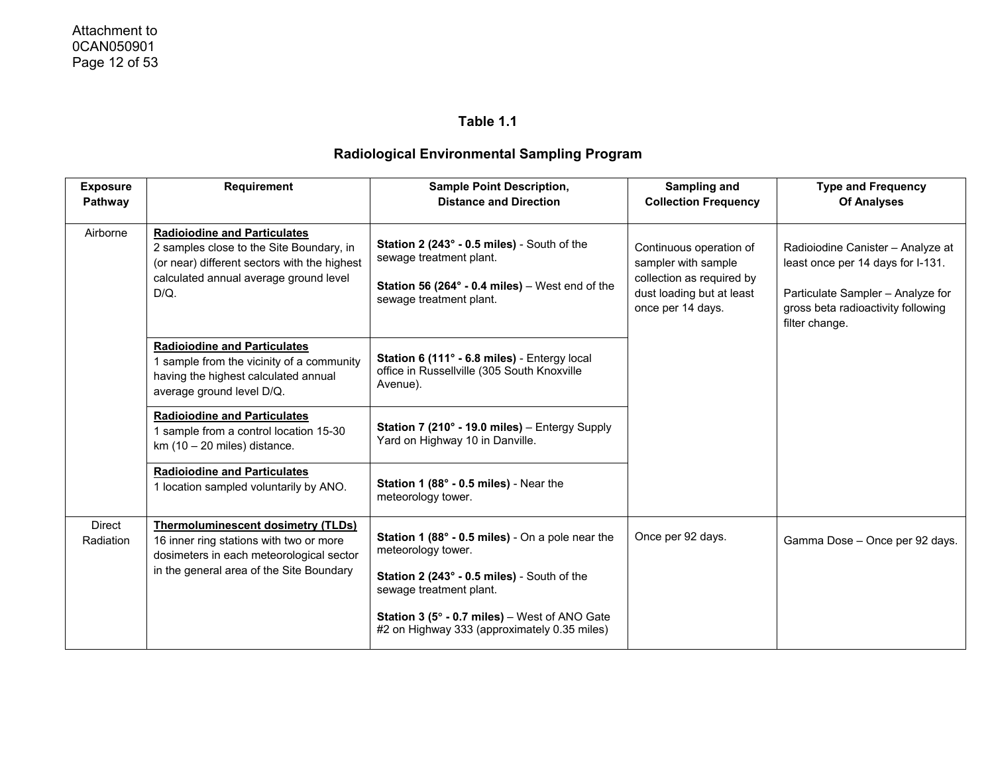| <b>Exposure</b><br><b>Pathway</b> | <b>Requirement</b>                                                                                                                                                                   | <b>Sample Point Description,</b><br><b>Distance and Direction</b>                                                                                                                                 | Sampling and<br><b>Collection Frequency</b>                                                                                   | <b>Type and Frequency</b><br><b>Of Analyses</b>                                                                                                                     |
|-----------------------------------|--------------------------------------------------------------------------------------------------------------------------------------------------------------------------------------|---------------------------------------------------------------------------------------------------------------------------------------------------------------------------------------------------|-------------------------------------------------------------------------------------------------------------------------------|---------------------------------------------------------------------------------------------------------------------------------------------------------------------|
| Airborne                          | <b>Radioiodine and Particulates</b><br>2 samples close to the Site Boundary, in<br>(or near) different sectors with the highest<br>calculated annual average ground level<br>$D/Q$ . | Station 2 (243° - 0.5 miles) - South of the<br>sewage treatment plant.<br>Station 56 (264 $\degree$ - 0.4 miles) – West end of the<br>sewage treatment plant.                                     | Continuous operation of<br>sampler with sample<br>collection as required by<br>dust loading but at least<br>once per 14 days. | Radioiodine Canister - Analyze at<br>least once per 14 days for I-131.<br>Particulate Sampler - Analyze for<br>gross beta radioactivity following<br>filter change. |
|                                   | <b>Radioiodine and Particulates</b><br>1 sample from the vicinity of a community<br>having the highest calculated annual<br>average ground level D/Q.                                | Station 6 (111° - 6.8 miles) - Entergy local<br>office in Russellville (305 South Knoxville<br>Avenue).                                                                                           |                                                                                                                               |                                                                                                                                                                     |
|                                   | <b>Radioiodine and Particulates</b><br>1 sample from a control location 15-30<br>km $(10 - 20$ miles) distance.                                                                      | Station 7 (210° - 19.0 miles) - Entergy Supply<br>Yard on Highway 10 in Danville.                                                                                                                 |                                                                                                                               |                                                                                                                                                                     |
|                                   | <b>Radioiodine and Particulates</b><br>1 location sampled voluntarily by ANO.                                                                                                        | Station 1 (88° - 0.5 miles) - Near the<br>meteorology tower.                                                                                                                                      |                                                                                                                               |                                                                                                                                                                     |
| Direct<br>Radiation               | Thermoluminescent dosimetry (TLDs)<br>16 inner ring stations with two or more<br>dosimeters in each meteorological sector<br>in the general area of the Site Boundary                | Station 1 (88° - 0.5 miles) - On a pole near the<br>meteorology tower.<br>Station 2 (243° - 0.5 miles) - South of the<br>sewage treatment plant.<br>Station 3 (5° - 0.7 miles) - West of ANO Gate | Once per 92 days.                                                                                                             | Gamma Dose - Once per 92 days.                                                                                                                                      |
|                                   |                                                                                                                                                                                      | #2 on Highway 333 (approximately 0.35 miles)                                                                                                                                                      |                                                                                                                               |                                                                                                                                                                     |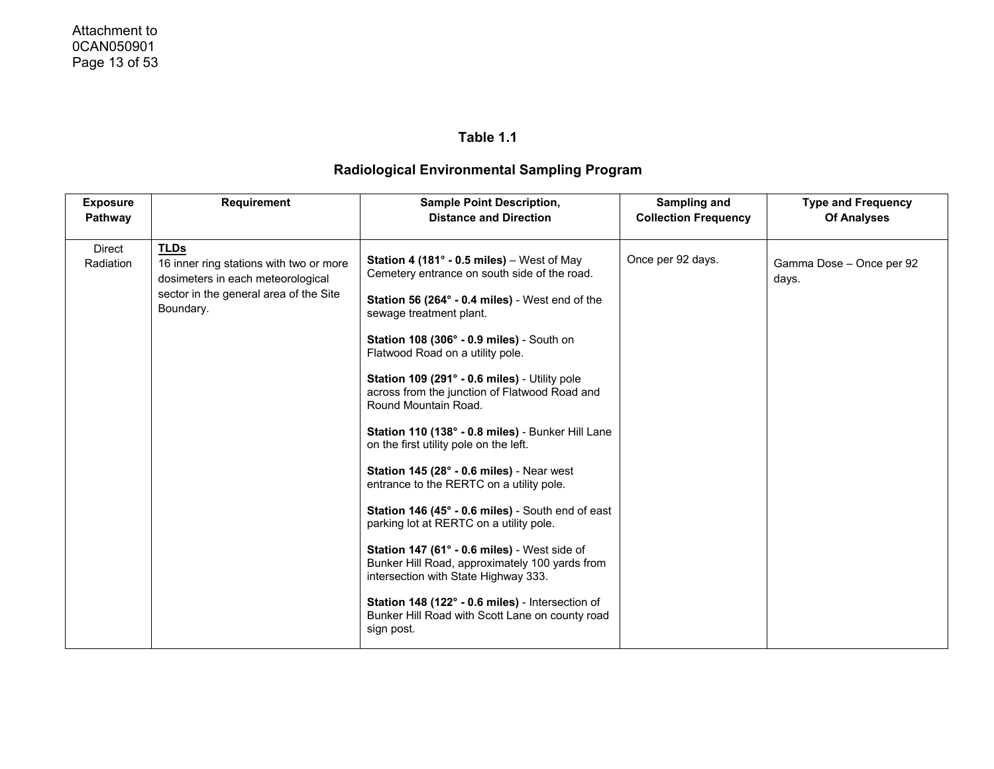| <b>Exposure</b>            | <b>Requirement</b>                                                                                                                                 | <b>Sample Point Description,</b>                                                                                                                                                                                                                                                                                                                                                                                                                                                                                                                                                                                                                                                                                                                                                                                                                                                                                                                                      | Sampling and                | <b>Type and Frequency</b>         |
|----------------------------|----------------------------------------------------------------------------------------------------------------------------------------------------|-----------------------------------------------------------------------------------------------------------------------------------------------------------------------------------------------------------------------------------------------------------------------------------------------------------------------------------------------------------------------------------------------------------------------------------------------------------------------------------------------------------------------------------------------------------------------------------------------------------------------------------------------------------------------------------------------------------------------------------------------------------------------------------------------------------------------------------------------------------------------------------------------------------------------------------------------------------------------|-----------------------------|-----------------------------------|
| Pathway                    |                                                                                                                                                    | <b>Distance and Direction</b>                                                                                                                                                                                                                                                                                                                                                                                                                                                                                                                                                                                                                                                                                                                                                                                                                                                                                                                                         | <b>Collection Frequency</b> | <b>Of Analyses</b>                |
| <b>Direct</b><br>Radiation | <b>TLDs</b><br>16 inner ring stations with two or more<br>dosimeters in each meteorological<br>sector in the general area of the Site<br>Boundary. | <b>Station 4 (181<math>^{\circ}</math> - 0.5 miles)</b> – West of May<br>Cemetery entrance on south side of the road.<br>Station 56 (264° - 0.4 miles) - West end of the<br>sewage treatment plant.<br>Station 108 (306° - 0.9 miles) - South on<br>Flatwood Road on a utility pole.<br>Station 109 (291° - 0.6 miles) - Utility pole<br>across from the junction of Flatwood Road and<br>Round Mountain Road.<br>Station 110 (138° - 0.8 miles) - Bunker Hill Lane<br>on the first utility pole on the left.<br>Station 145 (28° - 0.6 miles) - Near west<br>entrance to the RERTC on a utility pole.<br>Station 146 (45° - 0.6 miles) - South end of east<br>parking lot at RERTC on a utility pole.<br>Station 147 (61° - 0.6 miles) - West side of<br>Bunker Hill Road, approximately 100 yards from<br>intersection with State Highway 333.<br>Station 148 (122° - 0.6 miles) - Intersection of<br>Bunker Hill Road with Scott Lane on county road<br>sign post. | Once per 92 days.           | Gamma Dose - Once per 92<br>days. |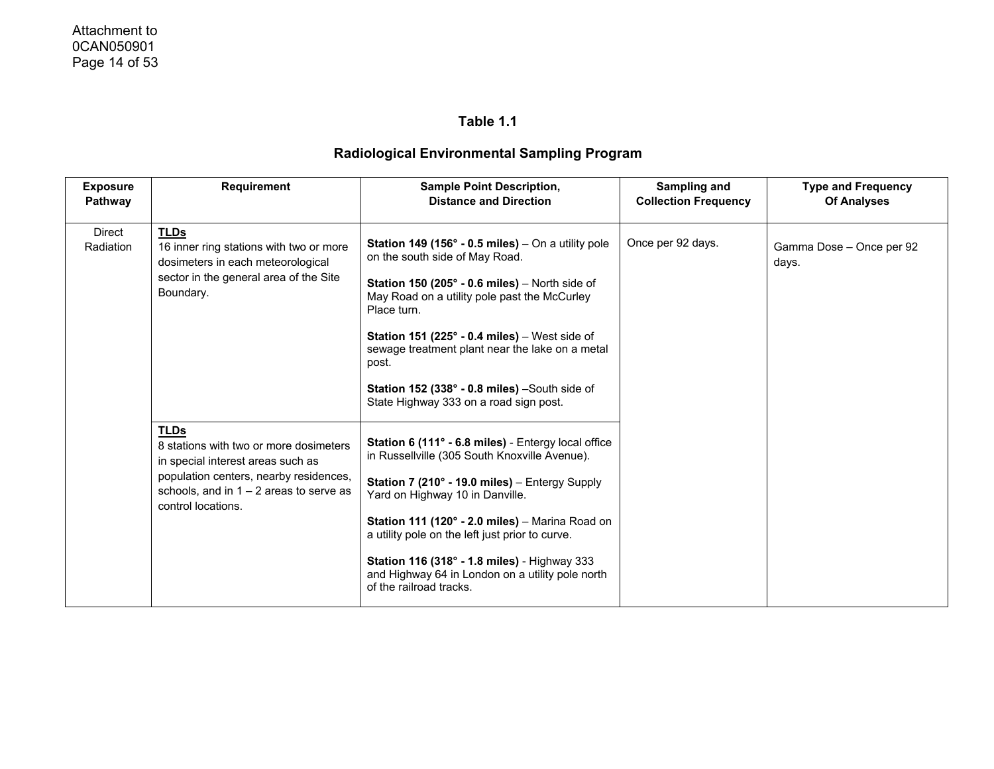| <b>Exposure</b><br>Pathway | Requirement                                                                                                                                                                                             | <b>Sample Point Description,</b><br><b>Distance and Direction</b>                                                                                                                                                                                                                                                                                                                                                                                            | Sampling and<br><b>Collection Frequency</b> | <b>Type and Frequency</b><br><b>Of Analyses</b> |
|----------------------------|---------------------------------------------------------------------------------------------------------------------------------------------------------------------------------------------------------|--------------------------------------------------------------------------------------------------------------------------------------------------------------------------------------------------------------------------------------------------------------------------------------------------------------------------------------------------------------------------------------------------------------------------------------------------------------|---------------------------------------------|-------------------------------------------------|
| <b>Direct</b><br>Radiation | <b>TLDs</b><br>16 inner ring stations with two or more<br>dosimeters in each meteorological<br>sector in the general area of the Site<br>Boundary.                                                      | Station 149 (156 $^{\circ}$ - 0.5 miles) - On a utility pole<br>on the south side of May Road.<br>Station 150 (205 $^{\circ}$ - 0.6 miles) - North side of<br>May Road on a utility pole past the McCurley<br>Place turn.<br><b>Station 151 (225<math>^{\circ}</math> - 0.4 miles)</b> – West side of<br>sewage treatment plant near the lake on a metal<br>post.<br>Station 152 (338° - 0.8 miles) -South side of<br>State Highway 333 on a road sign post. | Once per 92 days.                           | Gamma Dose - Once per 92<br>days.               |
|                            | <b>TLDs</b><br>8 stations with two or more dosimeters<br>in special interest areas such as<br>population centers, nearby residences,<br>schools, and in $1 - 2$ areas to serve as<br>control locations. | Station 6 (111° - 6.8 miles) - Entergy local office<br>in Russellville (305 South Knoxville Avenue).<br>Station 7 (210° - 19.0 miles) - Entergy Supply<br>Yard on Highway 10 in Danville.<br>Station 111 (120° - 2.0 miles) - Marina Road on<br>a utility pole on the left just prior to curve.<br><b>Station 116 (318° - 1.8 miles)</b> - Highway 333<br>and Highway 64 in London on a utility pole north<br>of the railroad tracks.                        |                                             |                                                 |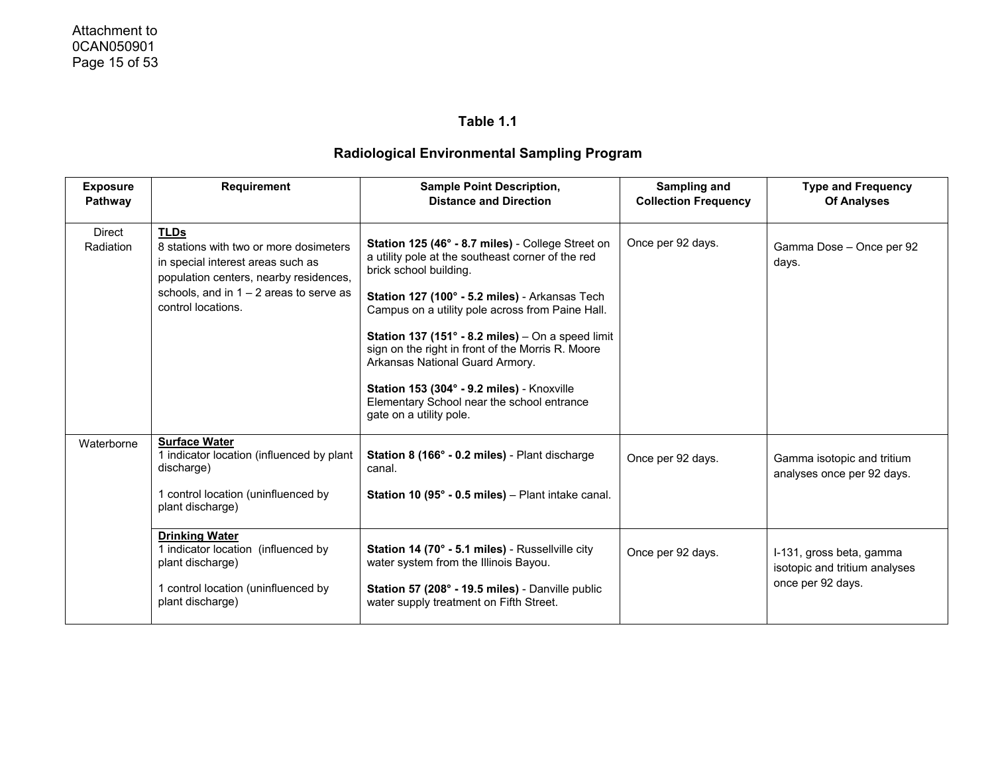| <b>Exposure</b><br>Pathway | <b>Requirement</b>                                                                                                                                                                                      | <b>Sample Point Description,</b><br><b>Distance and Direction</b>                                                                                                                                                                                                                                                                                                                                                                                                                                                   | Sampling and<br><b>Collection Frequency</b> | <b>Type and Frequency</b><br><b>Of Analyses</b>                                |
|----------------------------|---------------------------------------------------------------------------------------------------------------------------------------------------------------------------------------------------------|---------------------------------------------------------------------------------------------------------------------------------------------------------------------------------------------------------------------------------------------------------------------------------------------------------------------------------------------------------------------------------------------------------------------------------------------------------------------------------------------------------------------|---------------------------------------------|--------------------------------------------------------------------------------|
| <b>Direct</b><br>Radiation | <b>TLDs</b><br>8 stations with two or more dosimeters<br>in special interest areas such as<br>population centers, nearby residences,<br>schools, and in $1 - 2$ areas to serve as<br>control locations. | Station 125 (46° - 8.7 miles) - College Street on<br>a utility pole at the southeast corner of the red<br>brick school building.<br>Station 127 (100° - 5.2 miles) - Arkansas Tech<br>Campus on a utility pole across from Paine Hall.<br>Station 137 (151 $\degree$ - 8.2 miles) – On a speed limit<br>sign on the right in front of the Morris R. Moore<br>Arkansas National Guard Armory.<br>Station 153 (304° - 9.2 miles) - Knoxville<br>Elementary School near the school entrance<br>gate on a utility pole. | Once per 92 days.                           | Gamma Dose - Once per 92<br>days.                                              |
| Waterborne                 | <b>Surface Water</b><br>1 indicator location (influenced by plant<br>discharge)<br>1 control location (uninfluenced by<br>plant discharge)                                                              | Station 8 (166° - 0.2 miles) - Plant discharge<br>canal.<br><b>Station 10 (95° - 0.5 miles)</b> – Plant intake canal.                                                                                                                                                                                                                                                                                                                                                                                               | Once per 92 days.                           | Gamma isotopic and tritium<br>analyses once per 92 days.                       |
|                            | <b>Drinking Water</b><br>1 indicator location (influenced by<br>plant discharge)<br>1 control location (uninfluenced by<br>plant discharge)                                                             | Station 14 (70° - 5.1 miles) - Russellville city<br>water system from the Illinois Bayou.<br>Station 57 (208° - 19.5 miles) - Danville public<br>water supply treatment on Fifth Street.                                                                                                                                                                                                                                                                                                                            | Once per 92 days.                           | I-131, gross beta, gamma<br>isotopic and tritium analyses<br>once per 92 days. |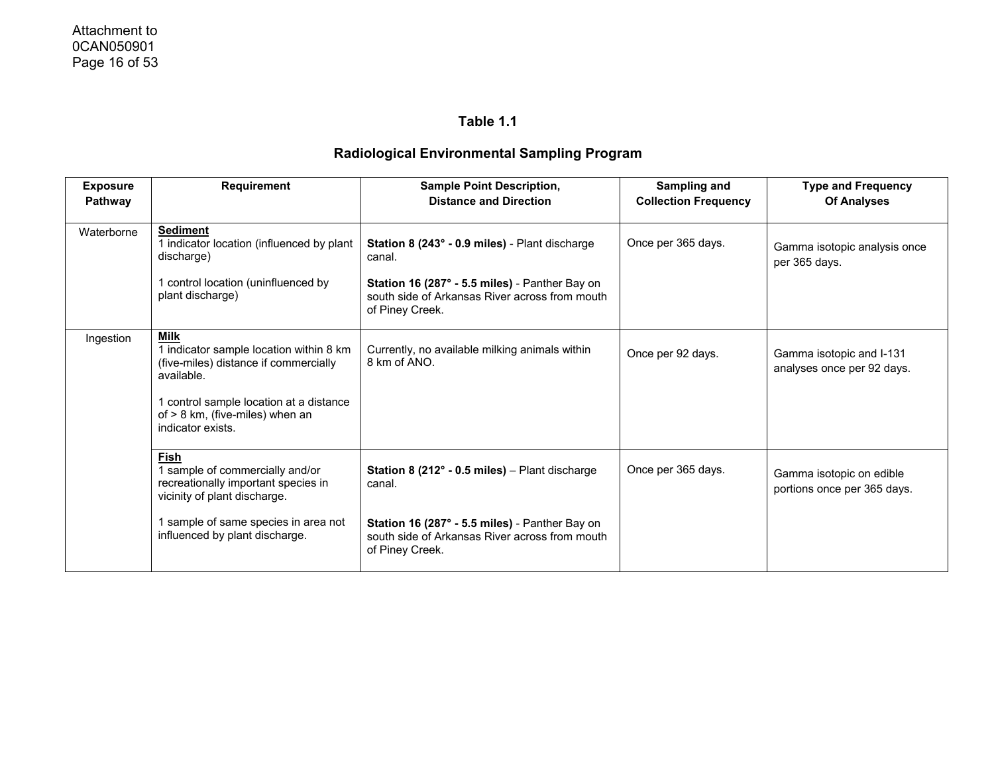| <b>Exposure</b><br>Pathway | Requirement                                                                                                                                                                                                      | <b>Sample Point Description,</b><br><b>Distance and Direction</b>                                                                                                                                          | Sampling and<br><b>Collection Frequency</b> | <b>Type and Frequency</b><br><b>Of Analyses</b>         |
|----------------------------|------------------------------------------------------------------------------------------------------------------------------------------------------------------------------------------------------------------|------------------------------------------------------------------------------------------------------------------------------------------------------------------------------------------------------------|---------------------------------------------|---------------------------------------------------------|
| Waterborne                 | <b>Sediment</b><br>1 indicator location (influenced by plant<br>discharge)<br>1 control location (uninfluenced by<br>plant discharge)                                                                            | Station 8 (243° - 0.9 miles) - Plant discharge<br>canal.<br>Station 16 (287° - 5.5 miles) - Panther Bay on<br>south side of Arkansas River across from mouth<br>of Piney Creek.                            | Once per 365 days.                          | Gamma isotopic analysis once<br>per 365 days.           |
| Ingestion                  | <b>Milk</b><br>1 indicator sample location within 8 km<br>(five-miles) distance if commercially<br>available.<br>1 control sample location at a distance<br>of > 8 km, (five-miles) when an<br>indicator exists. | Currently, no available milking animals within<br>8 km of ANO.                                                                                                                                             | Once per 92 days.                           | Gamma isotopic and I-131<br>analyses once per 92 days.  |
|                            | Fish<br>1 sample of commercially and/or<br>recreationally important species in<br>vicinity of plant discharge.<br>1 sample of same species in area not<br>influenced by plant discharge.                         | <b>Station 8 (212<math>^{\circ}</math> - 0.5 miles)</b> – Plant discharge<br>canal.<br>Station 16 (287° - 5.5 miles) - Panther Bay on<br>south side of Arkansas River across from mouth<br>of Piney Creek. | Once per 365 days.                          | Gamma isotopic on edible<br>portions once per 365 days. |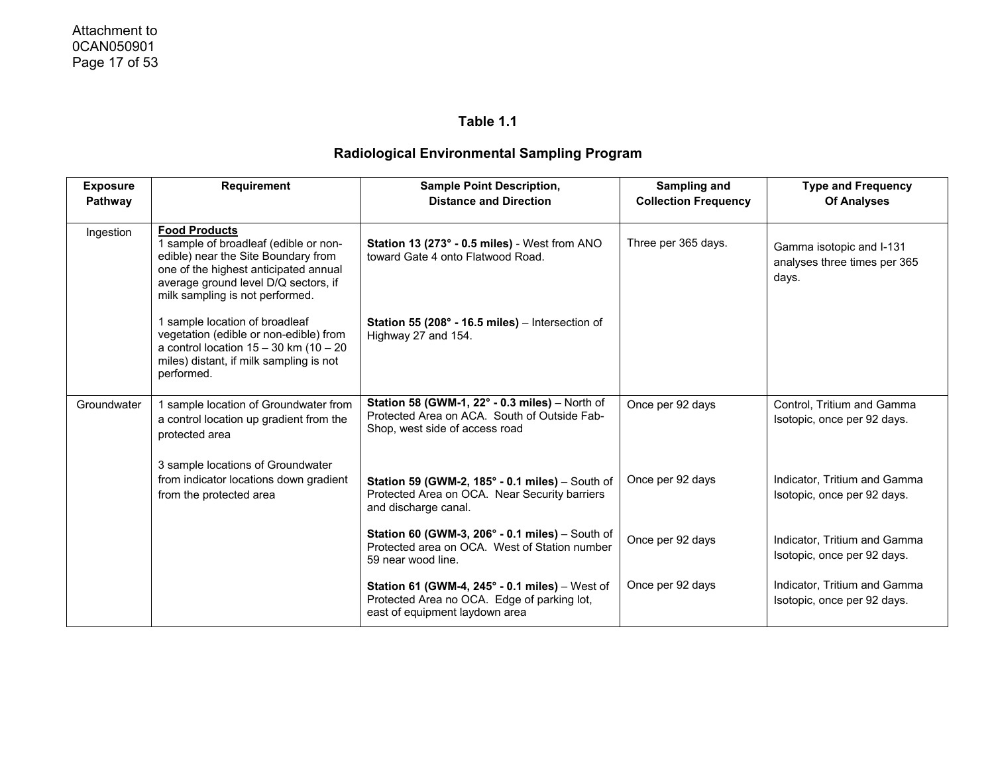| <b>Exposure</b><br>Pathway | Requirement                                                                                                                                                                                                              | <b>Sample Point Description,</b><br><b>Distance and Direction</b>                                                                      | Sampling and<br><b>Collection Frequency</b> | <b>Type and Frequency</b><br><b>Of Analyses</b>                   |
|----------------------------|--------------------------------------------------------------------------------------------------------------------------------------------------------------------------------------------------------------------------|----------------------------------------------------------------------------------------------------------------------------------------|---------------------------------------------|-------------------------------------------------------------------|
| Ingestion                  | <b>Food Products</b><br>1 sample of broadleaf (edible or non-<br>edible) near the Site Boundary from<br>one of the highest anticipated annual<br>average ground level D/Q sectors, if<br>milk sampling is not performed. | Station 13 (273° - 0.5 miles) - West from ANO<br>toward Gate 4 onto Flatwood Road.                                                     | Three per 365 days.                         | Gamma isotopic and I-131<br>analyses three times per 365<br>days. |
|                            | 1 sample location of broadleaf<br>vegetation (edible or non-edible) from<br>a control location $15 - 30$ km (10 - 20<br>miles) distant, if milk sampling is not<br>performed.                                            | Station 55 (208° - 16.5 miles) - Intersection of<br>Highway 27 and 154.                                                                |                                             |                                                                   |
| Groundwater                | 1 sample location of Groundwater from<br>a control location up gradient from the<br>protected area                                                                                                                       | Station 58 (GWM-1, 22° - 0.3 miles) - North of<br>Protected Area on ACA. South of Outside Fab-<br>Shop, west side of access road       | Once per 92 days                            | Control, Tritium and Gamma<br>Isotopic, once per 92 days.         |
|                            | 3 sample locations of Groundwater<br>from indicator locations down gradient<br>from the protected area                                                                                                                   | Station 59 (GWM-2, 185° - 0.1 miles) - South of<br>Protected Area on OCA. Near Security barriers<br>and discharge canal.               | Once per 92 days                            | Indicator, Tritium and Gamma<br>Isotopic, once per 92 days.       |
|                            |                                                                                                                                                                                                                          | Station 60 (GWM-3, 206 $^{\circ}$ - 0.1 miles) – South of<br>Protected area on OCA. West of Station number<br>59 near wood line.       | Once per 92 days                            | Indicator, Tritium and Gamma<br>Isotopic, once per 92 days.       |
|                            |                                                                                                                                                                                                                          | Station 61 (GWM-4, $245^\circ$ - 0.1 miles) – West of<br>Protected Area no OCA. Edge of parking lot,<br>east of equipment laydown area | Once per 92 days                            | Indicator, Tritium and Gamma<br>Isotopic, once per 92 days.       |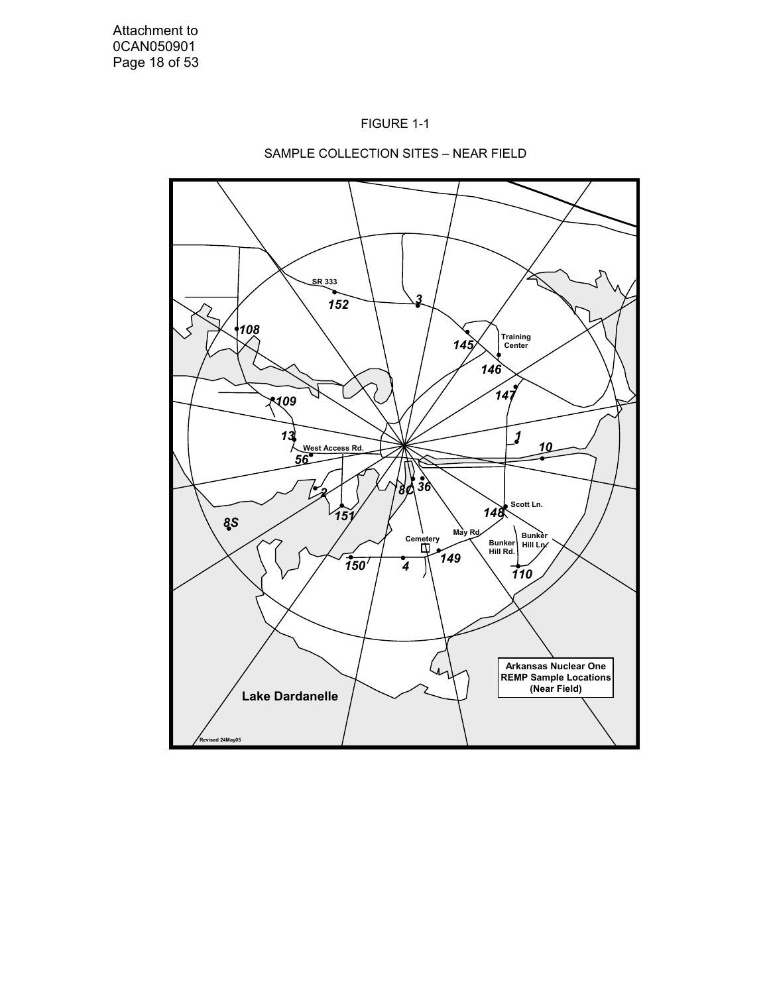



#### SAMPLE COLLECTION SITES – NEAR FIELD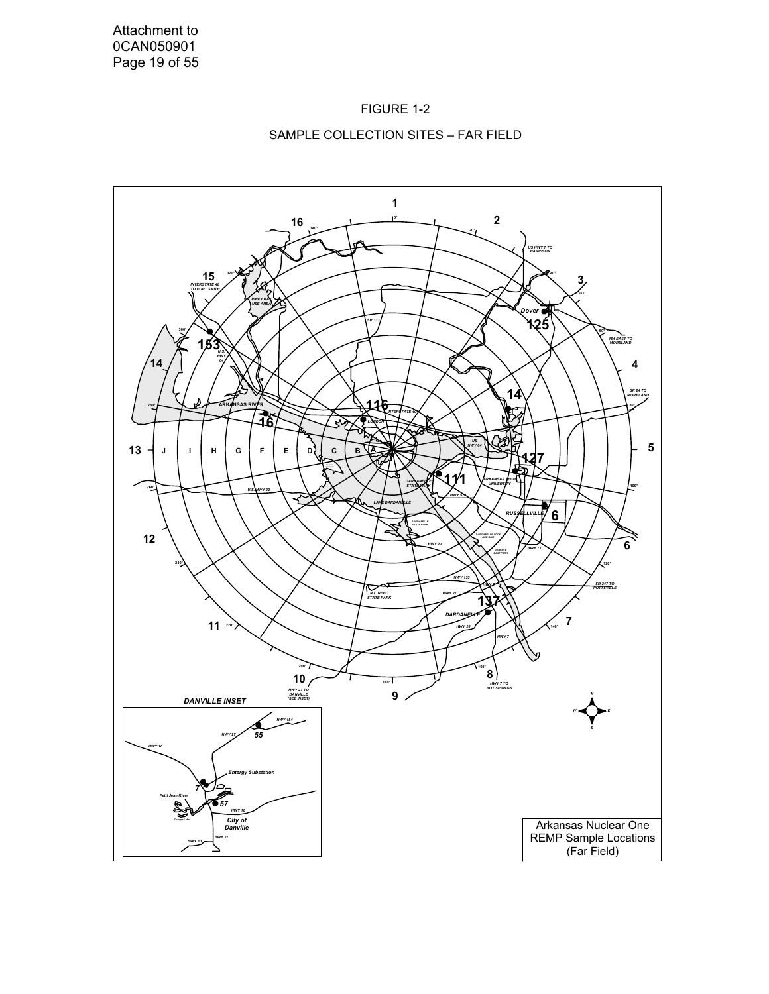

#### SAMPLE COLLECTION SITES – FAR FIELD

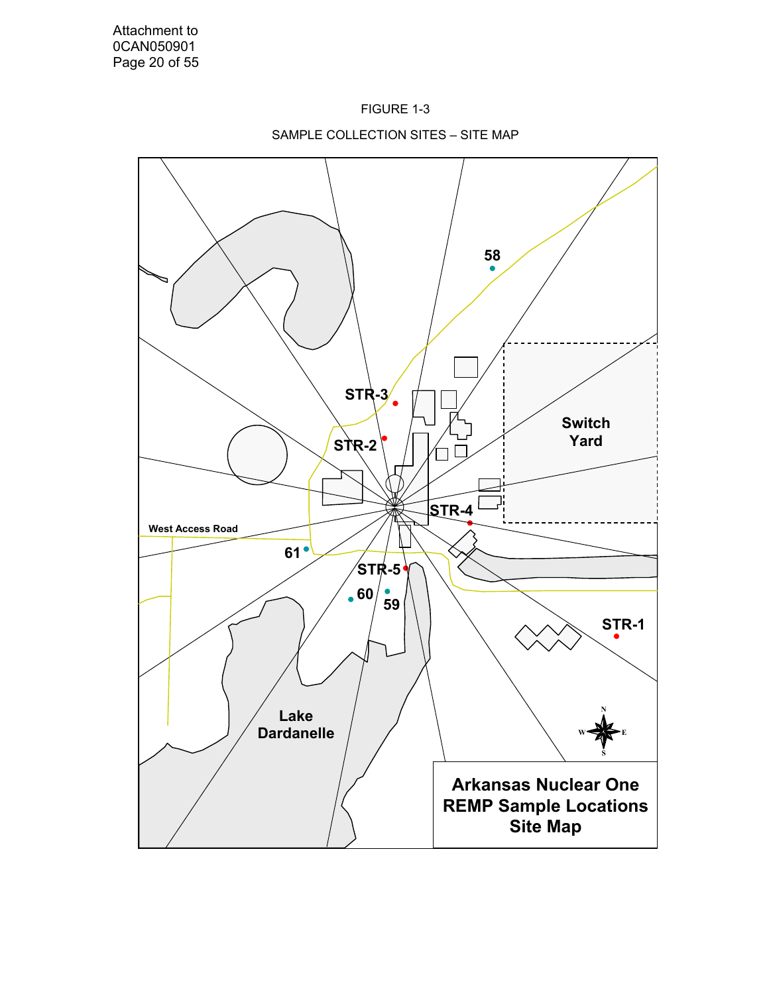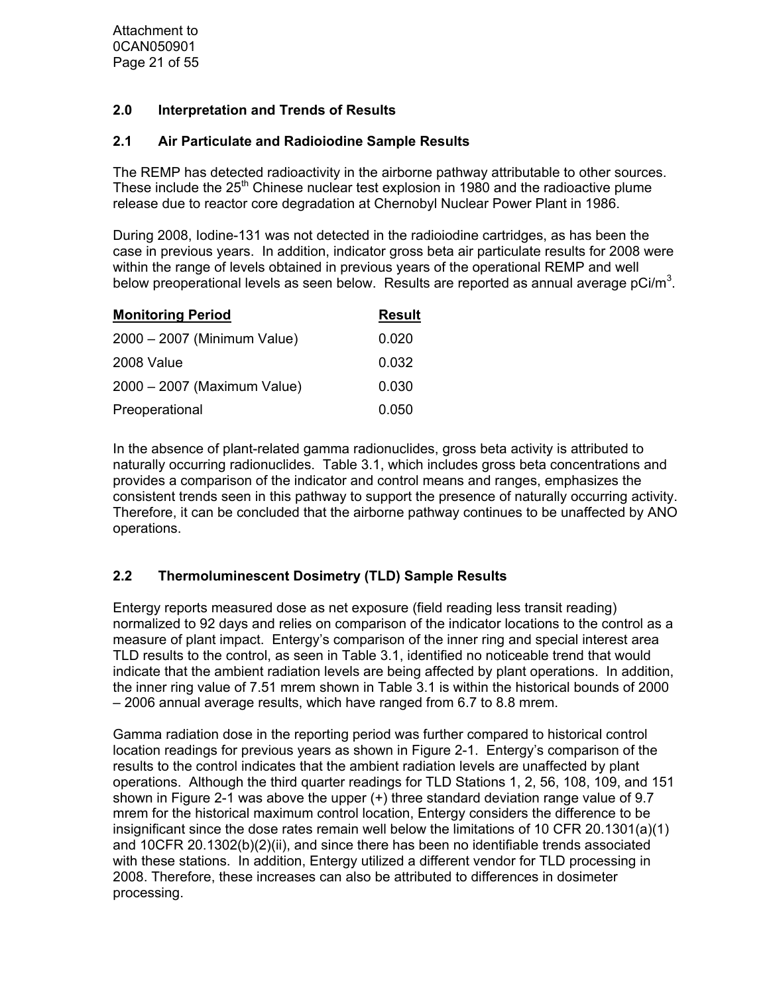### **2.0 Interpretation and Trends of Results**

### **2.1 Air Particulate and Radioiodine Sample Results**

The REMP has detected radioactivity in the airborne pathway attributable to other sources. These include the  $25<sup>th</sup>$  Chinese nuclear test explosion in 1980 and the radioactive plume release due to reactor core degradation at Chernobyl Nuclear Power Plant in 1986.

During 2008, Iodine-131 was not detected in the radioiodine cartridges, as has been the case in previous years. In addition, indicator gross beta air particulate results for 2008 were within the range of levels obtained in previous years of the operational REMP and well below preoperational levels as seen below. Results are reported as annual average  $pCi/m^3$ .

| <b>Monitoring Period</b>    | <b>Result</b> |
|-----------------------------|---------------|
| 2000 - 2007 (Minimum Value) | 0.020         |
| 2008 Value                  | 0.032         |
| 2000 - 2007 (Maximum Value) | 0.030         |
| Preoperational              | 0.050         |

In the absence of plant-related gamma radionuclides, gross beta activity is attributed to naturally occurring radionuclides. Table 3.1, which includes gross beta concentrations and provides a comparison of the indicator and control means and ranges, emphasizes the consistent trends seen in this pathway to support the presence of naturally occurring activity. Therefore, it can be concluded that the airborne pathway continues to be unaffected by ANO operations.

### **2.2 Thermoluminescent Dosimetry (TLD) Sample Results**

Entergy reports measured dose as net exposure (field reading less transit reading) normalized to 92 days and relies on comparison of the indicator locations to the control as a measure of plant impact. Entergy's comparison of the inner ring and special interest area TLD results to the control, as seen in Table 3.1, identified no noticeable trend that would indicate that the ambient radiation levels are being affected by plant operations. In addition, the inner ring value of 7.51 mrem shown in Table 3.1 is within the historical bounds of 2000 – 2006 annual average results, which have ranged from 6.7 to 8.8 mrem.

Gamma radiation dose in the reporting period was further compared to historical control location readings for previous years as shown in Figure 2-1. Entergy's comparison of the results to the control indicates that the ambient radiation levels are unaffected by plant operations. Although the third quarter readings for TLD Stations 1, 2, 56, 108, 109, and 151 shown in Figure 2-1 was above the upper (+) three standard deviation range value of 9.7 mrem for the historical maximum control location, Entergy considers the difference to be insignificant since the dose rates remain well below the limitations of 10 CFR 20.1301(a)(1) and 10CFR 20.1302(b)(2)(ii), and since there has been no identifiable trends associated with these stations. In addition, Entergy utilized a different vendor for TLD processing in 2008. Therefore, these increases can also be attributed to differences in dosimeter processing.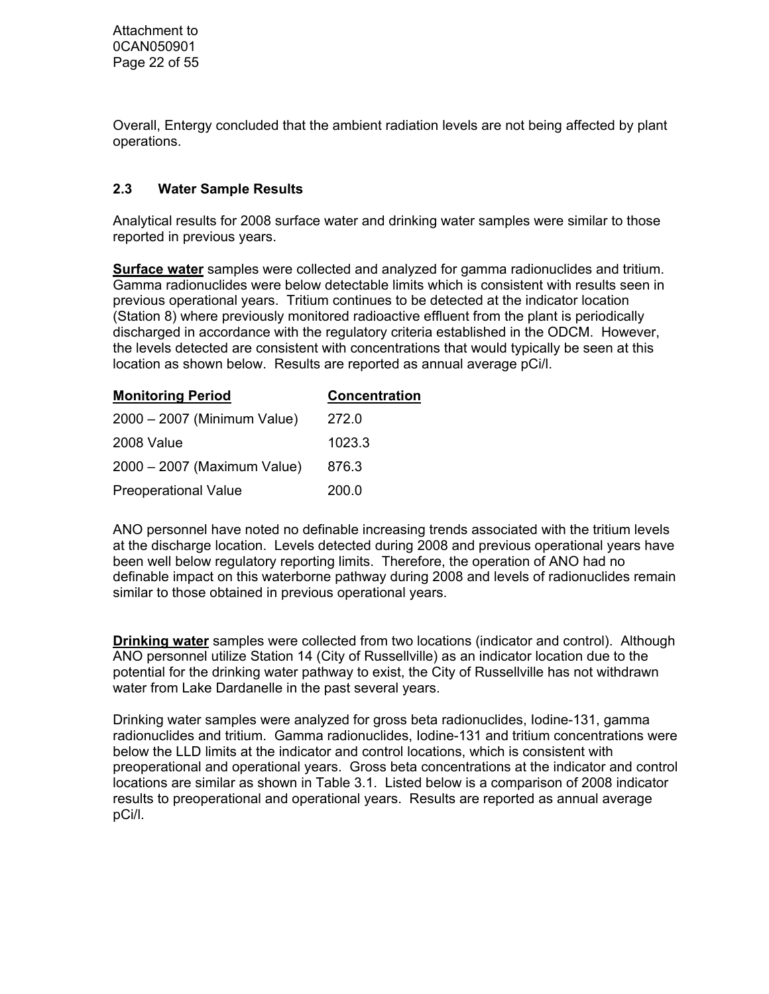Attachment to 0CAN050901 Page 22 of 55

Overall, Entergy concluded that the ambient radiation levels are not being affected by plant operations.

### **2.3 Water Sample Results**

Analytical results for 2008 surface water and drinking water samples were similar to those reported in previous years.

**Surface water** samples were collected and analyzed for gamma radionuclides and tritium. Gamma radionuclides were below detectable limits which is consistent with results seen in previous operational years. Tritium continues to be detected at the indicator location (Station 8) where previously monitored radioactive effluent from the plant is periodically discharged in accordance with the regulatory criteria established in the ODCM. However, the levels detected are consistent with concentrations that would typically be seen at this location as shown below. Results are reported as annual average pCi/l.

| <b>Monitoring Period</b>    | <b>Concentration</b> |
|-----------------------------|----------------------|
| 2000 - 2007 (Minimum Value) | 272.0                |
| 2008 Value                  | 1023.3               |
| 2000 - 2007 (Maximum Value) | 876.3                |
| <b>Preoperational Value</b> | 200.0                |

ANO personnel have noted no definable increasing trends associated with the tritium levels at the discharge location. Levels detected during 2008 and previous operational years have been well below regulatory reporting limits. Therefore, the operation of ANO had no definable impact on this waterborne pathway during 2008 and levels of radionuclides remain similar to those obtained in previous operational years.

**Drinking water** samples were collected from two locations (indicator and control). Although ANO personnel utilize Station 14 (City of Russellville) as an indicator location due to the potential for the drinking water pathway to exist, the City of Russellville has not withdrawn water from Lake Dardanelle in the past several years.

Drinking water samples were analyzed for gross beta radionuclides, Iodine-131, gamma radionuclides and tritium. Gamma radionuclides, Iodine-131 and tritium concentrations were below the LLD limits at the indicator and control locations, which is consistent with preoperational and operational years. Gross beta concentrations at the indicator and control locations are similar as shown in Table 3.1. Listed below is a comparison of 2008 indicator results to preoperational and operational years. Results are reported as annual average pCi/l.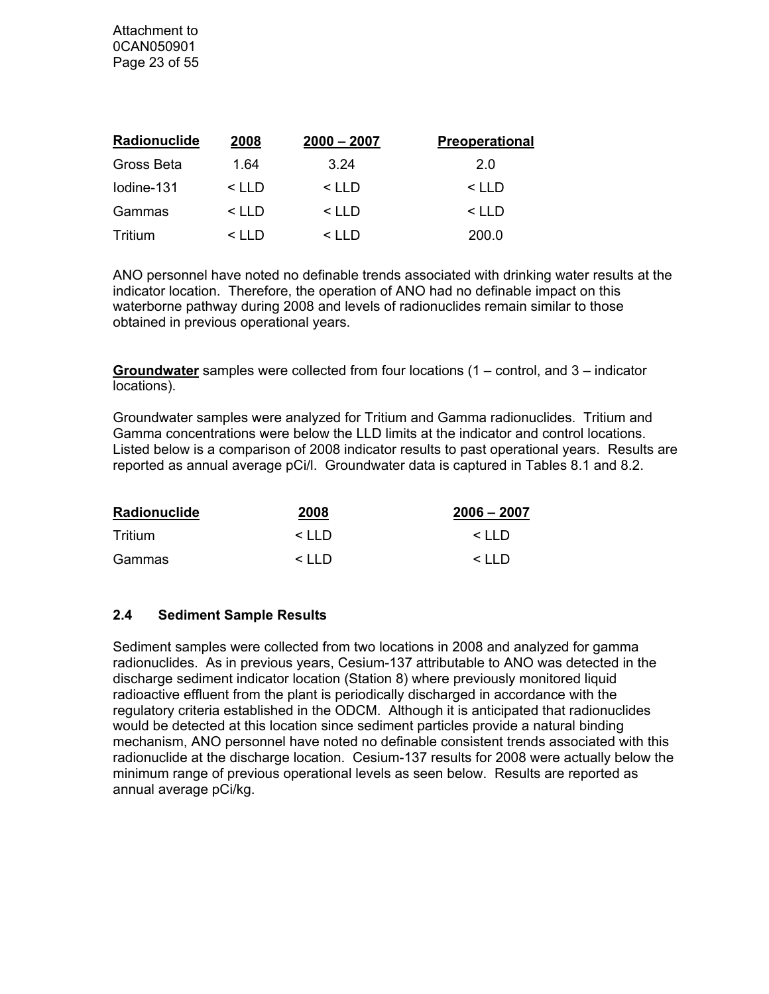Attachment to 0CAN050901 Page 23 of 55

| Radionuclide | 2008         | $2000 - 2007$ | <b>Preoperational</b> |
|--------------|--------------|---------------|-----------------------|
| Gross Beta   | 1.64         | 3.24          | 2.0                   |
| lodine-131   | $<$ LLD      | $<$ LLD       | $<$ LLD               |
| Gammas       | $\leq$ I I D | $<$ LLD       | $<$ LLD               |
| Tritium      | $\leq$ I I D | $<$ LLD       | 200.0                 |

ANO personnel have noted no definable trends associated with drinking water results at the indicator location. Therefore, the operation of ANO had no definable impact on this waterborne pathway during 2008 and levels of radionuclides remain similar to those obtained in previous operational years.

**Groundwater** samples were collected from four locations (1 – control, and 3 – indicator locations).

Groundwater samples were analyzed for Tritium and Gamma radionuclides. Tritium and Gamma concentrations were below the LLD limits at the indicator and control locations. Listed below is a comparison of 2008 indicator results to past operational years. Results are reported as annual average pCi/l. Groundwater data is captured in Tables 8.1 and 8.2.

| <b>Radionuclide</b> | 2008         | $2006 - 2007$ |
|---------------------|--------------|---------------|
| Tritium             | $\leq$ I I D | $\leq$ IID    |
| Gammas              | $\leq$ I I D | $\leq$ IID    |

### **2.4 Sediment Sample Results**

Sediment samples were collected from two locations in 2008 and analyzed for gamma radionuclides. As in previous years, Cesium-137 attributable to ANO was detected in the discharge sediment indicator location (Station 8) where previously monitored liquid radioactive effluent from the plant is periodically discharged in accordance with the regulatory criteria established in the ODCM. Although it is anticipated that radionuclides would be detected at this location since sediment particles provide a natural binding mechanism, ANO personnel have noted no definable consistent trends associated with this radionuclide at the discharge location. Cesium-137 results for 2008 were actually below the minimum range of previous operational levels as seen below. Results are reported as annual average pCi/kg.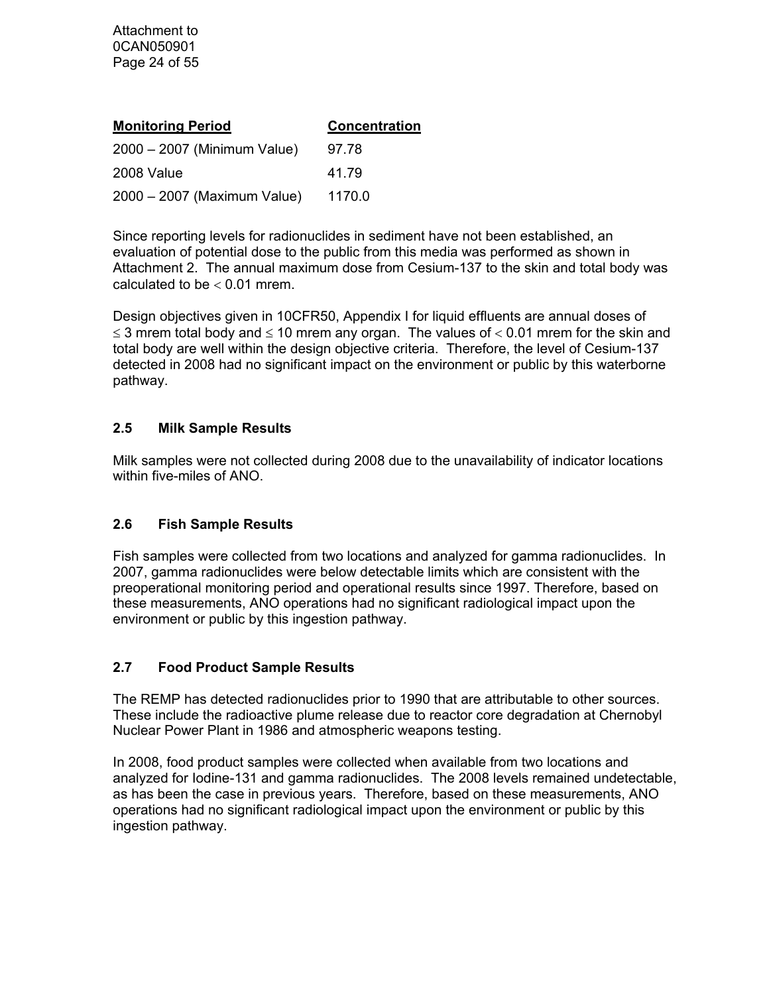| <b>Monitoring Period</b>    | <b>Concentration</b> |
|-----------------------------|----------------------|
| 2000 - 2007 (Minimum Value) | 97.78                |
| 2008 Value                  | 41.79                |
| 2000 - 2007 (Maximum Value) | 1170.0               |

Since reporting levels for radionuclides in sediment have not been established, an evaluation of potential dose to the public from this media was performed as shown in Attachment 2. The annual maximum dose from Cesium-137 to the skin and total body was calculated to be  $< 0.01$  mrem.

Design objectives given in 10CFR50, Appendix I for liquid effluents are annual doses of ≤ 3 mrem total body and ≤ 10 mrem any organ. The values of  $<$  0.01 mrem for the skin and total body are well within the design objective criteria. Therefore, the level of Cesium-137 detected in 2008 had no significant impact on the environment or public by this waterborne pathway.

### **2.5 Milk Sample Results**

Milk samples were not collected during 2008 due to the unavailability of indicator locations within five-miles of ANO.

### **2.6 Fish Sample Results**

Fish samples were collected from two locations and analyzed for gamma radionuclides. In 2007, gamma radionuclides were below detectable limits which are consistent with the preoperational monitoring period and operational results since 1997. Therefore, based on these measurements, ANO operations had no significant radiological impact upon the environment or public by this ingestion pathway.

### **2.7 Food Product Sample Results**

The REMP has detected radionuclides prior to 1990 that are attributable to other sources. These include the radioactive plume release due to reactor core degradation at Chernobyl Nuclear Power Plant in 1986 and atmospheric weapons testing.

In 2008, food product samples were collected when available from two locations and analyzed for Iodine-131 and gamma radionuclides. The 2008 levels remained undetectable, as has been the case in previous years. Therefore, based on these measurements, ANO operations had no significant radiological impact upon the environment or public by this ingestion pathway.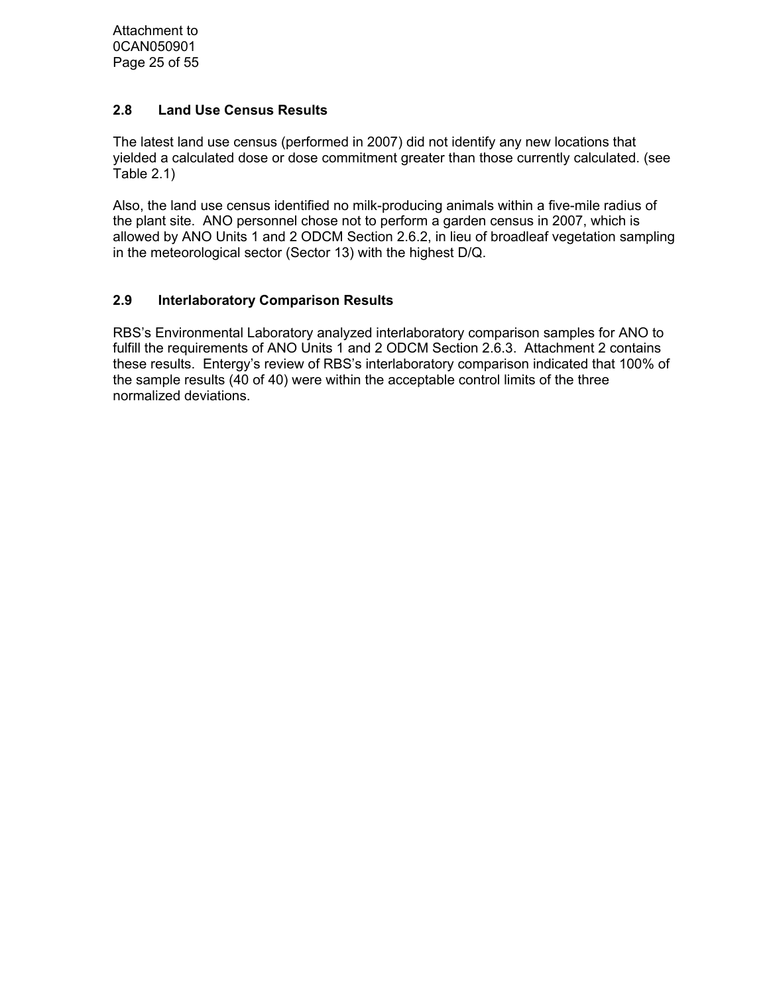Attachment to 0CAN050901 Page 25 of 55

### **2.8 Land Use Census Results**

The latest land use census (performed in 2007) did not identify any new locations that yielded a calculated dose or dose commitment greater than those currently calculated. (see Table 2.1)

Also, the land use census identified no milk-producing animals within a five-mile radius of the plant site. ANO personnel chose not to perform a garden census in 2007, which is allowed by ANO Units 1 and 2 ODCM Section 2.6.2, in lieu of broadleaf vegetation sampling in the meteorological sector (Sector 13) with the highest D/Q.

### **2.9 Interlaboratory Comparison Results**

RBS's Environmental Laboratory analyzed interlaboratory comparison samples for ANO to fulfill the requirements of ANO Units 1 and 2 ODCM Section 2.6.3. Attachment 2 contains these results. Entergy's review of RBS's interlaboratory comparison indicated that 100% of the sample results (40 of 40) were within the acceptable control limits of the three normalized deviations.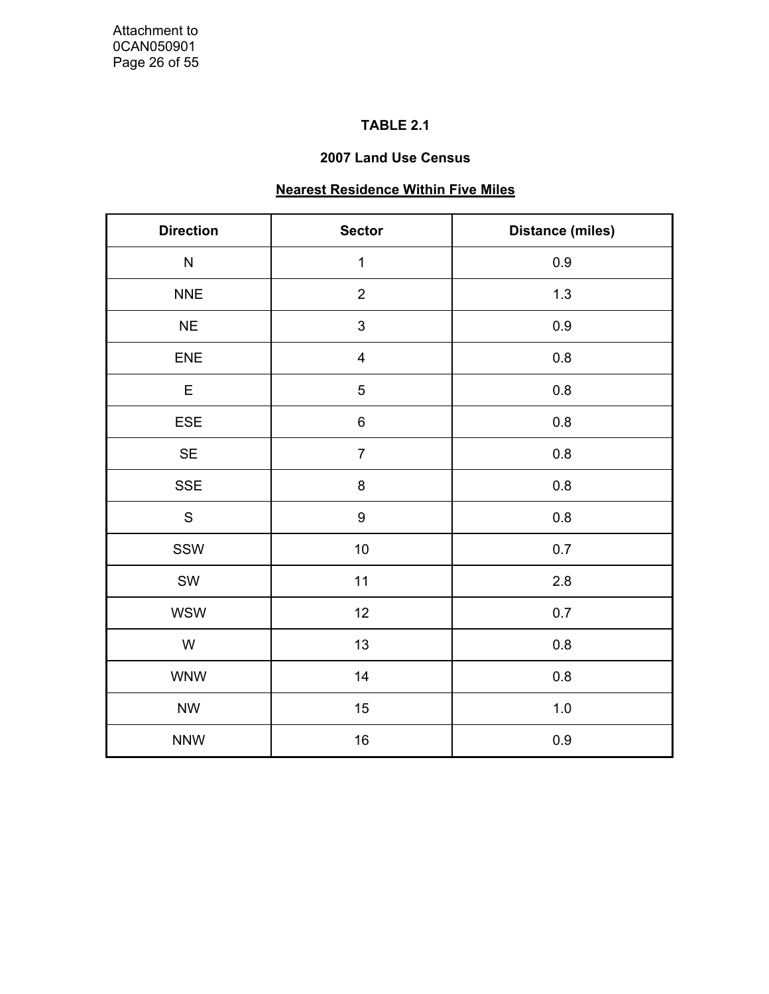## **TABLE 2.1**

## **2007 Land Use Census**

# **Nearest Residence Within Five Miles**

| <b>Direction</b> | <b>Sector</b>           | <b>Distance (miles)</b> |  |  |
|------------------|-------------------------|-------------------------|--|--|
| ${\sf N}$        | $\mathbf 1$             | $0.9\,$                 |  |  |
| <b>NNE</b>       | $\overline{2}$          | $1.3$                   |  |  |
| <b>NE</b>        | $\mathfrak{S}$          | $0.9\,$                 |  |  |
| ENE              | $\overline{\mathbf{4}}$ | $0.8\,$                 |  |  |
| E                | $\,$ 5 $\,$             | $0.8\,$                 |  |  |
| ESE              | $\,6\,$                 | 0.8                     |  |  |
| <b>SE</b>        | $\overline{7}$          | $0.8\,$                 |  |  |
| <b>SSE</b>       | $\bf 8$                 | 0.8                     |  |  |
| ${\mathsf S}$    | $\boldsymbol{9}$        | $0.8\,$                 |  |  |
| SSW              | $10$                    | 0.7                     |  |  |
| SW               | 11                      | 2.8                     |  |  |
| <b>WSW</b>       | 12                      | $0.7\,$                 |  |  |
| W                | 13                      | $0.8\,$                 |  |  |
| <b>WNW</b>       | 14                      | 0.8                     |  |  |
| <b>NW</b>        | $15\,$                  | $1.0$                   |  |  |
| <b>NNW</b>       | $16\,$                  | 0.9                     |  |  |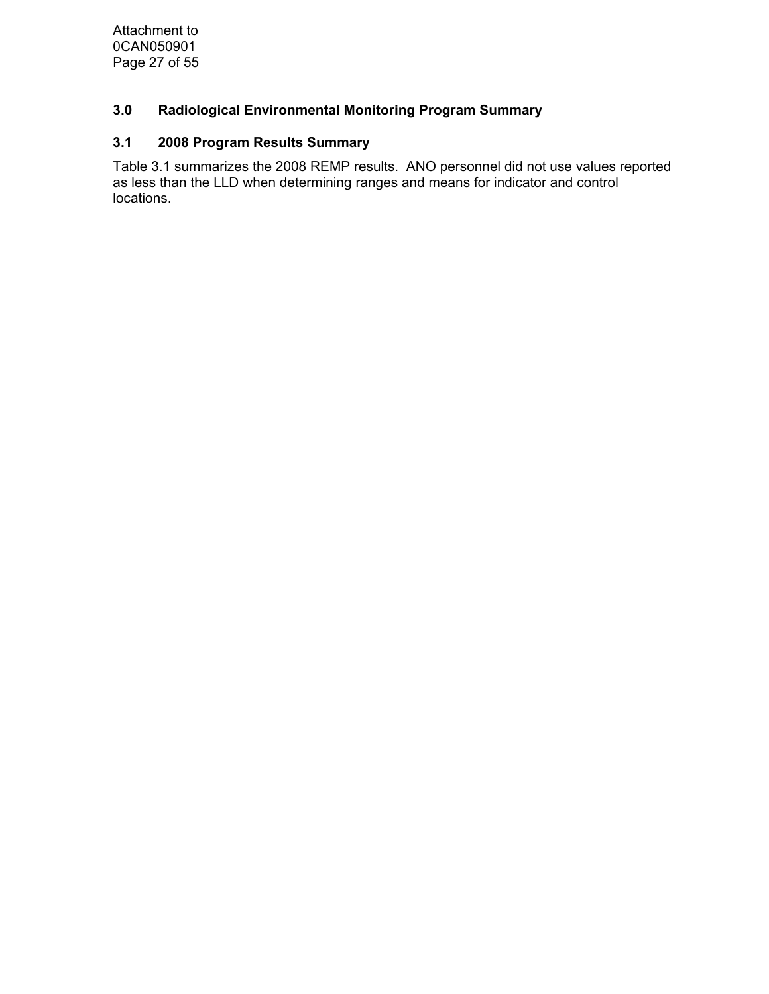Attachment to 0CAN050901 Page 27 of 55

### **3.0 Radiological Environmental Monitoring Program Summary**

### **3.1 2008 Program Results Summary**

Table 3.1 summarizes the 2008 REMP results. ANO personnel did not use values reported as less than the LLD when determining ranges and means for indicator and control locations.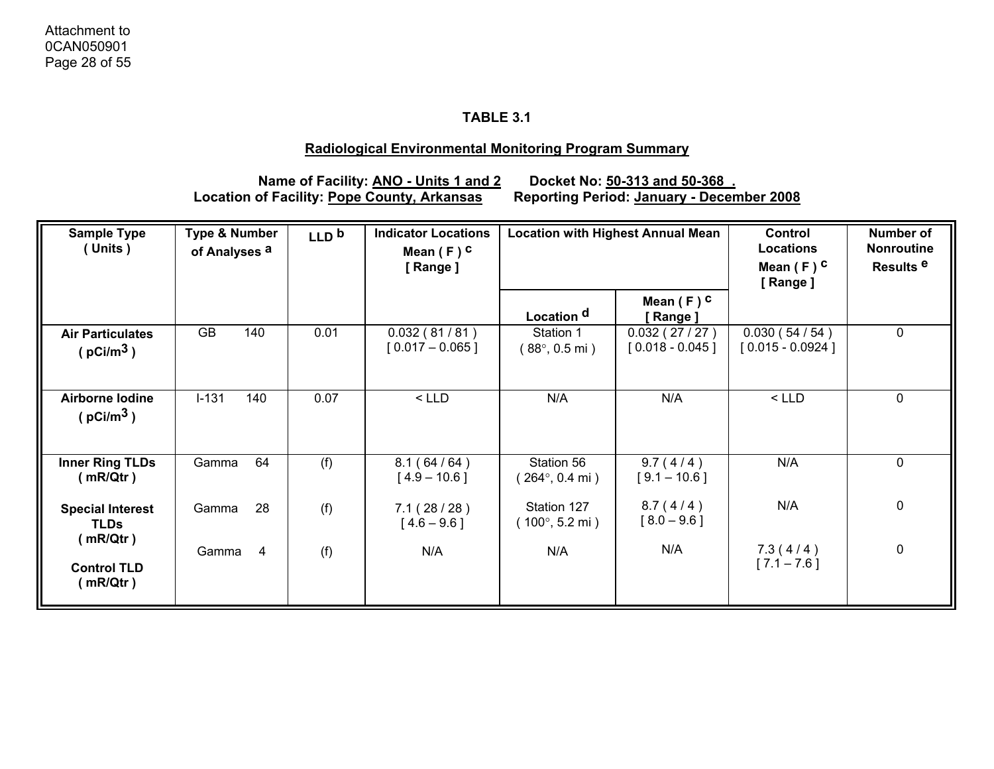### **Radiological Environmental Monitoring Program Summary**

**Location of Facility: Pope County, Arkansas** 

**Name of Facility: <u>ANO - Units 1 and 2</u> Docket No: 50-313 and 50-368.**<br>
of Facility: Pope County, Arkansas Reporting Period: January - December 2008

| <b>Sample Type</b><br>(Units)                      | <b>Type &amp; Number</b><br>of Analyses <sup>a</sup> | LLD <sub>b</sub> | <b>Indicator Locations</b><br>Mean $(F)$ C | <b>Location with Highest Annual Mean</b>      |                                   | <b>Control</b><br><b>Locations</b> | Number of<br><b>Nonroutine</b><br>Results <sup>e</sup> |
|----------------------------------------------------|------------------------------------------------------|------------------|--------------------------------------------|-----------------------------------------------|-----------------------------------|------------------------------------|--------------------------------------------------------|
|                                                    |                                                      |                  | [Range]                                    |                                               |                                   | Mean $(F)$ C<br>[Range]            |                                                        |
|                                                    |                                                      |                  |                                            | Location <sup>d</sup>                         | Mean $(F)$ C<br>[ Range ]         |                                    |                                                        |
| <b>Air Particulates</b><br>( $pCi/m3$ )            | GB<br>140                                            | 0.01             | 0.032(81/81)<br>$[0.017 - 0.065]$          | Station 1<br>$(88^{\circ}, 0.5 \text{ mi})$   | 0.032(27/27)<br>$[0.018 - 0.045]$ | 0.030(54/54)<br>$[0.015 - 0.0924]$ | $\mathbf 0$                                            |
| Airborne lodine<br>( $pCi/m3$ )                    | $I-131$<br>140                                       | 0.07             | $<$ LLD                                    | N/A                                           | N/A                               | $<$ LLD                            | $\mathbf 0$                                            |
| <b>Inner Ring TLDs</b><br>(mR/Qtr)                 | Gamma<br>64                                          | (f)              | 8.1(64/64)<br>$[4.9 - 10.6]$               | Station 56<br>$(264^{\circ}, 0.4 \text{ mi})$ | 9.7(4/4)<br>$[9.1 - 10.6]$        | N/A                                | 0                                                      |
| <b>Special Interest</b><br><b>TLDs</b><br>(mR/Qtr) | 28<br>Gamma                                          | (f)              | 7.1(28/28)<br>$[4.6 - 9.6]$                | Station 127<br>$(100^\circ, 5.2 \text{ mi})$  | 8.7(4/4)<br>$[8.0 - 9.6]$         | N/A                                | $\pmb{0}$                                              |
| <b>Control TLD</b><br>(mR/Qtr)                     | Gamma<br>$\overline{4}$                              | (f)              | N/A                                        | N/A                                           | N/A                               | 7.3(4/4)<br>$[7.1 - 7.6]$          | 0                                                      |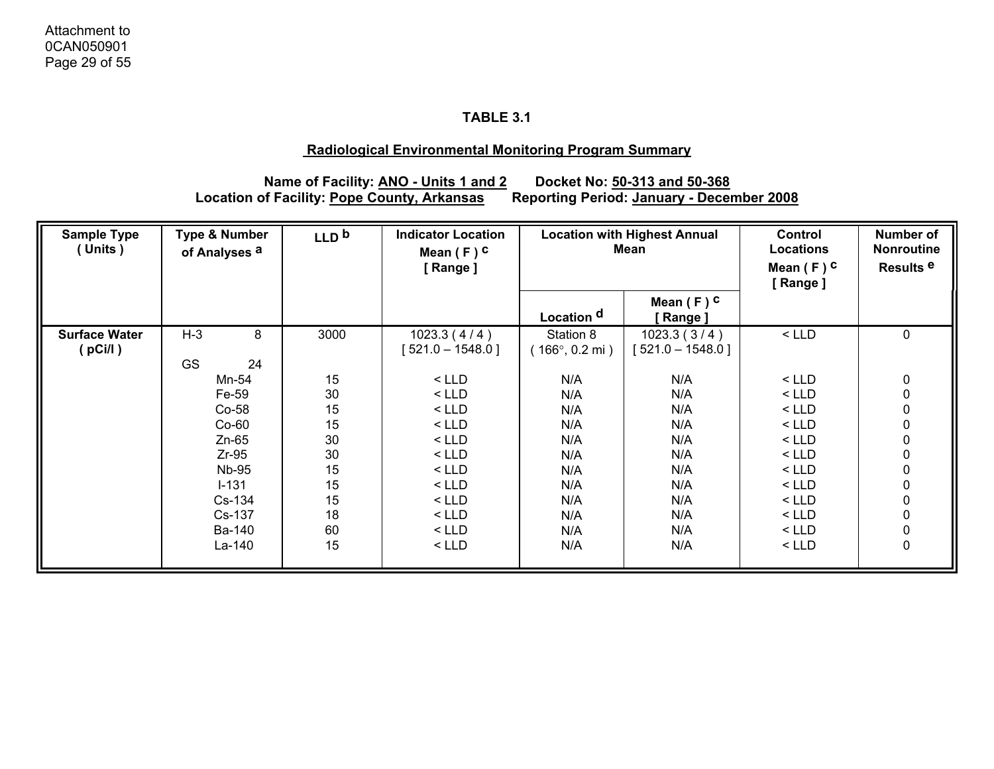### **Radiological Environmental Monitoring Program Summary**

**Location of Facility: Pope County, Arkansas** 

**Name of Facility: <u>ANO - Units 1 and 2</u> Docket No: 50-313 and 50-368<br>of Facility: <u>Pope County, Arkansas</u> Reporting Period: <u>January - December 2008</u>** 

| <b>Sample Type</b><br>(Units)   | <b>Type &amp; Number</b><br>of Analyses <sup>a</sup>                                                                     | LLD <sub>b</sub>                                                     | <b>Indicator Location</b><br>Mean $(F)$ C<br>[Range]                                                                             | <b>Location with Highest Annual</b><br>Mean                                      |                                                                                  | <b>Control</b><br><b>Locations</b><br>Mean $(F)$ C<br>[Range]                                                                    | <b>Number of</b><br><b>Nonroutine</b><br>Results <sup>e</sup>                                                                                      |
|---------------------------------|--------------------------------------------------------------------------------------------------------------------------|----------------------------------------------------------------------|----------------------------------------------------------------------------------------------------------------------------------|----------------------------------------------------------------------------------|----------------------------------------------------------------------------------|----------------------------------------------------------------------------------------------------------------------------------|----------------------------------------------------------------------------------------------------------------------------------------------------|
|                                 |                                                                                                                          |                                                                      |                                                                                                                                  | Location <sup>d</sup>                                                            | Mean $(F)$ C<br>[Range]                                                          |                                                                                                                                  |                                                                                                                                                    |
| <b>Surface Water</b><br>(pCi/l) | $H-3$<br>8<br><b>GS</b><br>24                                                                                            | 3000                                                                 | 1023.3(4/4)<br>$[521.0 - 1548.0]$                                                                                                | Station 8<br>$(166^\circ, 0.2 \text{ mi})$                                       | 1023.3(3/4)<br>$[521.0 - 1548.0]$                                                | $<$ LLD                                                                                                                          | $\mathbf 0$                                                                                                                                        |
|                                 | Mn-54<br>Fe-59<br>$Co-58$<br>$Co-60$<br>$Zn-65$<br>$Zr-95$<br>Nb-95<br>$I - 131$<br>Cs-134<br>Cs-137<br>Ba-140<br>La-140 | 15<br>30<br>15<br>15<br>30<br>30<br>15<br>15<br>15<br>18<br>60<br>15 | $<$ LLD<br>$<$ LLD<br>$<$ LLD<br>$<$ LLD<br>$<$ LLD<br>$<$ LLD<br>$<$ LLD<br>$<$ LLD<br>$<$ LLD<br>$<$ LLD<br>$<$ LLD<br>$<$ LLD | N/A<br>N/A<br>N/A<br>N/A<br>N/A<br>N/A<br>N/A<br>N/A<br>N/A<br>N/A<br>N/A<br>N/A | N/A<br>N/A<br>N/A<br>N/A<br>N/A<br>N/A<br>N/A<br>N/A<br>N/A<br>N/A<br>N/A<br>N/A | $<$ LLD<br>$<$ LLD<br>$<$ LLD<br>$<$ LLD<br>$<$ LLD<br>$<$ LLD<br>$<$ LLD<br>$<$ LLD<br>$<$ LLD<br>$<$ LLD<br>$<$ LLD<br>$<$ LLD | $\mathbf 0$<br>$\pmb{0}$<br>$\pmb{0}$<br>$\pmb{0}$<br>$\pmb{0}$<br>$\pmb{0}$<br>$\pmb{0}$<br>$\pmb{0}$<br>$\pmb{0}$<br>$\pmb{0}$<br>0<br>$\pmb{0}$ |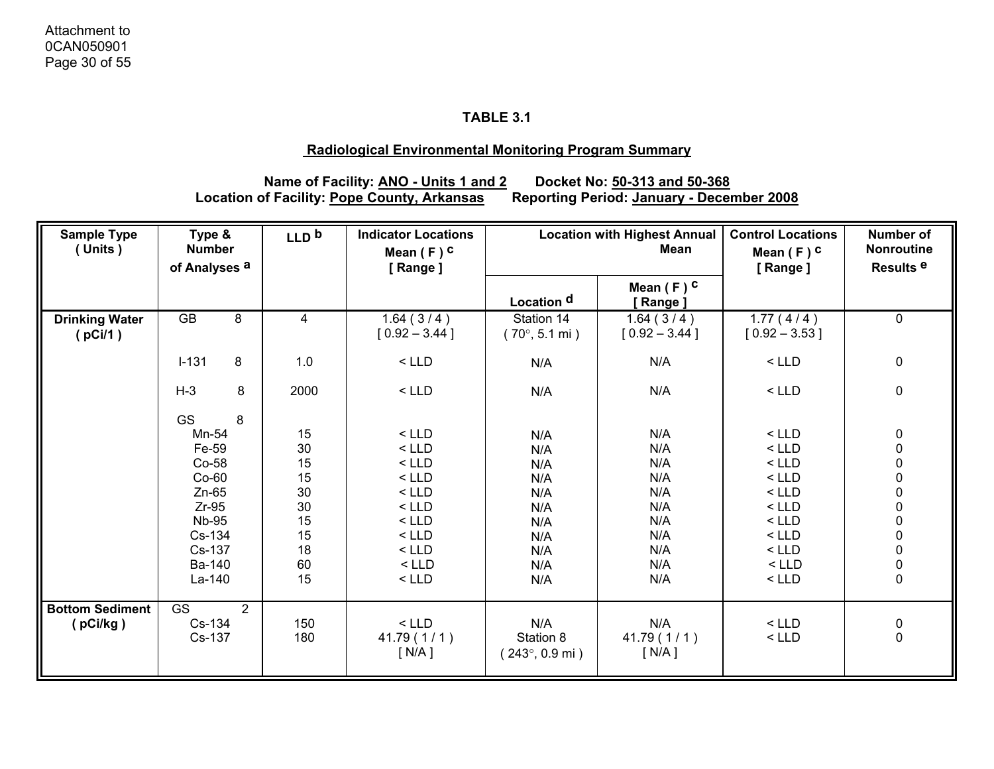### **Radiological Environmental Monitoring Program Summary**

**Location of Facility: Pope County, Arkansas** 

**Name of Facility: <u>ANO - Units 1 and 2</u> Docket No: 50-313 and 50-368<br>of Facility: <u>Pope County, Arkansas</u> Reporting Period: <u>January - December 2008</u>** 

| <b>Sample Type</b><br>(Units)            | Type &<br><b>Number</b><br>of Analyses <sup>a</sup> |                | LLD <sub>b</sub> | <b>Indicator Locations</b><br>Mean $(F)$ C<br>[Range] | <b>Location with Highest Annual</b><br><b>Mean</b>  |                              | <b>Control Locations</b><br>Mean $(F)$ C<br>[Range] | <b>Number of</b><br><b>Nonroutine</b><br>Results <sup>e</sup> |
|------------------------------------------|-----------------------------------------------------|----------------|------------------|-------------------------------------------------------|-----------------------------------------------------|------------------------------|-----------------------------------------------------|---------------------------------------------------------------|
|                                          |                                                     |                |                  |                                                       | Location <sup>d</sup>                               | Mean $(F)$ C<br>[ Range ]    |                                                     |                                                               |
| <b>Drinking Water</b><br>(pCi/1)         | <b>GB</b>                                           | 8              | 4                | 1.64(3/4)<br>$[0.92 - 3.44]$                          | Station 14<br>$(70^{\circ}, 5.1 \text{ mi})$        | 1.64(3/4)<br>$[0.92 - 3.44]$ | 1.77(4/4)<br>$[0.92 - 3.53]$                        | $\mathbf 0$                                                   |
|                                          | $I-131$                                             | 8              | 1.0              | $<$ LLD                                               | N/A                                                 | N/A                          | $<$ LLD                                             | $\pmb{0}$                                                     |
|                                          | $H-3$                                               | 8              | 2000             | $<$ LLD                                               | N/A                                                 | N/A                          | $<$ LLD                                             | $\pmb{0}$                                                     |
|                                          | <b>GS</b><br>Mn-54<br>Fe-59                         | 8              | 15<br>30         | $<$ LLD<br>$<$ LLD                                    | N/A<br>N/A                                          | N/A<br>N/A                   | $<$ LLD<br>$<$ LLD                                  | $\pmb{0}$                                                     |
|                                          | Co-58<br>$Co-60$                                    |                | 15<br>15         | $<$ LLD<br>$<$ LLD                                    | N/A<br>N/A                                          | N/A<br>N/A                   | $<$ LLD<br>$<$ LLD                                  |                                                               |
|                                          | $Zn-65$<br>$Zr-95$                                  |                | 30<br>30         | $<$ LLD<br>$<$ LLD                                    | N/A<br>N/A                                          | N/A<br>N/A                   | $<$ LLD<br>$<$ LLD                                  |                                                               |
|                                          | <b>Nb-95</b><br>Cs-134                              |                | 15<br>15         | $<$ LLD $\,$<br>$<$ LLD                               | N/A<br>N/A                                          | N/A<br>N/A                   | $<$ LLD $\,$<br>$<$ LLD                             |                                                               |
|                                          | Cs-137<br>Ba-140<br>La-140                          |                | 18<br>60<br>15   | $<$ LLD<br>$<$ LLD<br>$<$ LLD                         | N/A<br>N/A<br>N/A                                   | N/A<br>N/A<br>N/A            | $<$ LLD<br>$<$ LLD<br>$<$ LLD                       | 0000000000                                                    |
| <b>Bottom Sediment</b><br>$($ pCi/kg $)$ | GS<br>Cs-134<br>Cs-137                              | $\overline{2}$ | 150<br>180       | $<$ LLD<br>41.79(1/1)<br>[N/A]                        | N/A<br>Station 8<br>$(243^{\circ}, 0.9 \text{ mi})$ | N/A<br>41.79(1/1)<br>[N/A]   | $<$ LLD<br>$<$ LLD                                  | 0<br>$\pmb{0}$                                                |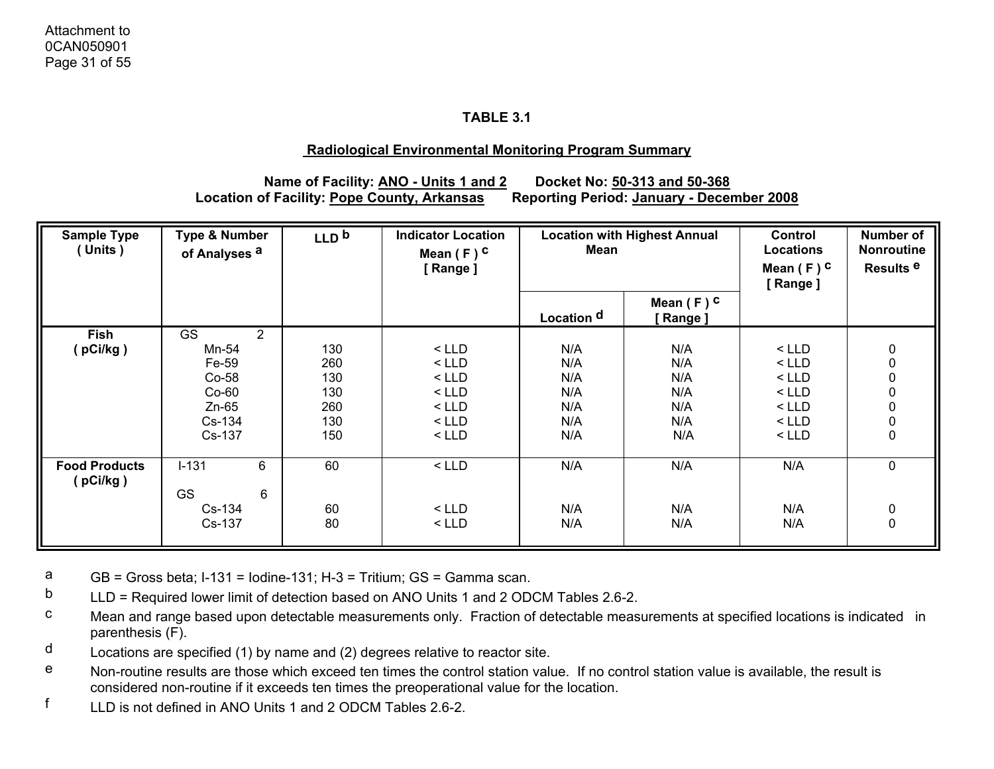#### **Radiological Environmental Monitoring Program Summary**

**Name of Facility: ANO - Units 1 and 2 Docket No: 50-313 and 50-368 Location of Facility: Pope County, Arkansas** 

| <b>Sample Type</b><br>(Units )   | Type & Number<br>of Analyses <sup>a</sup> | LLD <sub>b</sub> | <b>Indicator Location</b><br>Mean $(F)$ C<br>[Range] | <b>Location with Highest Annual</b><br>Mean |                         | Control<br><b>Locations</b><br>Mean $(F)$ C<br>[Range] | Number of<br><b>Nonroutine</b><br>Results <sup>e</sup> |
|----------------------------------|-------------------------------------------|------------------|------------------------------------------------------|---------------------------------------------|-------------------------|--------------------------------------------------------|--------------------------------------------------------|
|                                  |                                           |                  |                                                      | Location <sup>d</sup>                       | Mean $(F)$ C<br>[Range] |                                                        |                                                        |
| <b>Fish</b>                      | <b>GS</b><br>$\overline{2}$               |                  |                                                      |                                             |                         |                                                        |                                                        |
| (pCi/kg)                         | Mn-54                                     | 130              | $<$ LLD                                              | N/A                                         | N/A                     | $<$ LLD                                                | 0                                                      |
|                                  | Fe-59                                     | 260              | $<$ LLD                                              | N/A                                         | N/A                     | $<$ LLD                                                | $\pmb{0}$                                              |
|                                  | $Co-58$                                   | 130              | $<$ LLD                                              | N/A                                         | N/A                     | $<$ LLD                                                | $\pmb{0}$                                              |
|                                  | $Co-60$                                   | 130              | $<$ LLD                                              | N/A                                         | N/A                     | $<$ LLD                                                | 0                                                      |
|                                  | $Zn-65$                                   | 260              | $<$ LLD                                              | N/A                                         | N/A                     | $<$ LLD                                                | $\pmb{0}$                                              |
|                                  | Cs-134                                    | 130              | $<$ LLD                                              | N/A                                         | N/A                     | $<$ LLD                                                | $\pmb{0}$                                              |
|                                  | Cs-137                                    | 150              | $<$ LLD                                              | N/A                                         | N/A                     | $<$ LLD                                                | $\mathbf 0$                                            |
| <b>Food Products</b><br>(pCi/kg) | 6<br>$I-131$                              | 60               | $<$ LLD                                              | N/A                                         | N/A                     | N/A                                                    | 0                                                      |
|                                  | GS<br>6                                   |                  |                                                      |                                             |                         |                                                        |                                                        |
|                                  | Cs-134                                    | 60               | $<$ LLD                                              | N/A                                         | N/A                     | N/A                                                    | $\pmb{0}$                                              |
|                                  | Cs-137                                    | 80               | $<$ LLD                                              | N/A                                         | N/A                     | N/A                                                    | $\mathbf 0$                                            |

 $a$  GB = Gross beta; I-131 = Iodine-131; H-3 = Tritium; GS = Gamma scan.

 $b$  LLD = Required lower limit of detection based on ANO Units 1 and 2 ODCM Tables 2.6-2.

- c Mean and range based upon detectable measurements only. Fraction of detectable measurements at specified locations is indicated in parenthesis (F).
- $d$  Locations are specified (1) by name and (2) degrees relative to reactor site.
- e Non-routine results are those which exceed ten times the control station value. If no control station value is available, the result is considered non-routine if it exceeds ten times the preoperational value for the location.
- f LLD is not defined in ANO Units 1 and 2 ODCM Tables 2.6-2.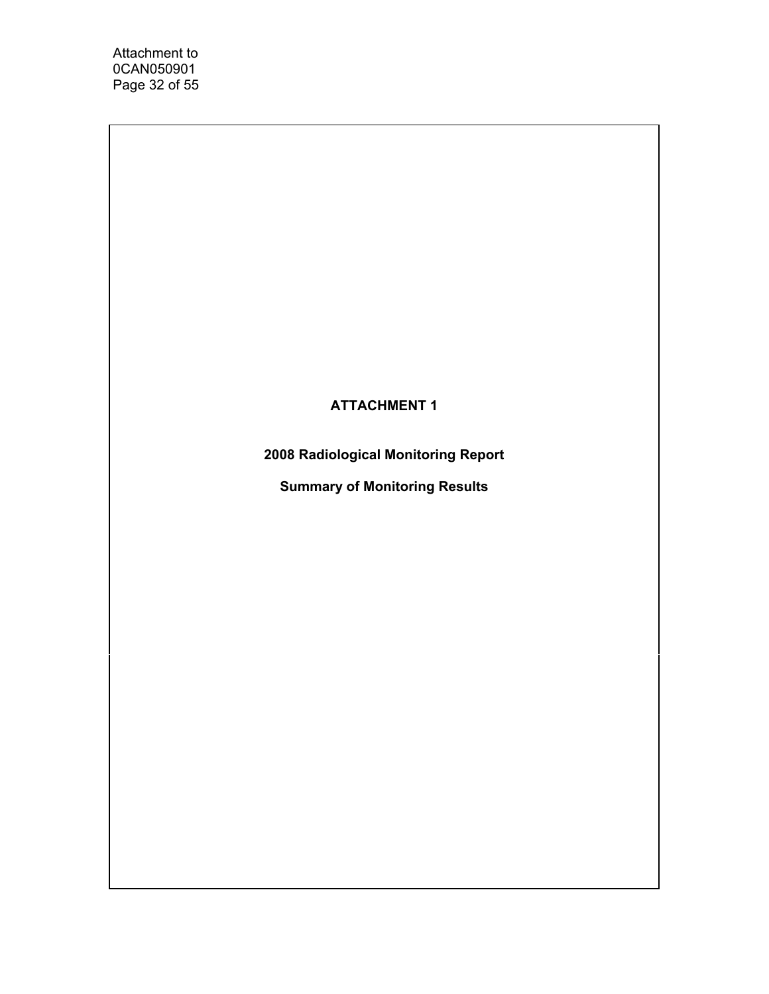Attachment to 0CAN050901 Page 32 of 55

# **ATTACHMENT 1**

**2008 Radiological Monitoring Report** 

**Summary of Monitoring Results**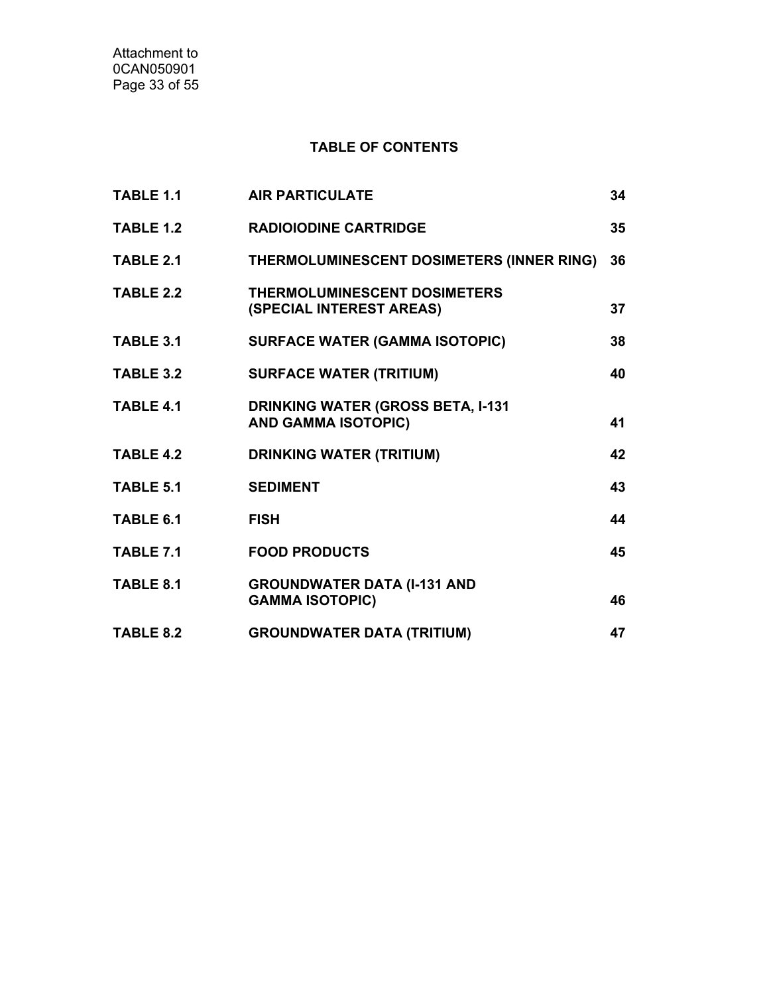Attachment to 0CAN050901 Page 33 of 55

# **TABLE OF CONTENTS**

| <b>TABLE 1.1</b> | <b>AIR PARTICULATE</b>                                                 | 34 |
|------------------|------------------------------------------------------------------------|----|
| TABLE 1.2        | <b>RADIOIODINE CARTRIDGE</b>                                           | 35 |
| <b>TABLE 2.1</b> | THERMOLUMINESCENT DOSIMETERS (INNER RING)                              | 36 |
| TABLE 2.2        | <b>THERMOLUMINESCENT DOSIMETERS</b><br>(SPECIAL INTEREST AREAS)        | 37 |
| TABLE 3.1        | <b>SURFACE WATER (GAMMA ISOTOPIC)</b>                                  | 38 |
| TABLE 3.2        | <b>SURFACE WATER (TRITIUM)</b>                                         | 40 |
| <b>TABLE 4.1</b> | <b>DRINKING WATER (GROSS BETA, I-131</b><br><b>AND GAMMA ISOTOPIC)</b> | 41 |
| TABLE 4.2        | <b>DRINKING WATER (TRITIUM)</b>                                        | 42 |
| <b>TABLE 5.1</b> | <b>SEDIMENT</b>                                                        | 43 |
| TABLE 6.1        | <b>FISH</b>                                                            | 44 |
| TABLE 7.1        | <b>FOOD PRODUCTS</b>                                                   | 45 |
| TABLE 8.1        | <b>GROUNDWATER DATA (I-131 AND</b><br><b>GAMMA ISOTOPIC)</b>           | 46 |
| TABLE 8.2        | <b>GROUNDWATER DATA (TRITIUM)</b>                                      | 47 |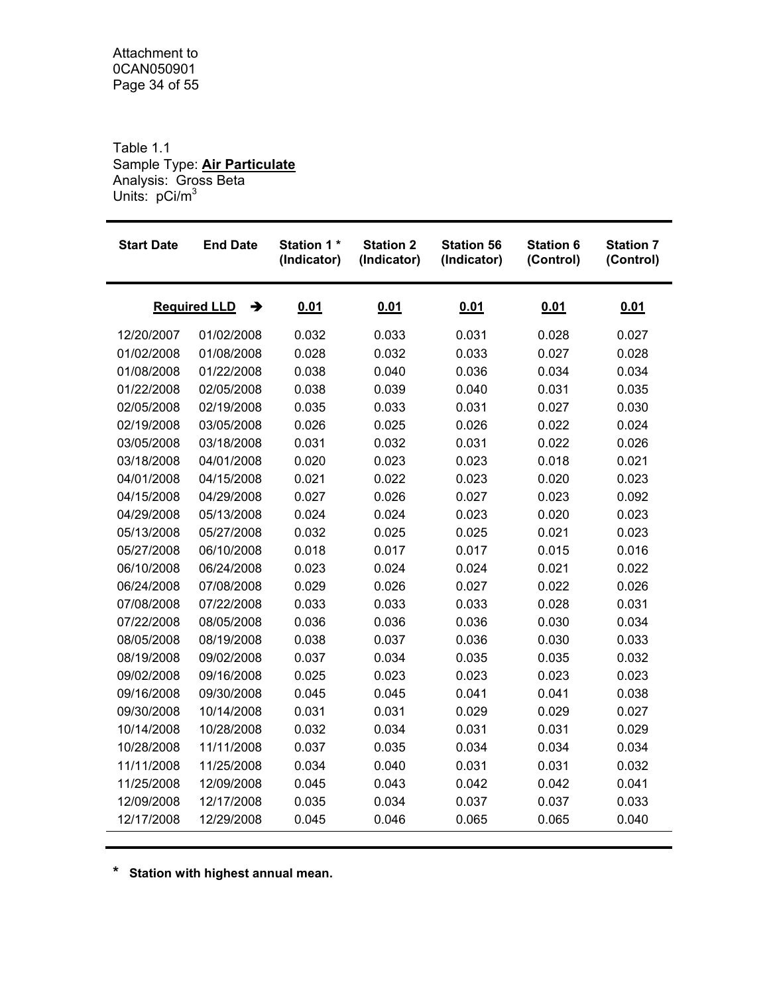Table 1.1 Sample Type: **Air Particulate** Analysis: Gross Beta Units: pCi/m<sup>3</sup>

| <b>Start Date</b> | <b>End Date</b>          | <b>Station 1*</b><br>(Indicator) | <b>Station 2</b><br>(Indicator) | <b>Station 56</b><br>(Indicator) | <b>Station 6</b><br>(Control) | <b>Station 7</b><br>(Control) |
|-------------------|--------------------------|----------------------------------|---------------------------------|----------------------------------|-------------------------------|-------------------------------|
|                   | <b>Required LLD</b><br>→ | 0.01                             | 0.01                            | 0.01                             | 0.01                          | 0.01                          |
| 12/20/2007        | 01/02/2008               | 0.032                            | 0.033                           | 0.031                            | 0.028                         | 0.027                         |
| 01/02/2008        | 01/08/2008               | 0.028                            | 0.032                           | 0.033                            | 0.027                         | 0.028                         |
| 01/08/2008        | 01/22/2008               | 0.038                            | 0.040                           | 0.036                            | 0.034                         | 0.034                         |
| 01/22/2008        | 02/05/2008               | 0.038                            | 0.039                           | 0.040                            | 0.031                         | 0.035                         |
| 02/05/2008        | 02/19/2008               | 0.035                            | 0.033                           | 0.031                            | 0.027                         | 0.030                         |
| 02/19/2008        | 03/05/2008               | 0.026                            | 0.025                           | 0.026                            | 0.022                         | 0.024                         |
| 03/05/2008        | 03/18/2008               | 0.031                            | 0.032                           | 0.031                            | 0.022                         | 0.026                         |
| 03/18/2008        | 04/01/2008               | 0.020                            | 0.023                           | 0.023                            | 0.018                         | 0.021                         |
| 04/01/2008        | 04/15/2008               | 0.021                            | 0.022                           | 0.023                            | 0.020                         | 0.023                         |
| 04/15/2008        | 04/29/2008               | 0.027                            | 0.026                           | 0.027                            | 0.023                         | 0.092                         |
| 04/29/2008        | 05/13/2008               | 0.024                            | 0.024                           | 0.023                            | 0.020                         | 0.023                         |
| 05/13/2008        | 05/27/2008               | 0.032                            | 0.025                           | 0.025                            | 0.021                         | 0.023                         |
| 05/27/2008        | 06/10/2008               | 0.018                            | 0.017                           | 0.017                            | 0.015                         | 0.016                         |
| 06/10/2008        | 06/24/2008               | 0.023                            | 0.024                           | 0.024                            | 0.021                         | 0.022                         |
| 06/24/2008        | 07/08/2008               | 0.029                            | 0.026                           | 0.027                            | 0.022                         | 0.026                         |
| 07/08/2008        | 07/22/2008               | 0.033                            | 0.033                           | 0.033                            | 0.028                         | 0.031                         |
| 07/22/2008        | 08/05/2008               | 0.036                            | 0.036                           | 0.036                            | 0.030                         | 0.034                         |
| 08/05/2008        | 08/19/2008               | 0.038                            | 0.037                           | 0.036                            | 0.030                         | 0.033                         |
| 08/19/2008        | 09/02/2008               | 0.037                            | 0.034                           | 0.035                            | 0.035                         | 0.032                         |
| 09/02/2008        | 09/16/2008               | 0.025                            | 0.023                           | 0.023                            | 0.023                         | 0.023                         |
| 09/16/2008        | 09/30/2008               | 0.045                            | 0.045                           | 0.041                            | 0.041                         | 0.038                         |
| 09/30/2008        | 10/14/2008               | 0.031                            | 0.031                           | 0.029                            | 0.029                         | 0.027                         |
| 10/14/2008        | 10/28/2008               | 0.032                            | 0.034                           | 0.031                            | 0.031                         | 0.029                         |
| 10/28/2008        | 11/11/2008               | 0.037                            | 0.035                           | 0.034                            | 0.034                         | 0.034                         |
| 11/11/2008        | 11/25/2008               | 0.034                            | 0.040                           | 0.031                            | 0.031                         | 0.032                         |
| 11/25/2008        | 12/09/2008               | 0.045                            | 0.043                           | 0.042                            | 0.042                         | 0.041                         |
| 12/09/2008        | 12/17/2008               | 0.035                            | 0.034                           | 0.037                            | 0.037                         | 0.033                         |
| 12/17/2008        | 12/29/2008               | 0.045                            | 0.046                           | 0.065                            | 0.065                         | 0.040                         |

**\* Station with highest annual mean.**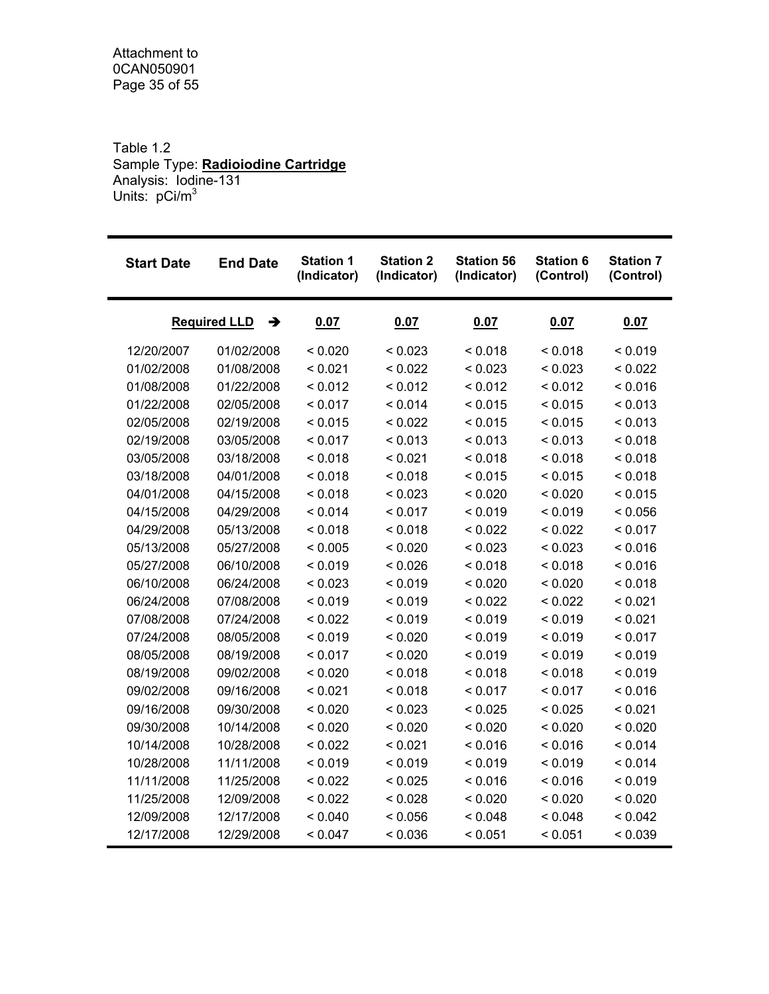Attachment to 0CAN050901 Page 35 of 55

Table 1.2 Sample Type: **Radioiodine Cartridge** Analysis: Iodine-131 Units: pCi/m<sup>3</sup>

| <b>Start Date</b> | <b>End Date</b>          | <b>Station 1</b><br>(Indicator) | <b>Station 2</b><br>(Indicator) | <b>Station 56</b><br>(Indicator) | <b>Station 6</b><br>(Control) | <b>Station 7</b><br>(Control) |
|-------------------|--------------------------|---------------------------------|---------------------------------|----------------------------------|-------------------------------|-------------------------------|
|                   | <b>Required LLD</b><br>→ | 0.07                            | 0.07                            | 0.07                             | 0.07                          | 0.07                          |
| 12/20/2007        | 01/02/2008               | < 0.020                         | < 0.023                         | < 0.018                          | < 0.018                       | < 0.019                       |
| 01/02/2008        | 01/08/2008               | < 0.021                         | < 0.022                         | < 0.023                          | < 0.023                       | < 0.022                       |
| 01/08/2008        | 01/22/2008               | < 0.012                         | < 0.012                         | < 0.012                          | < 0.012                       | < 0.016                       |
| 01/22/2008        | 02/05/2008               | < 0.017                         | < 0.014                         | < 0.015                          | < 0.015                       | < 0.013                       |
| 02/05/2008        | 02/19/2008               | < 0.015                         | < 0.022                         | < 0.015                          | < 0.015                       | < 0.013                       |
| 02/19/2008        | 03/05/2008               | < 0.017                         | < 0.013                         | < 0.013                          | < 0.013                       | < 0.018                       |
| 03/05/2008        | 03/18/2008               | < 0.018                         | < 0.021                         | < 0.018                          | < 0.018                       | < 0.018                       |
| 03/18/2008        | 04/01/2008               | < 0.018                         | < 0.018                         | < 0.015                          | < 0.015                       | < 0.018                       |
| 04/01/2008        | 04/15/2008               | < 0.018                         | < 0.023                         | < 0.020                          | < 0.020                       | < 0.015                       |
| 04/15/2008        | 04/29/2008               | < 0.014                         | < 0.017                         | < 0.019                          | < 0.019                       | < 0.056                       |
| 04/29/2008        | 05/13/2008               | < 0.018                         | < 0.018                         | < 0.022                          | < 0.022                       | < 0.017                       |
| 05/13/2008        | 05/27/2008               | < 0.005                         | < 0.020                         | < 0.023                          | < 0.023                       | < 0.016                       |
| 05/27/2008        | 06/10/2008               | < 0.019                         | < 0.026                         | < 0.018                          | < 0.018                       | < 0.016                       |
| 06/10/2008        | 06/24/2008               | < 0.023                         | < 0.019                         | < 0.020                          | < 0.020                       | < 0.018                       |
| 06/24/2008        | 07/08/2008               | < 0.019                         | < 0.019                         | < 0.022                          | < 0.022                       | < 0.021                       |
| 07/08/2008        | 07/24/2008               | < 0.022                         | < 0.019                         | < 0.019                          | < 0.019                       | < 0.021                       |
| 07/24/2008        | 08/05/2008               | < 0.019                         | < 0.020                         | < 0.019                          | < 0.019                       | < 0.017                       |
| 08/05/2008        | 08/19/2008               | < 0.017                         | < 0.020                         | < 0.019                          | < 0.019                       | < 0.019                       |
| 08/19/2008        | 09/02/2008               | < 0.020                         | < 0.018                         | < 0.018                          | < 0.018                       | < 0.019                       |
| 09/02/2008        | 09/16/2008               | < 0.021                         | < 0.018                         | < 0.017                          | < 0.017                       | < 0.016                       |
| 09/16/2008        | 09/30/2008               | < 0.020                         | < 0.023                         | < 0.025                          | < 0.025                       | < 0.021                       |
| 09/30/2008        | 10/14/2008               | < 0.020                         | < 0.020                         | < 0.020                          | < 0.020                       | < 0.020                       |
| 10/14/2008        | 10/28/2008               | < 0.022                         | < 0.021                         | < 0.016                          | < 0.016                       | < 0.014                       |
| 10/28/2008        | 11/11/2008               | < 0.019                         | < 0.019                         | < 0.019                          | < 0.019                       | < 0.014                       |
| 11/11/2008        | 11/25/2008               | < 0.022                         | < 0.025                         | < 0.016                          | < 0.016                       | < 0.019                       |
| 11/25/2008        | 12/09/2008               | < 0.022                         | < 0.028                         | < 0.020                          | < 0.020                       | < 0.020                       |
| 12/09/2008        | 12/17/2008               | < 0.040                         | < 0.056                         | < 0.048                          | < 0.048                       | < 0.042                       |
| 12/17/2008        | 12/29/2008               | < 0.047                         | < 0.036                         | < 0.051                          | < 0.051                       | < 0.039                       |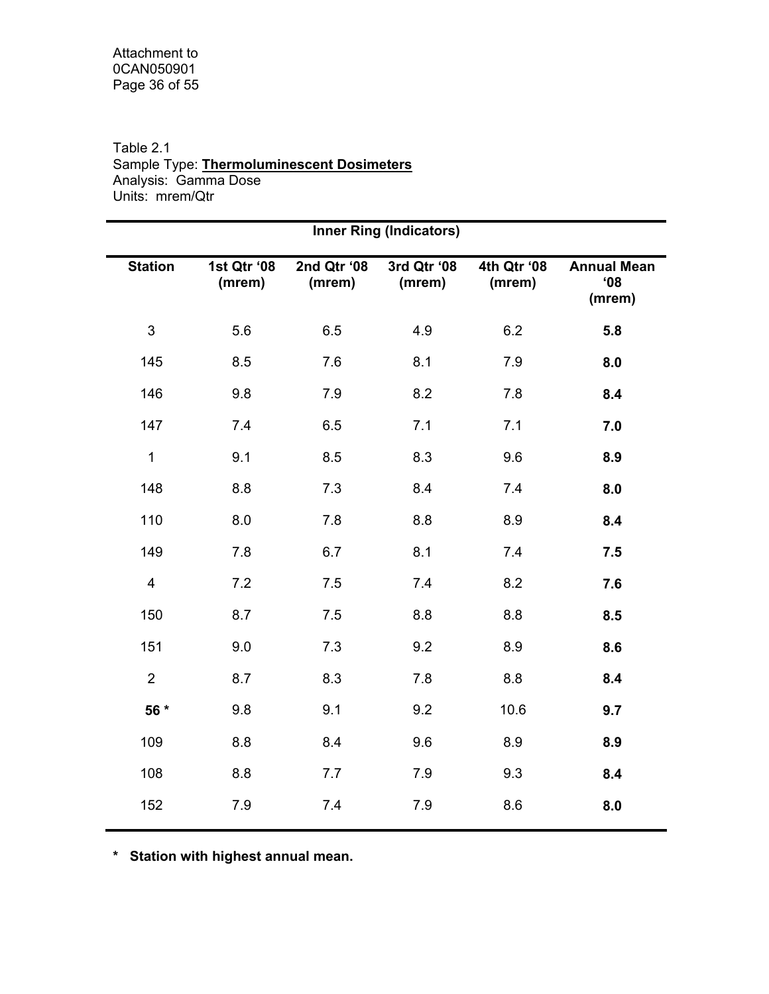#### Table 2.1 Sample Type: **Thermoluminescent Dosimeters** Analysis: Gamma Dose Units: mrem/Qtr

|                |                       |                       | <b>Inner Ring (Indicators)</b> |                       |                                                 |
|----------------|-----------------------|-----------------------|--------------------------------|-----------------------|-------------------------------------------------|
| <b>Station</b> | 1st Qtr '08<br>(mrem) | 2nd Qtr '08<br>(mrem) | 3rd Qtr '08<br>(mrem)          | 4th Qtr '08<br>(mrem) | <b>Annual Mean</b><br>60 <sup>8</sup><br>(mrem) |
| 3              | 5.6                   | 6.5                   | 4.9                            | 6.2                   | 5.8                                             |
| 145            | 8.5                   | 7.6                   | 8.1                            | 7.9                   | 8.0                                             |
| 146            | 9.8                   | 7.9                   | 8.2                            | 7.8                   | 8.4                                             |
| 147            | 7.4                   | 6.5                   | 7.1                            | 7.1                   | 7.0                                             |
| $\mathbf 1$    | 9.1                   | 8.5                   | 8.3                            | 9.6                   | 8.9                                             |
| 148            | 8.8                   | 7.3                   | 8.4                            | 7.4                   | 8.0                                             |
| 110            | 8.0                   | 7.8                   | 8.8                            | 8.9                   | 8.4                                             |
| 149            | 7.8                   | 6.7                   | 8.1                            | 7.4                   | 7.5                                             |
| $\overline{4}$ | 7.2                   | 7.5                   | 7.4                            | 8.2                   | 7.6                                             |
| 150            | 8.7                   | 7.5                   | 8.8                            | 8.8                   | 8.5                                             |
| 151            | 9.0                   | 7.3                   | 9.2                            | 8.9                   | 8.6                                             |
| $\overline{2}$ | 8.7                   | 8.3                   | 7.8                            | 8.8                   | 8.4                                             |
| 56 *           | 9.8                   | 9.1                   | 9.2                            | 10.6                  | 9.7                                             |
| 109            | 8.8                   | 8.4                   | 9.6                            | 8.9                   | 8.9                                             |
| 108            | 8.8                   | 7.7                   | 7.9                            | 9.3                   | 8.4                                             |
| 152            | 7.9                   | 7.4                   | 7.9                            | 8.6                   | 8.0                                             |
|                |                       |                       |                                |                       |                                                 |

**\* Station with highest annual mean.**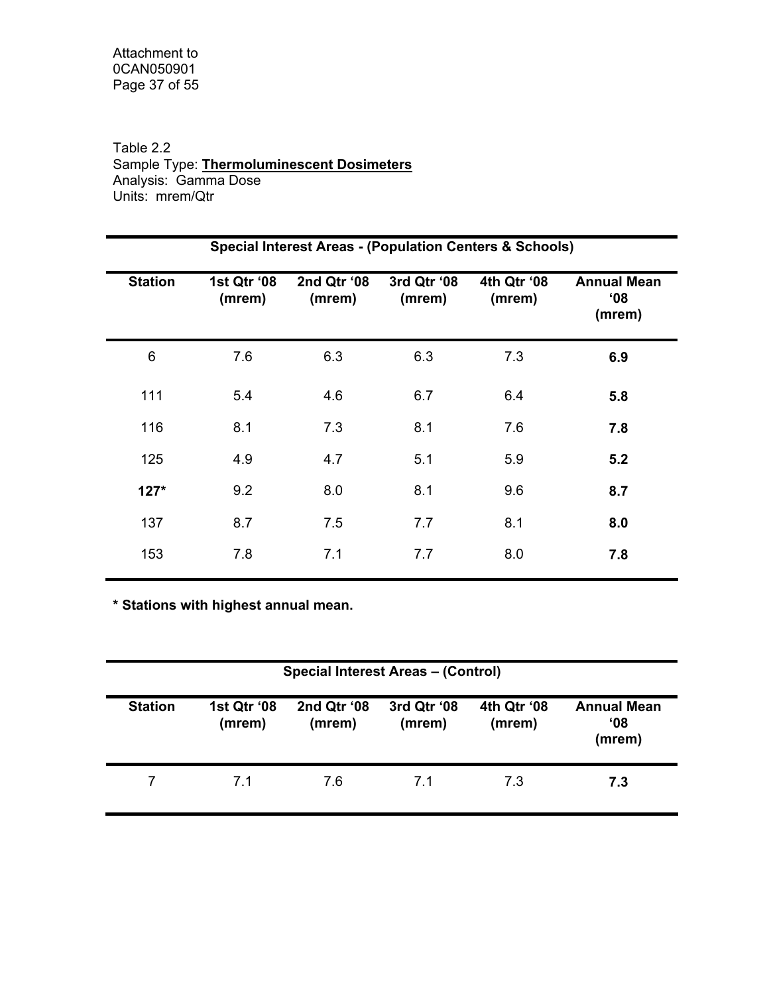Attachment to 0CAN050901 Page 37 of 55

### Table 2.2 Sample Type: **Thermoluminescent Dosimeters** Analysis: Gamma Dose Units: mrem/Qtr

|                |                       |                       |                       | <b>Special Interest Areas - (Population Centers &amp; Schools)</b> |                                              |
|----------------|-----------------------|-----------------------|-----------------------|--------------------------------------------------------------------|----------------------------------------------|
| <b>Station</b> | 1st Qtr '08<br>(mrem) | 2nd Qtr '08<br>(mrem) | 3rd Qtr '08<br>(mrem) | 4th Qtr '08<br>(mrem)                                              | <b>Annual Mean</b><br>$^{\circ}08$<br>(mrem) |
| 6              | 7.6                   | 6.3                   | 6.3                   | 7.3                                                                | 6.9                                          |
| 111            | 5.4                   | 4.6                   | 6.7                   | 6.4                                                                | 5.8                                          |
| 116            | 8.1                   | 7.3                   | 8.1                   | 7.6                                                                | 7.8                                          |
| 125            | 4.9                   | 4.7                   | 5.1                   | 5.9                                                                | 5.2                                          |
| $127*$         | 9.2                   | 8.0                   | 8.1                   | 9.6                                                                | 8.7                                          |
| 137            | 8.7                   | 7.5                   | 7.7                   | 8.1                                                                | 8.0                                          |
| 153            | 7.8                   | 7.1                   | 7.7                   | 8.0                                                                | 7.8                                          |

**\* Stations with highest annual mean.** 

|                | <b>Special Interest Areas - (Control)</b> |                       |                       |                       |                                              |  |  |  |  |  |  |  |
|----------------|-------------------------------------------|-----------------------|-----------------------|-----------------------|----------------------------------------------|--|--|--|--|--|--|--|
| <b>Station</b> | 1st Qtr '08<br>(mrem)                     | 2nd Qtr '08<br>(mrem) | 3rd Qtr '08<br>(mrem) | 4th Qtr '08<br>(mrem) | <b>Annual Mean</b><br>$^{\circ}08$<br>(mrem) |  |  |  |  |  |  |  |
|                | 71                                        | 7.6                   | 71                    | 7.3                   | 7.3                                          |  |  |  |  |  |  |  |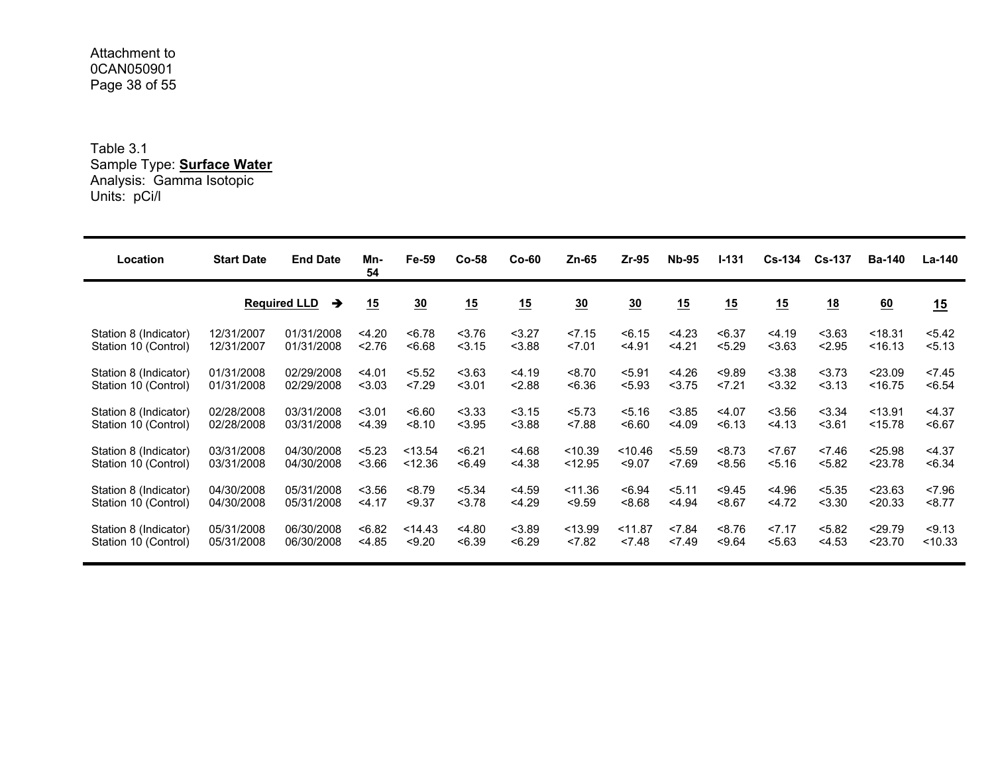Attachment to 0CAN050901Page 38 of 55

Table 3.1 Sample Type: **Surface Water** Analysis: Gamma Isotopic Units: pCi/l

| Location              | <b>Start Date</b> | <b>End Date</b>          | Mn-<br>54 | Fe-59   | $Co-58$ | $Co-60$  | Zn-65   | Zr-95   | <b>Nb-95</b> | $1 - 131$ | <b>Cs-134</b> | <b>Cs-137</b> | <b>Ba-140</b> | <b>La-140</b> |
|-----------------------|-------------------|--------------------------|-----------|---------|---------|----------|---------|---------|--------------|-----------|---------------|---------------|---------------|---------------|
|                       |                   | <b>Required LLD</b><br>→ | 15        | 30      | 15      | 15       | 30      | 30      | 15           | 15        | 15            | <u>18</u>     | 60            | 15            |
| Station 8 (Indicator) | 12/31/2007        | 01/31/2008               | < 4.20    | < 6.78  | < 3.76  | < 3.27   | < 7.15  | < 6.15  | 4.23         | < 6.37    | < 4.19        | < 3.63        | < 18.31       | < 5.42        |
| Station 10 (Control)  | 12/31/2007        | 01/31/2008               | 2.76      | <6.68   | < 3.15  | < 3.88   | 27.01   | < 4.91  | 4.21         | < 5.29    | < 3.63        | < 2.95        | < 16.13       | 5.13          |
| Station 8 (Indicator) | 01/31/2008        | 02/29/2008               | < 4.01    | < 5.52  | < 3.63  | < 4.19   | < 8.70  | < 5.91  | < 4.26       | < 9.89    | < 3.38        | < 3.73        | < 23.09       | < 7.45        |
| Station 10 (Control)  | 01/31/2008        | 02/29/2008               | < 3.03    | 27.29   | $3.01$  | < 2.88   | < 6.36  | < 5.93  | < 3.75       | 27.21     | < 3.32        | 3.13          | < 16.75       | < 6.54        |
| Station 8 (Indicator) | 02/28/2008        | 03/31/2008               | < 3.01    | < 6.60  | < 3.33  | $<$ 3.15 | 5.73    | < 5.16  | < 3.85       | < 4.07    | < 3.56        | < 3.34        | < 13.91       | < 4.37        |
| Station 10 (Control)  | 02/28/2008        | 03/31/2008               | $<$ 4.39  | < 8.10  | < 3.95  | < 3.88   | < 7.88  | 50.60   | $<$ 4.09     | 56.13     | < 4.13        | < 3.61        | < 15.78       | < 6.67        |
| Station 8 (Indicator) | 03/31/2008        | 04/30/2008               | 5.23      | < 13.54 | < 6.21  | < 4.68   | < 10.39 | < 10.46 | < 5.59       | < 8.73    | 27.67         | < 7.46        | < 25.98       | < 4.37        |
| Station 10 (Control)  | 03/31/2008        | 04/30/2008               | 3.66      | < 12.36 | < 6.49  | < 4.38   | < 12.95 | < 9.07  | 27.69        | < 8.56    | 5.16          | < 5.82        | < 23.78       | < 6.34        |
| Station 8 (Indicator) | 04/30/2008        | 05/31/2008               | < 3.56    | < 8.79  | < 5.34  | < 4.59   | < 11.36 | < 6.94  | 5.11         | < 9.45    | < 4.96        | < 5.35        | < 23.63       | < 7.96        |
| Station 10 (Control)  | 04/30/2008        | 05/31/2008               | 34.17     | < 9.37  | < 3.78  | < 4.29   | < 9.59  | 8.68    | < 4.94       | < 8.67    | 4.72          | < 3.30        | < 20.33       | < 8.77        |
| Station 8 (Indicator) | 05/31/2008        | 06/30/2008               | < 6.82    | < 14.43 | < 4.80  | < 3.89   | < 13.99 | < 11.87 | < 7.84       | < 8.76    | 27.17         | < 5.82        | < 29.79       | < 9.13        |
| Station 10 (Control)  | 05/31/2008        | 06/30/2008               | < 4.85    | < 9.20  | < 6.39  | < 6.29   | 27.82   | < 7.48  | 27.49        | < 9.64    | < 5.63        | < 4.53        | < 23.70       | < 10.33       |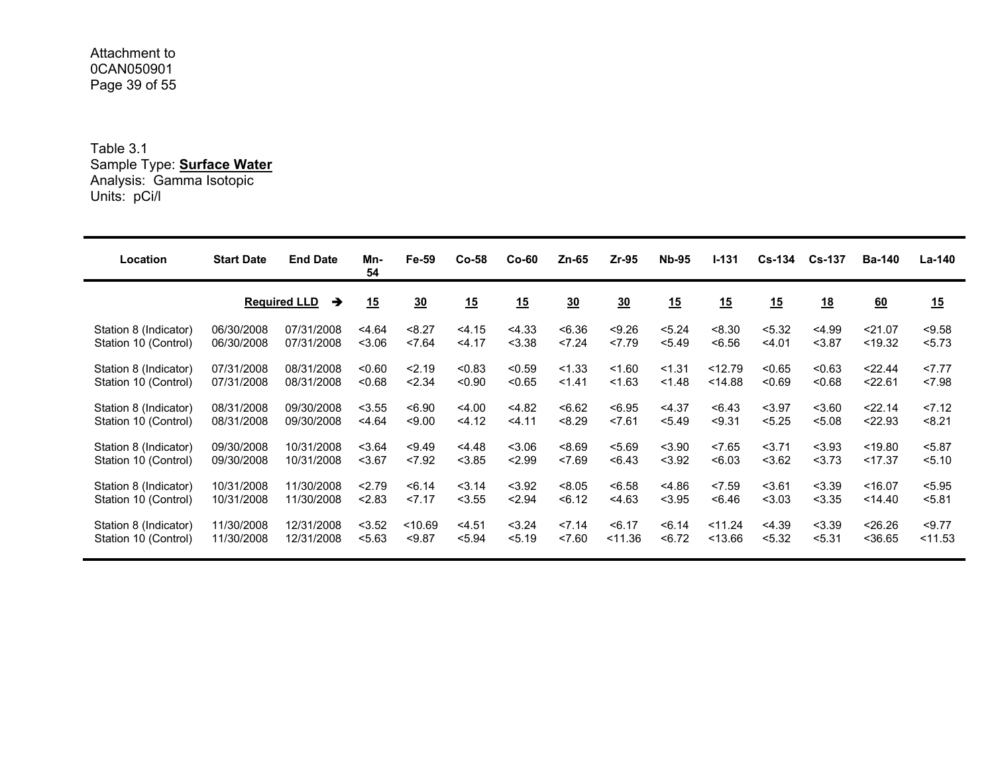Attachment to 0CAN050901Page 39 of 55

Table 3.1 Sample Type: **Surface Water** Analysis: Gamma Isotopic Units: pCi/l

| Location              | <b>Start Date</b> | <b>End Date</b>          | Mn-<br>54 | Fe-59   | $Co-58$ | $Co-60$ | $Zn-65$ | $Zr-95$ | <b>Nb-95</b> | $1 - 131$ | <b>Cs-134</b> | <b>Cs-137</b> | <b>Ba-140</b> | La-140  |
|-----------------------|-------------------|--------------------------|-----------|---------|---------|---------|---------|---------|--------------|-----------|---------------|---------------|---------------|---------|
|                       |                   | <b>Required LLD</b><br>→ | 15        | 30      | 15      | 15      | 30      | 30      | 15           | 15        | 15            | <u>18</u>     | 60            | 15      |
| Station 8 (Indicator) | 06/30/2008        | 07/31/2008               | $<$ 4.64  | < 8.27  | < 4.15  | 4.33    | < 6.36  | < 9.26  | < 5.24       | < 8.30    | < 5.32        | $<$ 4.99      | $<$ 21.07     | < 9.58  |
| Station 10 (Control)  | 06/30/2008        | 07/31/2008               | 3.06      | 27.64   | 4.17    | < 3.38  | < 7.24  | 27.79   | < 5.49       | < 6.56    | < 4.01        | < 3.87        | < 19.32       | 5.73    |
| Station 8 (Indicator) | 07/31/2008        | 08/31/2008               | < 0.60    | 2.19    | < 0.83  | < 0.59  | < 1.33  | < 1.60  | < 1.31       | < 12.79   | < 0.65        | < 0.63        | 22.44         | 27.77   |
| Station 10 (Control)  | 07/31/2008        | 08/31/2008               | < 0.68    | < 2.34  | < 0.90  | < 0.65  | < 1.41  | < 1.63  | < 1.48       | < 14.88   | < 0.69        | <0.68         | 22.61         | < 7.98  |
| Station 8 (Indicator) | 08/31/2008        | 09/30/2008               | < 3.55    | < 6.90  | < 4.00  | < 4.82  | < 6.62  | < 6.95  | < 4.37       | < 6.43    | $<$ 3.97      | 3.60          | 22.14         | 27.12   |
| Station 10 (Control)  | 08/31/2008        | 09/30/2008               | < 4.64    | < 9.00  | < 4.12  | 34.11   | < 8.29  | < 7.61  | < 5.49       | < 9.31    | < 5.25        | < 5.08        | < 22.93       | < 8.21  |
| Station 8 (Indicator) | 09/30/2008        | 10/31/2008               | < 3.64    | < 9.49  | < 4.48  | < 3.06  | < 8.69  | < 5.69  | < 3.90       | < 7.65    | 3.71          | < 3.93        | $<$ 19.80     | < 5.87  |
| Station 10 (Control)  | 09/30/2008        | 10/31/2008               | $3.67$    | < 7.92  | < 3.85  | 2.99    | < 7.69  | < 6.43  | < 3.92       | < 6.03    | < 3.62        | < 3.73        | < 17.37       | 5.10    |
| Station 8 (Indicator) | 10/31/2008        | 11/30/2008               | 2.79      | < 6.14  | < 3.14  | < 3.92  | < 8.05  | < 6.58  | $<$ 4.86     | < 7.59    | < 3.61        | < 3.39        | < 16.07       | < 5.95  |
| Station 10 (Control)  | 10/31/2008        | 11/30/2008               | < 2.83    | 27.17   | < 3.55  | < 2.94  | 56.12   | < 4.63  | < 3.95       | < 6.46    | < 3.03        | < 3.35        | < 14.40       | 5.81    |
| Station 8 (Indicator) | 11/30/2008        | 12/31/2008               | < 3.52    | < 10.69 | < 4.51  | < 3.24  | 27.14   | < 6.17  | < 6.14       | < 11.24   | < 4.39        | < 3.39        | < 26.26       | < 9.77  |
| Station 10 (Control)  | 11/30/2008        | 12/31/2008               | < 5.63    | < 9.87  | < 5.94  | < 5.19  | < 7.60  | < 11.36 | < 6.72       | < 13.66   | < 5.32        | < 5.31        | $<$ 36.65     | < 11.53 |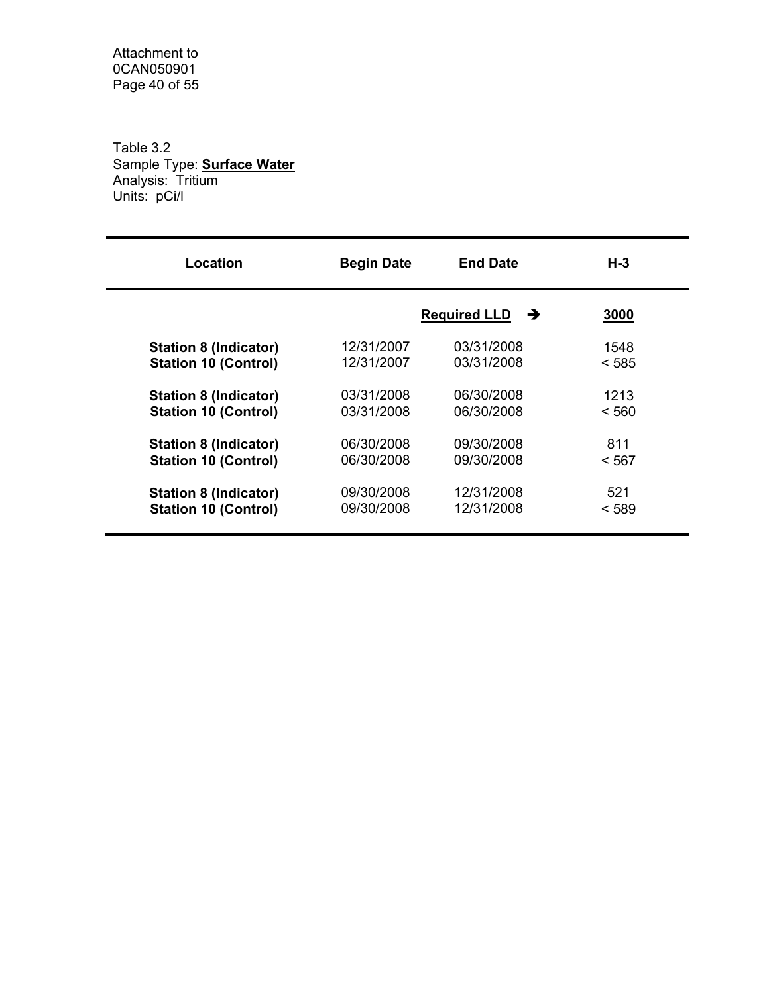Attachment to 0CAN050901 Page 40 of 55

Table 3.2 Sample Type: **Surface Water** Analysis: Tritium Units: pCi/l

| Location                     | <b>Begin Date</b> | <b>End Date</b>          | $H-3$ |
|------------------------------|-------------------|--------------------------|-------|
|                              |                   | <b>Required LLD</b><br>→ | 3000  |
| <b>Station 8 (Indicator)</b> | 12/31/2007        | 03/31/2008               | 1548  |
| <b>Station 10 (Control)</b>  | 12/31/2007        | 03/31/2008               | < 585 |
| <b>Station 8 (Indicator)</b> | 03/31/2008        | 06/30/2008               | 1213  |
| <b>Station 10 (Control)</b>  | 03/31/2008        | 06/30/2008               | < 560 |
| <b>Station 8 (Indicator)</b> | 06/30/2008        | 09/30/2008               | 811   |
| <b>Station 10 (Control)</b>  | 06/30/2008        | 09/30/2008               | < 567 |
| <b>Station 8 (Indicator)</b> | 09/30/2008        | 12/31/2008               | 521   |
| <b>Station 10 (Control)</b>  | 09/30/2008        | 12/31/2008               | < 589 |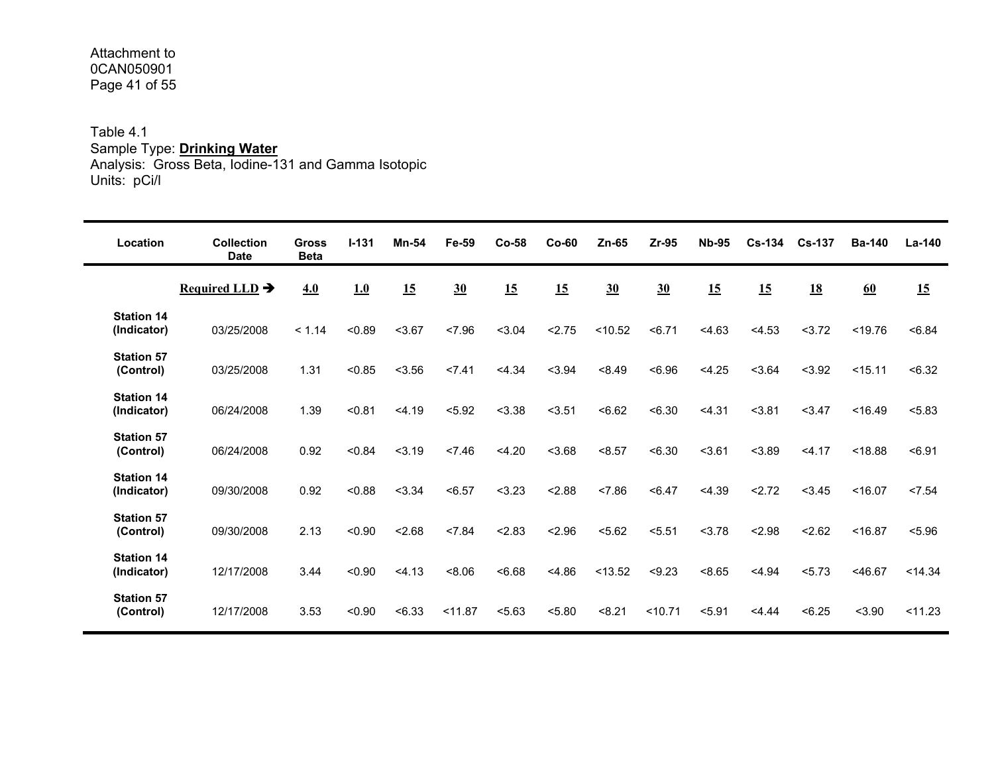#### Attachment to 0CAN050901Page 41 of 55

# Table 4.1

Sample Type: **Drinking Water**

Analysis: Gross Beta, Iodine-131 and Gamma Isotopic Units: pCi/l

| Location                         | <b>Collection</b><br><b>Date</b> | <b>Gross</b><br><b>Beta</b> | $1 - 131$ | <b>Mn-54</b> | Fe-59   | $Co-58$ | $Co-60$ | $Zn-65$ | $Zr-95$ | <b>Nb-95</b> | $Cs-134$ | <b>Cs-137</b> | <b>Ba-140</b> | $La-140$ |
|----------------------------------|----------------------------------|-----------------------------|-----------|--------------|---------|---------|---------|---------|---------|--------------|----------|---------------|---------------|----------|
|                                  | Required LLD $\rightarrow$       | 4.0                         | 1.0       | 15           | 30      | 15      | 15      | 30      | 30      | 15           | 15       | 18            | 60            | 15       |
| <b>Station 14</b><br>(Indicator) | 03/25/2008                       | < 1.14                      | < 0.89    | < 3.67       | 27.96   | 3.04    | 2.75    | < 10.52 | < 6.71  | < 4.63       | < 4.53   | < 3.72        | < 19.76       | < 6.84   |
| <b>Station 57</b><br>(Control)   | 03/25/2008                       | 1.31                        | < 0.85    | < 3.56       | 27.41   | < 4.34  | < 3.94  | < 8.49  | <6.96   | < 4.25       | 3.64     | < 3.92        | < 15.11       | <6.32    |
| <b>Station 14</b><br>(Indicator) | 06/24/2008                       | 1.39                        | < 0.81    | < 4.19       | < 5.92  | < 3.38  | < 3.51  | < 6.62  | <6.30   | < 4.31       | < 3.81   | < 3.47        | < 16.49       | < 5.83   |
| <b>Station 57</b><br>(Control)   | 06/24/2008                       | 0.92                        | < 0.84    | < 3.19       | 27.46   | < 4.20  | 3.68    | < 8.57  | <6.30   | < 3.61       | < 3.89   | < 4.17        | < 18.88       | < 6.91   |
| <b>Station 14</b><br>(Indicator) | 09/30/2008                       | 0.92                        | < 0.88    | < 3.34       | < 6.57  | < 3.23  | < 2.88  | < 7.86  | < 6.47  | < 4.39       | 2.72     | < 3.45        | < 16.07       | < 7.54   |
| <b>Station 57</b><br>(Control)   | 09/30/2008                       | 2.13                        | < 0.90    | < 2.68       | < 7.84  | < 2.83  | 2.96    | 5.62    | 5.51    | < 3.78       | 2.98     | < 2.62        | < 16.87       | < 5.96   |
| <b>Station 14</b><br>(Indicator) | 12/17/2008                       | 3.44                        | < 0.90    | 4.13         | 8.06    | <6.68   | 4.86    | < 13.52 | < 9.23  | < 8.65       | < 4.94   | 5.73          | $<$ 46.67     | < 14.34  |
| <b>Station 57</b><br>(Control)   | 12/17/2008                       | 3.53                        | < 0.90    | <6.33        | < 11.87 | < 5.63  | < 5.80  | < 8.21  | < 10.71 | < 5.91       | 4.44     | < 6.25        | < 3.90        | < 11.23  |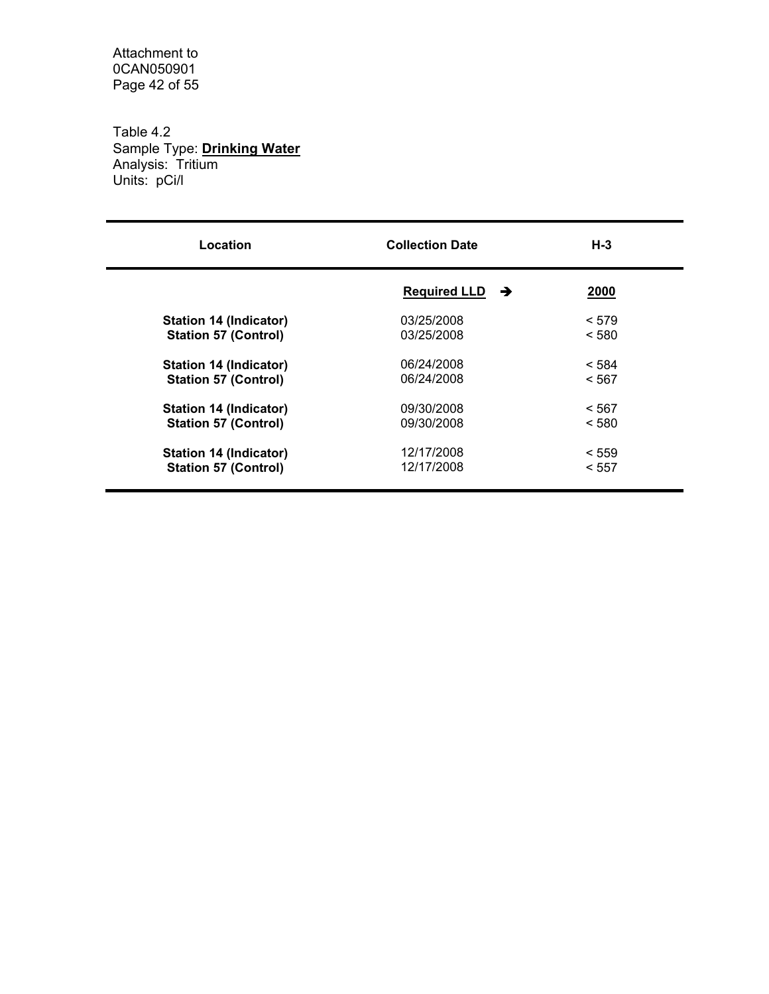Attachment to 0CAN050901 Page 42 of 55

Table 4.2 Sample Type: **Drinking Water** Analysis: Tritium Units: pCi/l

| Location                      | <b>Collection Date</b>     | $H-3$ |
|-------------------------------|----------------------------|-------|
|                               | Required LLD $\rightarrow$ | 2000  |
| <b>Station 14 (Indicator)</b> | 03/25/2008                 | < 579 |
| <b>Station 57 (Control)</b>   | 03/25/2008                 | < 580 |
| <b>Station 14 (Indicator)</b> | 06/24/2008                 | < 584 |
| <b>Station 57 (Control)</b>   | 06/24/2008                 | < 567 |
| <b>Station 14 (Indicator)</b> | 09/30/2008                 | < 567 |
| <b>Station 57 (Control)</b>   | 09/30/2008                 | < 580 |
| <b>Station 14 (Indicator)</b> | 12/17/2008                 | < 559 |
| <b>Station 57 (Control)</b>   | 12/17/2008                 | < 557 |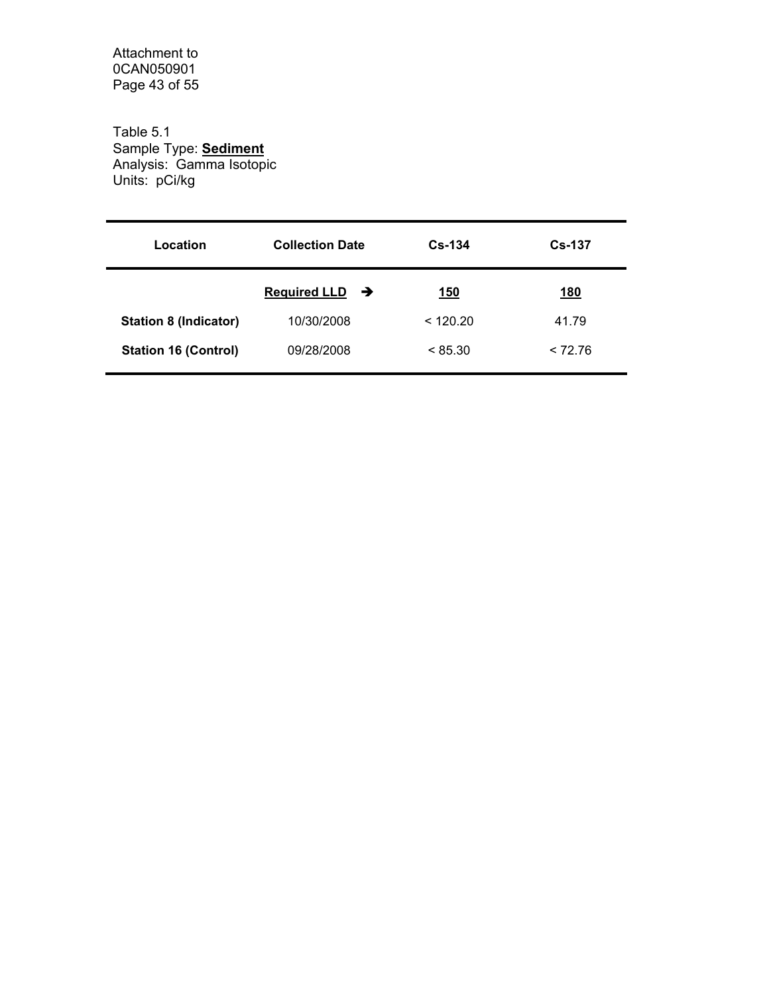Attachment to 0CAN050901 Page 43 of 55

Table 5.1 Sample Type: **Sediment** Analysis: Gamma Isotopic Units: pCi/kg

| Location                     | <b>Collection Date</b>     | $Cs - 134$ | $Cs - 137$ |
|------------------------------|----------------------------|------------|------------|
|                              | Required LLD $\rightarrow$ | <u>150</u> | 180        |
| <b>Station 8 (Indicator)</b> | 10/30/2008                 | < 120.20   | 41.79      |
| <b>Station 16 (Control)</b>  | 09/28/2008                 | < 85.30    | < 72.76    |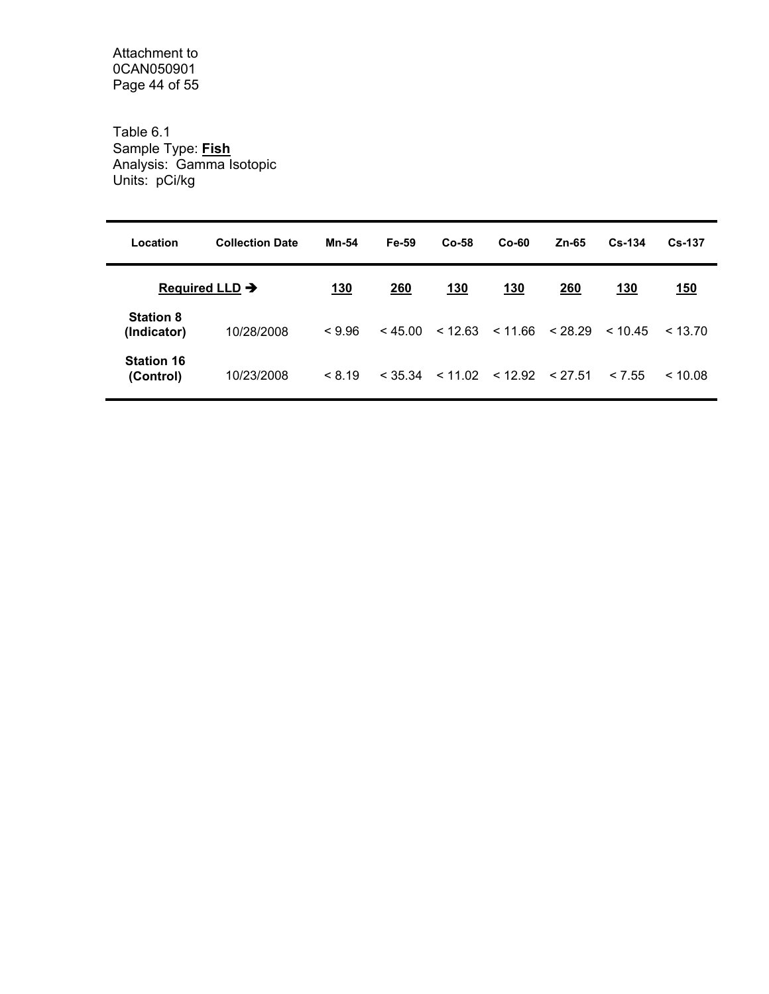Attachment to 0CAN050901 Page 44 of 55

Table 6.1 Sample Type: **Fish** Analysis: Gamma Isotopic Units: pCi/kg

| Location                        | <b>Collection Date</b> | Mn-54  | Fe-59   | $Co-58$ | $Co-60$ | Zn-65   | $Cs - 134$ | $Cs - 137$ |
|---------------------------------|------------------------|--------|---------|---------|---------|---------|------------|------------|
| Required LLD $\rightarrow$      | <u>130</u>             | 260    | 130     | 130     | 260     | 130     | <u>150</u> |            |
| <b>Station 8</b><br>(Indicator) | 10/28/2008             | < 9.96 | < 45.00 | < 12.63 | < 11.66 | < 28.29 | < 10.45    | < 13.70    |
| <b>Station 16</b><br>(Control)  | 10/23/2008             | < 8.19 | < 35.34 | < 11.02 | < 12.92 | < 27.51 | < 7.55     | < 10.08    |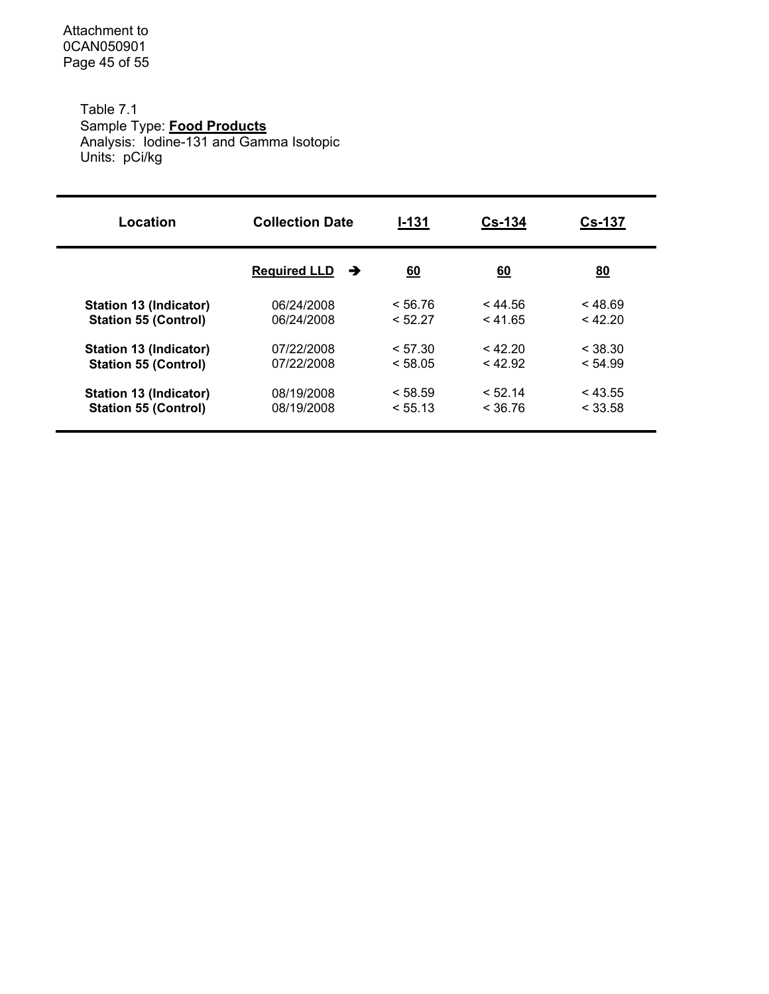Attachment to 0CAN050901 Page 45 of 55

> Table 7.1 Sample Type: **Food Products** Analysis: Iodine-131 and Gamma Isotopic Units: pCi/kg

| Location                      | <b>Collection Date</b>   | l-131   | $Cs-134$ | <b>Cs-137</b> |
|-------------------------------|--------------------------|---------|----------|---------------|
|                               | <b>Required LLD</b><br>→ | 60      | 60       | 80            |
| <b>Station 13 (Indicator)</b> | 06/24/2008               | < 56.76 | < 44.56  | < 48.69       |
| <b>Station 55 (Control)</b>   | 06/24/2008               | < 52.27 | < 41.65  | < 42.20       |
| <b>Station 13 (Indicator)</b> | 07/22/2008               | < 57.30 | < 42.20  | < 38.30       |
| <b>Station 55 (Control)</b>   | 07/22/2008               | < 58.05 | < 42.92  | < 54.99       |
| <b>Station 13 (Indicator)</b> | 08/19/2008               | < 58.59 | < 52.14  | < 43.55       |
| <b>Station 55 (Control)</b>   | 08/19/2008               | < 55.13 | < 36.76  | < 33.58       |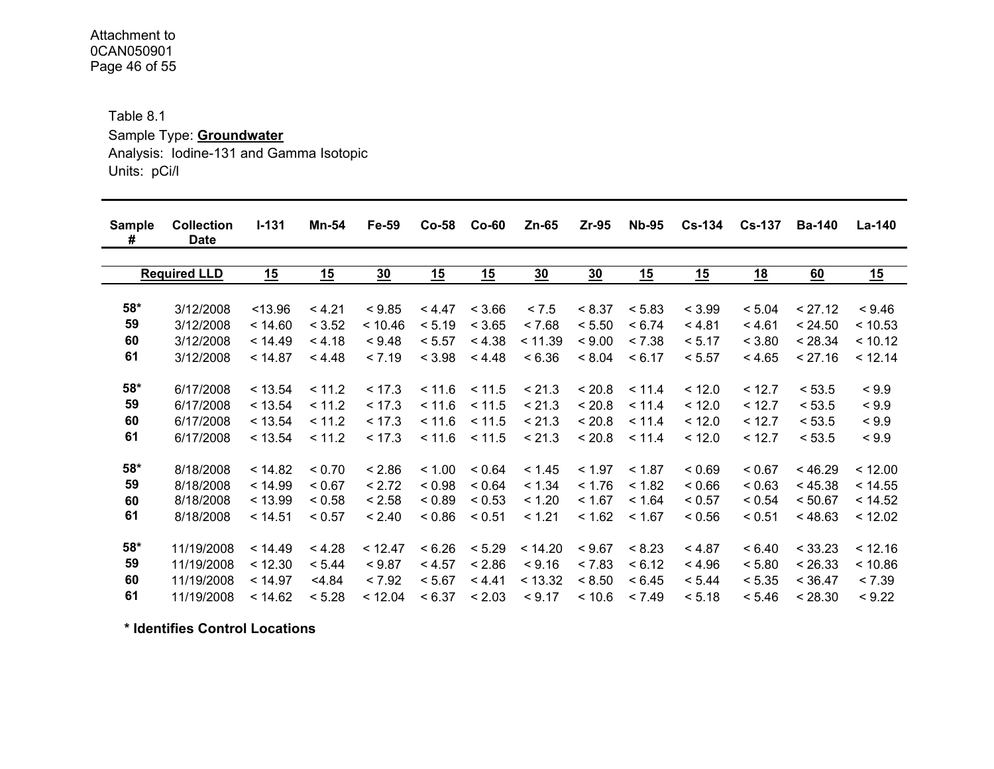#### Attachment to 0CAN050901 Page 46 of 55

Table 8.1 Sample Type: **Groundwater** Analysis: Iodine-131 and Gamma Isotopic Units: pCi/l

| <b>Sample</b><br># | <b>Collection</b><br><b>Date</b> | $I-131$ | <b>Mn-54</b>     | Fe-59          | $Co-58$ | $Co-60$ | $Zn-65$        | $Zr-95$        | <b>Nb-95</b>     | $Cs-134$         | <b>Cs-137</b> | <b>Ba-140</b> | La-140           |
|--------------------|----------------------------------|---------|------------------|----------------|---------|---------|----------------|----------------|------------------|------------------|---------------|---------------|------------------|
|                    |                                  |         |                  |                |         |         |                |                |                  |                  |               |               |                  |
|                    | <b>Required LLD</b>              | 15      | $\underline{15}$ | $\frac{30}{2}$ | 15      | 15      | $\frac{30}{2}$ | $\frac{30}{2}$ | $\underline{15}$ | $\underline{15}$ | <u>18</u>     | 60            | $\underline{15}$ |
|                    |                                  |         |                  |                |         |         |                |                |                  |                  |               |               |                  |
| $58*$              | 3/12/2008                        | < 13.96 | < 4.21           | < 9.85         | < 4.47  | < 3.66  | < 7.5          | < 8.37         | < 5.83           | < 3.99           | < 5.04        | < 27.12       | < 9.46           |
| 59                 | 3/12/2008                        | < 14.60 | < 3.52           | < 10.46        | < 5.19  | < 3.65  | < 7.68         | < 5.50         | < 6.74           | < 4.81           | < 4.61        | < 24.50       | < 10.53          |
| 60                 | 3/12/2008                        | < 14.49 | < 4.18           | < 9.48         | < 5.57  | < 4.38  | < 11.39        | < 9.00         | < 7.38           | < 5.17           | < 3.80        | < 28.34       | < 10.12          |
| 61                 | 3/12/2008                        | < 14.87 | < 4.48           | < 7.19         | < 3.98  | < 4.48  | < 6.36         | < 8.04         | < 6.17           | < 5.57           | < 4.65        | < 27.16       | < 12.14          |
| 58*                | 6/17/2008                        | < 13.54 | < 11.2           | < 17.3         | < 11.6  | < 11.5  | < 21.3         | < 20.8         | < 11.4           | < 12.0           | < 12.7        | < 53.5        | < 9.9            |
| 59                 | 6/17/2008                        | < 13.54 | < 11.2           | < 17.3         | < 11.6  | < 11.5  | < 21.3         | < 20.8         | < 11.4           | < 12.0           | < 12.7        | < 53.5        | < 9.9            |
| 60                 | 6/17/2008                        | < 13.54 | < 11.2           | < 17.3         | < 11.6  | < 11.5  | < 21.3         | < 20.8         | < 11.4           | < 12.0           | < 12.7        | < 53.5        | < 9.9            |
|                    |                                  |         |                  |                |         |         |                |                |                  |                  |               |               |                  |
| 61                 | 6/17/2008                        | < 13.54 | < 11.2           | < 17.3         | < 11.6  | < 11.5  | < 21.3         | < 20.8         | < 11.4           | < 12.0           | < 12.7        | < 53.5        | < 9.9            |
| 58*                | 8/18/2008                        | < 14.82 | < 0.70           | < 2.86         | < 1.00  | < 0.64  | < 1.45         | < 1.97         | < 1.87           | < 0.69           | < 0.67        | < 46.29       | < 12.00          |
| 59                 | 8/18/2008                        | < 14.99 | < 0.67           | < 2.72         | < 0.98  | < 0.64  | < 1.34         | < 1.76         | < 1.82           | 0.66             | < 0.63        | < 45.38       | < 14.55          |
| 60                 | 8/18/2008                        | < 13.99 | < 0.58           | < 2.58         | 0.89    | < 0.53  | < 1.20         | < 1.67         | < 1.64           | < 0.57           | < 0.54        | < 50.67       | < 14.52          |
| 61                 | 8/18/2008                        | < 14.51 | < 0.57           | < 2.40         | < 0.86  | < 0.51  | < 1.21         | < 1.62         | < 1.67           | < 0.56           | < 0.51        | < 48.63       | < 12.02          |
| $58*$              | 11/19/2008                       | < 14.49 | < 4.28           | < 12.47        | < 6.26  | < 5.29  | < 14.20        | < 9.67         | < 8.23           | < 4.87           | < 6.40        | < 33.23       | < 12.16          |
| 59                 | 11/19/2008                       | < 12.30 | < 5.44           | < 9.87         | < 4.57  | < 2.86  | < 9.16         | < 7.83         | < 6.12           | < 4.96           | < 5.80        | < 26.33       | < 10.86          |
| 60                 |                                  |         |                  |                |         |         |                |                |                  |                  |               |               |                  |
|                    | 11/19/2008                       | < 14.97 | < 4.84           | < 7.92         | < 5.67  | < 4.41  | < 13.32        | < 8.50         | < 6.45           | < 5.44           | < 5.35        | < 36.47       | < 7.39           |
| 61                 | 11/19/2008                       | < 14.62 | < 5.28           | < 12.04        | < 6.37  | < 2.03  | < 9.17         | < 10.6         | < 7.49           | < 5.18           | < 5.46        | < 28.30       | < 9.22           |

**\* Identifies Control Locations**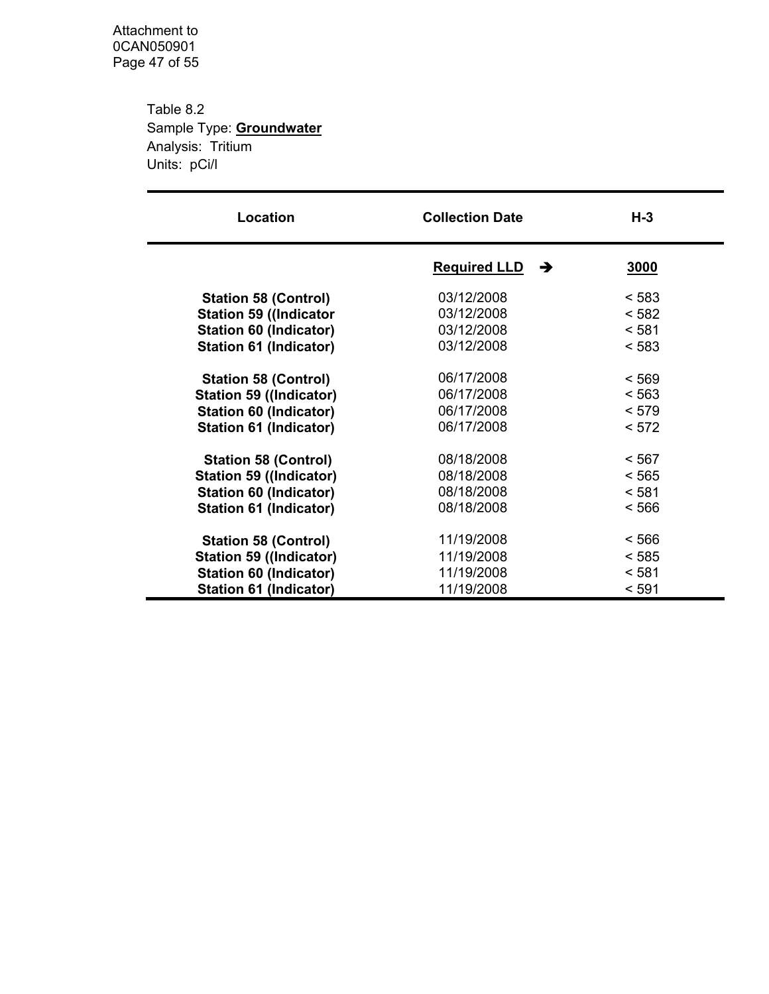Attachment to 0CAN050901 Page 47 of 55

> Table 8.2 Sample Type: **Groundwater** Analysis: Tritium Units: pCi/l

| <b>Location</b>                | <b>Collection Date</b>   | $H-3$ |  |
|--------------------------------|--------------------------|-------|--|
|                                | <b>Required LLD</b><br>→ | 3000  |  |
| <b>Station 58 (Control)</b>    | 03/12/2008               | < 583 |  |
| <b>Station 59 ((Indicator</b>  | 03/12/2008               | < 582 |  |
| <b>Station 60 (Indicator)</b>  | 03/12/2008               | < 581 |  |
| Station 61 (Indicator)         | 03/12/2008               | < 583 |  |
| <b>Station 58 (Control)</b>    | 06/17/2008               | < 569 |  |
| <b>Station 59 ((Indicator)</b> | 06/17/2008               | < 563 |  |
| <b>Station 60 (Indicator)</b>  | 06/17/2008               | < 579 |  |
| <b>Station 61 (Indicator)</b>  | 06/17/2008               | < 572 |  |
| <b>Station 58 (Control)</b>    | 08/18/2008               | < 567 |  |
| <b>Station 59 ((Indicator)</b> | 08/18/2008               | < 565 |  |
| <b>Station 60 (Indicator)</b>  | 08/18/2008               | < 581 |  |
| <b>Station 61 (Indicator)</b>  | 08/18/2008               | < 566 |  |
| <b>Station 58 (Control)</b>    | 11/19/2008               | < 566 |  |
| <b>Station 59 ((Indicator)</b> | 11/19/2008               | < 585 |  |
| <b>Station 60 (Indicator)</b>  | 11/19/2008               | < 581 |  |
| <b>Station 61 (Indicator)</b>  | 11/19/2008               | < 591 |  |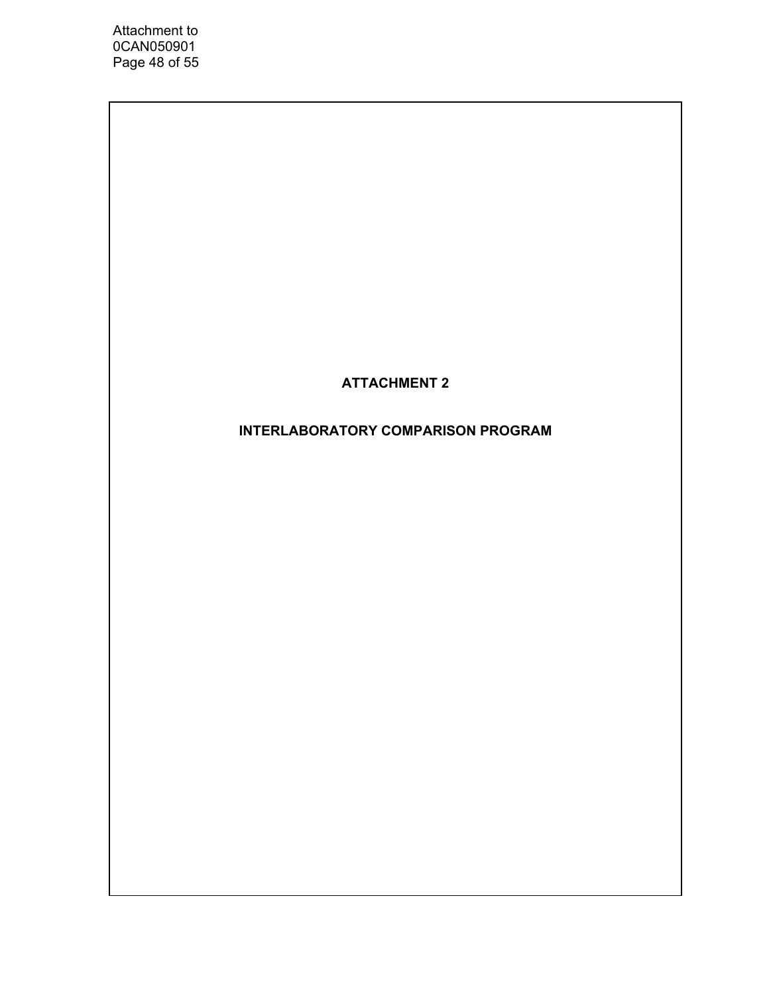# **ATTACHMENT 2**

# **INTERLABORATORY COMPARISON PROGRAM**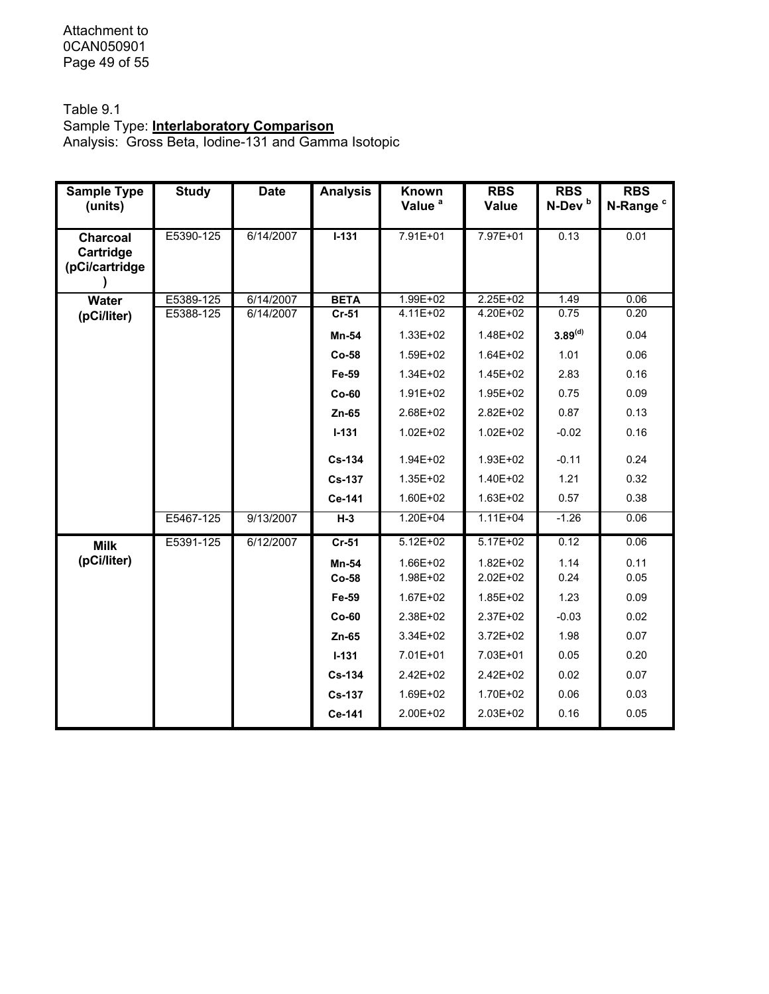### Table 9.1 Sample Type: **Interlaboratory Comparison** Analysis: Gross Beta, Iodine-131 and Gamma Isotopic

| <b>Sample Type</b><br>(units)                  | <b>Study</b> | <b>Date</b> | <b>Analysis</b> | Known<br>Value <sup>a</sup> | <b>RBS</b><br>Value | <b>RBS</b><br>N-Dev <sup>b</sup> | <b>RBS</b><br>N-Range <sup>c</sup> |
|------------------------------------------------|--------------|-------------|-----------------|-----------------------------|---------------------|----------------------------------|------------------------------------|
| <b>Charcoal</b><br>Cartridge<br>(pCi/cartridge | E5390-125    | 6/14/2007   | $I-131$         | $7.91E + 01$                | 7.97E+01            | 0.13                             | 0.01                               |
| Water                                          | E5389-125    | 6/14/2007   | <b>BETA</b>     | 1.99E+02                    | $2.25E + 02$        | 1.49                             | 0.06                               |
| (pCi/liter)                                    | E5388-125    | 6/14/2007   | Cr-51           | $4.11E + 02$                | 4.20E+02            | 0.75                             | 0.20                               |
|                                                |              |             | Mn-54           | $1.33E + 02$                | 1.48E+02            | 3.89 <sup>(d)</sup>              | 0.04                               |
|                                                |              |             | Co-58           | $1.59E + 02$                | $1.64E + 02$        | 1.01                             | 0.06                               |
|                                                |              |             | Fe-59           | $1.34E + 02$                | $1.45E + 02$        | 2.83                             | 0.16                               |
|                                                |              |             | $Co-60$         | $1.91E + 02$                | $1.95E + 02$        | 0.75                             | 0.09                               |
|                                                |              |             | Zn-65           | 2.68E+02                    | 2.82E+02            | 0.87                             | 0.13                               |
|                                                |              |             | $I - 131$       | $1.02E + 02$                | $1.02E + 02$        | $-0.02$                          | 0.16                               |
|                                                |              |             | Cs-134          | $1.94E + 02$                | $1.93E + 02$        | $-0.11$                          | 0.24                               |
|                                                |              |             | <b>Cs-137</b>   | $1.35E + 02$                | $1.40E + 02$        | 1.21                             | 0.32                               |
|                                                |              |             | <b>Ce-141</b>   | $1.60E + 02$                | $1.63E + 02$        | 0.57                             | 0.38                               |
|                                                | E5467-125    | 9/13/2007   | $H-3$           | $1.20E + 04$                | $1.11E + 04$        | $-1.26$                          | 0.06                               |
| <b>Milk</b>                                    | E5391-125    | 6/12/2007   | $Cr-51$         | $5.12E + 02$                | $5.17E+02$          | 0.12                             | 0.06                               |
| (pCi/liter)                                    |              |             | Mn-54           | 1.66E+02                    | $1.82E + 02$        | 1.14                             | 0.11                               |
|                                                |              |             | $Co-58$         | 1.98E+02                    | $2.02E + 02$        | 0.24                             | 0.05                               |
|                                                |              |             | Fe-59           | $1.67E + 02$                | $1.85E + 02$        | 1.23                             | 0.09                               |
|                                                |              |             | $Co-60$         | 2.38E+02                    | 2.37E+02            | $-0.03$                          | 0.02                               |
|                                                |              |             | Zn-65           | 3.34E+02                    | $3.72E + 02$        | 1.98                             | 0.07                               |
|                                                |              |             | $I - 131$       | 7.01E+01                    | 7.03E+01            | 0.05                             | 0.20                               |
|                                                |              |             | <b>Cs-134</b>   | $2.42E + 02$                | 2.42E+02            | 0.02                             | 0.07                               |
|                                                |              |             | <b>Cs-137</b>   | 1.69E+02                    | 1.70E+02            | 0.06                             | 0.03                               |
|                                                |              |             | Ce-141          | 2.00E+02                    | 2.03E+02            | 0.16                             | 0.05                               |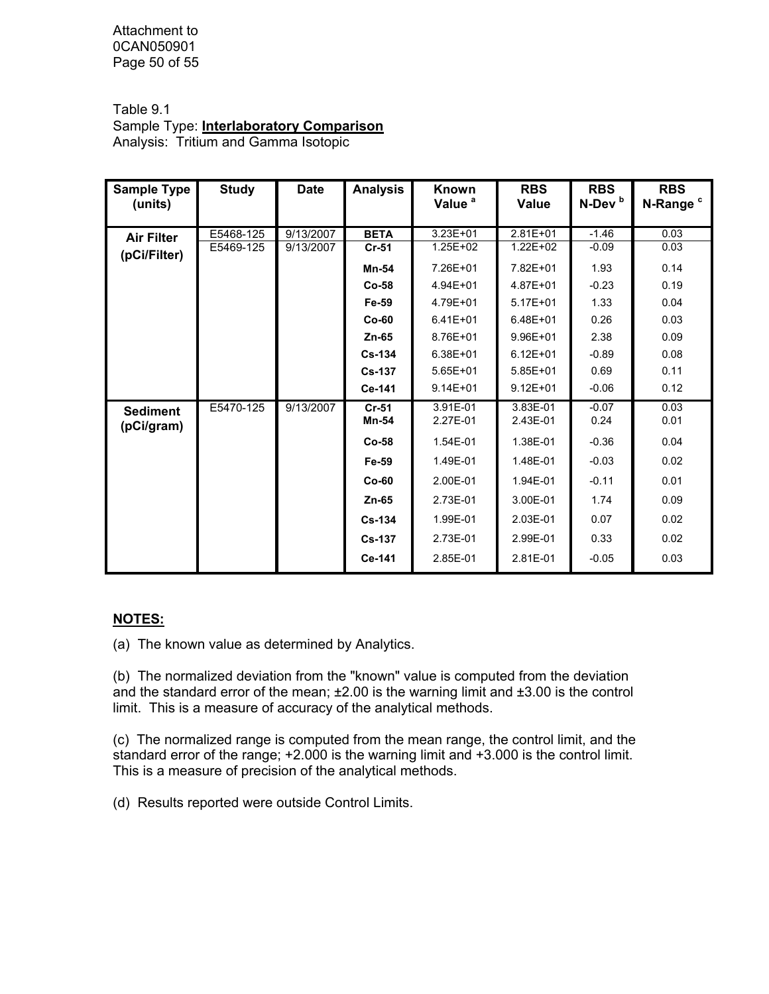Attachment to 0CAN050901 Page 50 of 55

#### Table 9.1 Sample Type: **Interlaboratory Comparison** Analysis: Tritium and Gamma Isotopic

| <b>Sample Type</b><br>(units) | <b>Study</b> | <b>Date</b> | <b>Analysis</b>         | Known<br>Value <sup>a</sup> | <b>RBS</b><br><b>Value</b> | <b>RBS</b><br>N-Dev <sup>b</sup> | <b>RBS</b><br>N-Range <sup>c</sup> |
|-------------------------------|--------------|-------------|-------------------------|-----------------------------|----------------------------|----------------------------------|------------------------------------|
| <b>Air Filter</b>             | E5468-125    | 9/13/2007   | <b>BETA</b>             | $3.23E + 01$                | $2.81E+01$                 | $-1.46$                          | 0.03                               |
| (pCi/Filter)                  | E5469-125    | 9/13/2007   | $Cr-51$                 | $1.25E + 02$                | $1.22E + 02$               | $-0.09$                          | 0.03                               |
|                               |              |             | Mn-54                   | 7.26E+01                    | 7.82E+01                   | 1.93                             | 0.14                               |
|                               |              |             | $Co-58$                 | $4.94E + 01$                | $4.87E + 01$               | $-0.23$                          | 0.19                               |
|                               |              |             | Fe-59                   | 4.79E+01                    | $5.17E + 01$               | 1.33                             | 0.04                               |
|                               |              |             | $Co-60$                 | $6.41E + 01$                | $6.48E + 01$               | 0.26                             | 0.03                               |
|                               |              |             | $Zn-65$                 | 8.76E+01                    | $9.96E + 01$               | 2.38                             | 0.09                               |
|                               |              |             | <b>Cs-134</b>           | $6.38E + 01$                | $6.12E + 01$               | $-0.89$                          | 0.08                               |
|                               |              |             | <b>Cs-137</b>           | $5.65E+01$                  | $5.85E + 01$               | 0.69                             | 0.11                               |
|                               |              |             | Ce-141                  | $9.14E + 01$                | $9.12E + 01$               | $-0.06$                          | 0.12                               |
| <b>Sediment</b><br>(pCi/gram) | E5470-125    | 9/13/2007   | $Cr-51$<br><b>Mn-54</b> | 3.91E-01<br>2.27E-01        | 3.83E-01<br>2.43E-01       | $-0.07$<br>0.24                  | 0.03<br>0.01                       |
|                               |              |             | $Co-58$                 | 1.54E-01                    | 1.38E-01                   | $-0.36$                          | 0.04                               |
|                               |              |             | Fe-59                   | 1.49E-01                    | 1.48E-01                   | $-0.03$                          | 0.02                               |
|                               |              |             | $Co-60$                 | 2.00E-01                    | 1.94E-01                   | $-0.11$                          | 0.01                               |
|                               |              |             | $Zn-65$                 | 2.73E-01                    | 3.00E-01                   | 1.74                             | 0.09                               |
|                               |              |             | <b>Cs-134</b>           | 1.99E-01                    | 2.03E-01                   | 0.07                             | 0.02                               |
|                               |              |             | <b>Cs-137</b>           | 2.73E-01                    | 2.99E-01                   | 0.33                             | 0.02                               |
|                               |              |             | Ce-141                  | 2.85E-01                    | 2.81E-01                   | $-0.05$                          | 0.03                               |

### **NOTES:**

(a) The known value as determined by Analytics.

(b) The normalized deviation from the "known" value is computed from the deviation and the standard error of the mean; ±2.00 is the warning limit and ±3.00 is the control limit. This is a measure of accuracy of the analytical methods.

(c) The normalized range is computed from the mean range, the control limit, and the standard error of the range; +2.000 is the warning limit and +3.000 is the control limit. This is a measure of precision of the analytical methods.

(d) Results reported were outside Control Limits.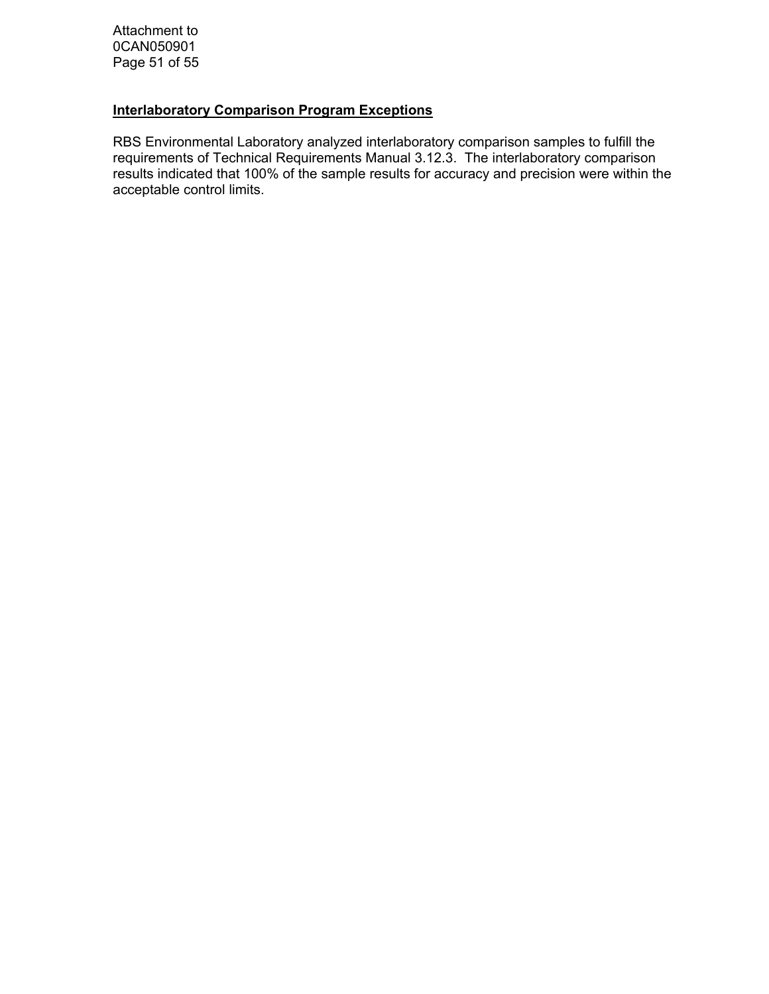Attachment to 0CAN050901 Page 51 of 55

### **Interlaboratory Comparison Program Exceptions**

RBS Environmental Laboratory analyzed interlaboratory comparison samples to fulfill the requirements of Technical Requirements Manual 3.12.3. The interlaboratory comparison results indicated that 100% of the sample results for accuracy and precision were within the acceptable control limits.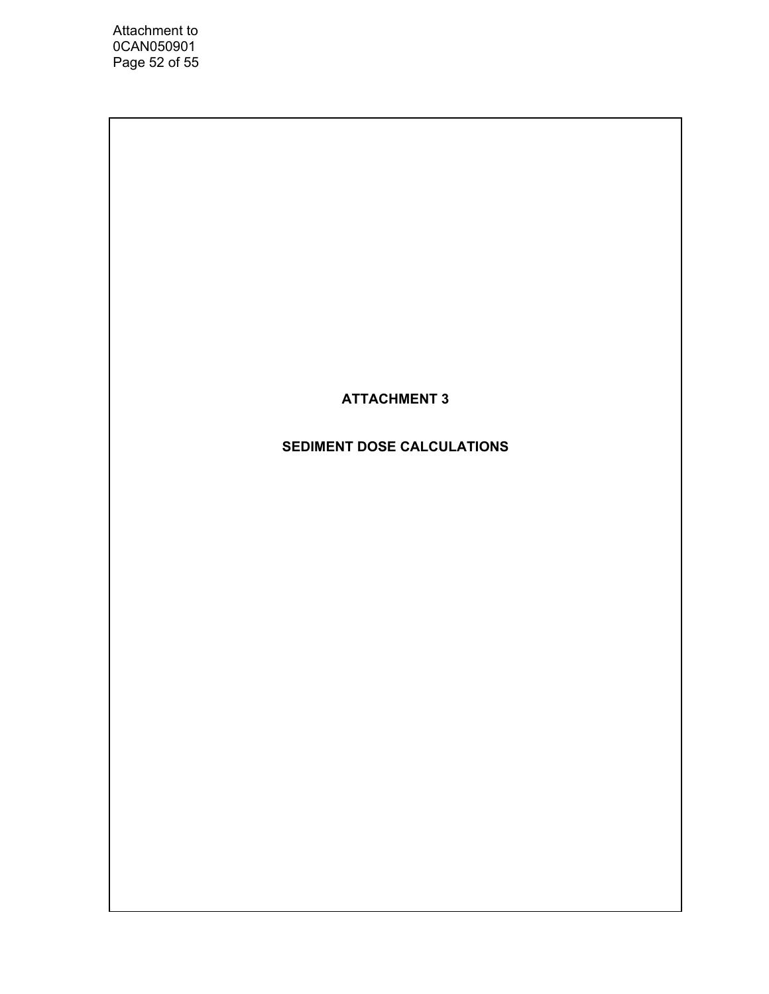# **ATTACHMENT 3**

# **SEDIMENT DOSE CALCULATIONS**